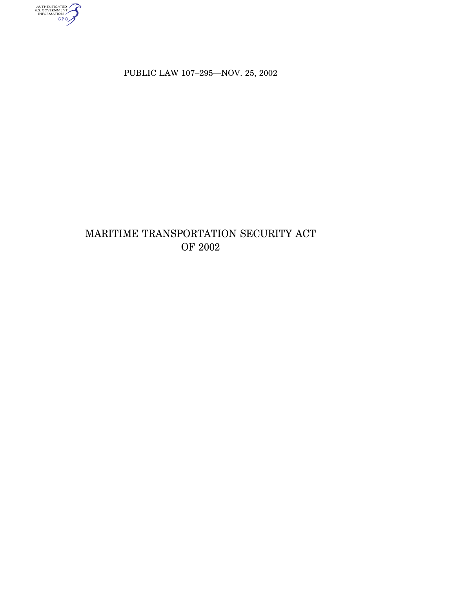authenticated<br>u.s. government<br>information<br>GPO

PUBLIC LAW 107–295—NOV. 25, 2002

# MARITIME TRANSPORTATION SECURITY ACT OF 2002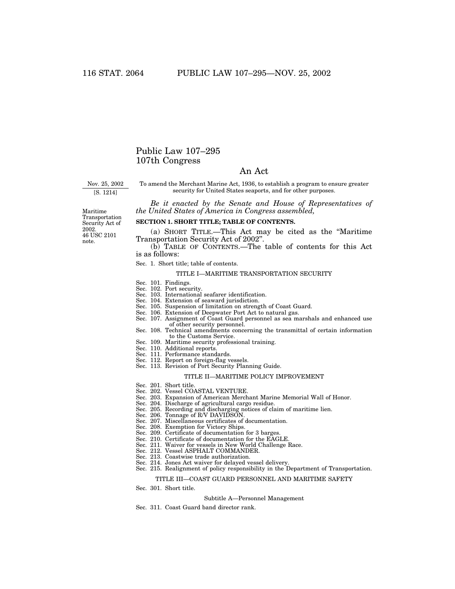# Public Law 107–295 107th Congress

# An Act

Nov. 25, 2002

[S. 1214]

To amend the Merchant Marine Act, 1936, to establish a program to ensure greater security for United States seaports, and for other purposes.

*Be it enacted by the Senate and House of Representatives of the United States of America in Congress assembled,*

46 USC 2101 note. Maritime Transportation Security Act of 2002.

## **SECTION 1. SHORT TITLE; TABLE OF CONTENTS.**

(a) SHORT TITLE.—This Act may be cited as the ''Maritime Transportation Security Act of 2002''.

(b) TABLE OF CONTENTS.—The table of contents for this Act is as follows:

Sec. 1. Short title; table of contents.

## TITLE I—MARITIME TRANSPORTATION SECURITY

- Sec. 101. Findings.
- Sec. 102. Port security.
- Sec. 103. International seafarer identification.
- Sec. 104. Extension of seaward jurisdiction.
- Sec. 105. Suspension of limitation on strength of Coast Guard.
- Sec. 106. Extension of Deepwater Port Act to natural gas.
- Sec. 107. Assignment of Coast Guard personnel as sea marshals and enhanced use of other security personnel.
- Sec. 108. Technical amendments concerning the transmittal of certain information to the Customs Service.
- Sec. 109. Maritime security professional training.
- Sec. 110. Additional reports.
- Sec. 111. Performance standards.
- Sec. 112. Report on foreign-flag vessels.
- Sec. 113. Revision of Port Security Planning Guide.

#### TITLE II—MARITIME POLICY IMPROVEMENT

- Sec. 201. Short title.
- Sec. 202. Vessel COASTAL VENTURE.
- Sec. 203. Expansion of American Merchant Marine Memorial Wall of Honor.
- Sec. 204. Discharge of agricultural cargo residue.
- Sec. 205. Recording and discharging notices of claim of maritime lien.
- Sec. 206. Tonnage of R/V DAVIDSON.
- Sec. 207. Miscellaneous certificates of documentation.
- Sec. 208. Exemption for Victory Ships.
- Sec. 209. Certificate of documentation for 3 barges.
- Sec. 210. Certificate of documentation for the EAGLE.
- Sec. 211. Waiver for vessels in New World Challenge Race.
- Sec. 212. Vessel ASPHALT COMMANDER.
- Sec. 213. Coastwise trade authorization.
- Sec. 214. Jones Act waiver for delayed vessel delivery.
- Sec. 215. Realignment of policy responsibility in the Department of Transportation.

#### TITLE III—COAST GUARD PERSONNEL AND MARITIME SAFETY

Sec. 301. Short title.

#### Subtitle A—Personnel Management

Sec. 311. Coast Guard band director rank.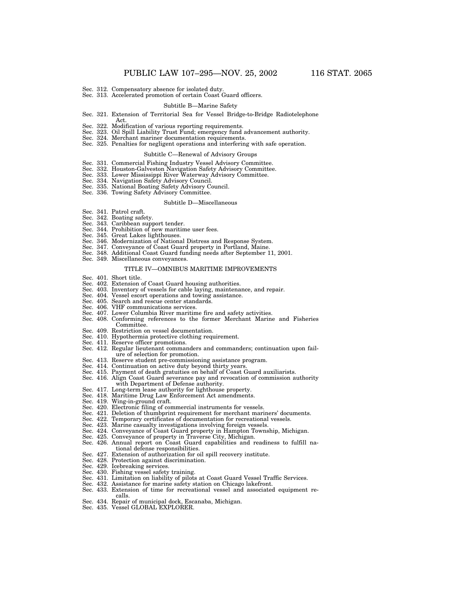- Sec. 312. Compensatory absence for isolated duty.
- Sec. 313. Accelerated promotion of certain Coast Guard officers.

#### Subtitle B—Marine Safety

- Sec. 321. Extension of Territorial Sea for Vessel Bridge-to-Bridge Radiotelephone
- Act. Sec. 322. Modification of various reporting requirements.
- 
- Sec. 323. Oil Spill Liability Trust Fund; emergency fund advancement authority. Sec. 324. Merchant mariner documentation requirements.
- Sec. 325. Penalties for negligent operations and interfering with safe operation.

#### Subtitle C—Renewal of Advisory Groups

- 
- Sec. 331. Commercial Fishing Industry Vessel Advisory Committee. Sec. 332. Houston-Galveston Navigation Safety Advisory Committee. Sec. 333. Lower Mississippi River Waterway Advisory Committee.
- 
- 
- Sec. 334. Navigation Safety Advisory Council. Sec. 335. National Boating Safety Advisory Council.
- Sec. 336. Towing Safety Advisory Committee.

#### Subtitle D—Miscellaneous

- Sec. 341. Patrol craft.
- Sec. 342. Boating safety.
- 
- Sec. 343. Caribbean support tender. Sec. 344. Prohibition of new maritime user fees.
- Sec. 345. Great Lakes lighthouses.
- Sec. 346. Modernization of National Distress and Response System. Sec. 347. Conveyance of Coast Guard property in Portland, Maine.
- 
- Sec. 348. Additional Coast Guard funding needs after September 11, 2001. Sec. 349. Miscellaneous conveyances.
	- TITLE IV—OMNIBUS MARITIME IMPROVEMENTS
- Sec. 401. Short title.
- Sec. 402. Extension of Coast Guard housing authorities.
- Sec. 403. Inventory of vessels for cable laying, maintenance, and repair.
- Sec. 404. Vessel escort operations and towing assistance.
- Sec. 405. Search and rescue center standards.
- Sec. 406. VHF communications services.
- Sec. 407. Lower Columbia River maritime fire and safety activities.
- Sec. 408. Conforming references to the former Merchant Marine and Fisheries Committee.
- Sec. 409. Restriction on vessel documentation.
- Sec. 410. Hypothermia protective clothing requirement.<br>Sec. 411. Reserve officer promotions.
- Reserve officer promotions.
- Sec. 412. Regular lieutenant commanders and commanders; continuation upon failure of selection for promotion.
- Sec. 413. Reserve student pre-commissioning assistance program.
- Sec. 414. Continuation on active duty beyond thirty years.
- Sec. 415. Payment of death gratuities on behalf of Coast Guard auxiliarists. Sec. 416. Align Coast Guard severance pay and revocation of commission authority
- with Department of Defense authority.
- Sec. 417. Long-term lease authority for lighthouse property.
- Sec. 418. Maritime Drug Law Enforcement Act amendments. Sec. 419. Wing-in-ground craft.
- 
- Sec. 420. Electronic filing of commercial instruments for vessels.
- Sec. 421. Deletion of thumbprint requirement for merchant mariners' documents. Sec. 422. Temporary certificates of documentation for recreational vessels.
- 
- 
- Sec. 423. Marine casualty investigations involving foreign vessels. Sec. 424. Conveyance of Coast Guard property in Hampton Township, Michigan.
- 
- Sec. 425. Conveyance of property in Traverse City, Michigan. Sec. 426. Annual report on Coast Guard capabilities and readiness to fulfill national defense responsibilities. Sec. 427. Extension of authorization for oil spill recovery institute.
- 
- Sec. 428. Protection against discrimination. Sec. 429. Icebreaking services.
- 
- Sec. 430. Fishing vessel safety training.
- Sec. 431. Limitation on liability of pilots at Coast Guard Vessel Traffic Services.<br>Sec. 432. Assistance for marine safety station on Chicago lakefront.
- Assistance for marine safety station on Chicago lakefront.
- Sec. 433. Extension of time for recreational vessel and associated equipment recalls.
- Sec. 434. Repair of municipal dock, Escanaba, Michigan. Sec. 435. Vessel GLOBAL EXPLORER.
-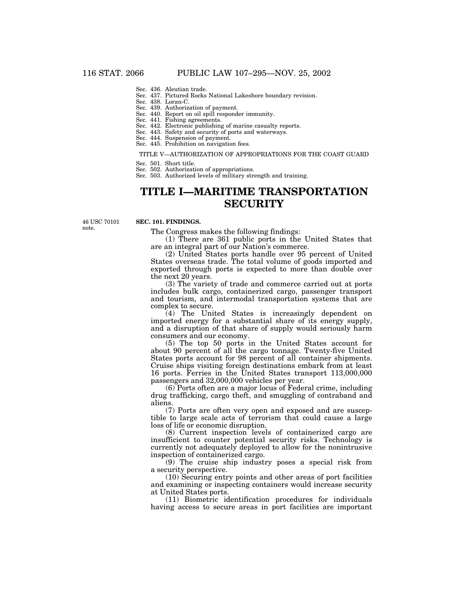Sec. 436. Aleutian trade.

Sec. 437. Pictured Rocks National Lakeshore boundary revision.

Sec. 438. Loran-C.

- Sec. 439. Authorization of payment.
- Sec. 440. Report on oil spill responder immunity.

Sec. 441. Fishing agreements.

- Sec. 442. Electronic publishing of marine casualty reports.
- Sec. 443. Safety and security of ports and waterways.
- Sec. 444. Suspension of payment.
- Sec. 445. Prohibition on navigation fees.

#### TITLE V—AUTHORIZATION OF APPROPRIATIONS FOR THE COAST GUARD

Sec. 501. Short title.

Sec. 502. Authorization of appropriations.

Sec. 503. Authorized levels of military strength and training.

# **TITLE I—MARITIME TRANSPORTATION SECURITY**

46 USC 70101 note.

#### **SEC. 101. FINDINGS.**

The Congress makes the following findings:

(1) There are 361 public ports in the United States that are an integral part of our Nation's commerce.

(2) United States ports handle over 95 percent of United States overseas trade. The total volume of goods imported and exported through ports is expected to more than double over the next 20 years.

(3) The variety of trade and commerce carried out at ports includes bulk cargo, containerized cargo, passenger transport and tourism, and intermodal transportation systems that are complex to secure.

(4) The United States is increasingly dependent on imported energy for a substantial share of its energy supply, and a disruption of that share of supply would seriously harm consumers and our economy.

(5) The top 50 ports in the United States account for about 90 percent of all the cargo tonnage. Twenty-five United States ports account for 98 percent of all container shipments. Cruise ships visiting foreign destinations embark from at least 16 ports. Ferries in the United States transport 113,000,000 passengers and 32,000,000 vehicles per year.

(6) Ports often are a major locus of Federal crime, including drug trafficking, cargo theft, and smuggling of contraband and aliens.

(7) Ports are often very open and exposed and are susceptible to large scale acts of terrorism that could cause a large loss of life or economic disruption.

(8) Current inspection levels of containerized cargo are insufficient to counter potential security risks. Technology is currently not adequately deployed to allow for the nonintrusive inspection of containerized cargo.

(9) The cruise ship industry poses a special risk from a security perspective.

(10) Securing entry points and other areas of port facilities and examining or inspecting containers would increase security at United States ports.

(11) Biometric identification procedures for individuals having access to secure areas in port facilities are important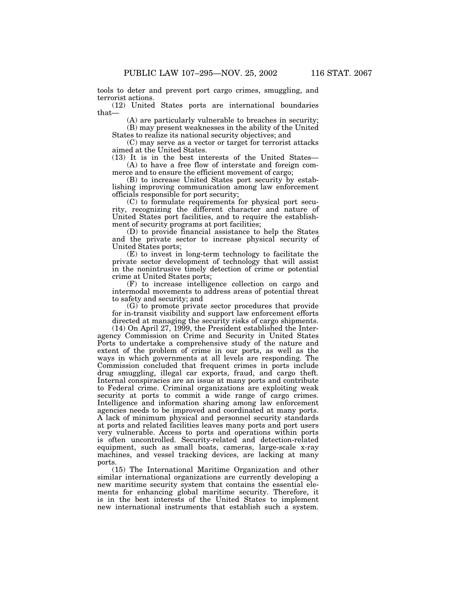tools to deter and prevent port cargo crimes, smuggling, and terrorist actions.

(12) United States ports are international boundaries that—

(A) are particularly vulnerable to breaches in security;

(B) may present weaknesses in the ability of the United States to realize its national security objectives; and

(C) may serve as a vector or target for terrorist attacks aimed at the United States.

(13) It is in the best interests of the United States— (A) to have a free flow of interstate and foreign com-

merce and to ensure the efficient movement of cargo;

(B) to increase United States port security by establishing improving communication among law enforcement officials responsible for port security;

(C) to formulate requirements for physical port security, recognizing the different character and nature of United States port facilities, and to require the establishment of security programs at port facilities;

(D) to provide financial assistance to help the States and the private sector to increase physical security of United States ports;

(E) to invest in long-term technology to facilitate the private sector development of technology that will assist in the nonintrusive timely detection of crime or potential crime at United States ports;

(F) to increase intelligence collection on cargo and intermodal movements to address areas of potential threat to safety and security; and

(G) to promote private sector procedures that provide for in-transit visibility and support law enforcement efforts directed at managing the security risks of cargo shipments.

(14) On April 27, 1999, the President established the Interagency Commission on Crime and Security in United States Ports to undertake a comprehensive study of the nature and extent of the problem of crime in our ports, as well as the ways in which governments at all levels are responding. The Commission concluded that frequent crimes in ports include drug smuggling, illegal car exports, fraud, and cargo theft. Internal conspiracies are an issue at many ports and contribute to Federal crime. Criminal organizations are exploiting weak security at ports to commit a wide range of cargo crimes. Intelligence and information sharing among law enforcement agencies needs to be improved and coordinated at many ports. A lack of minimum physical and personnel security standards at ports and related facilities leaves many ports and port users very vulnerable. Access to ports and operations within ports is often uncontrolled. Security-related and detection-related equipment, such as small boats, cameras, large-scale x-ray machines, and vessel tracking devices, are lacking at many ports.

(15) The International Maritime Organization and other similar international organizations are currently developing a new maritime security system that contains the essential elements for enhancing global maritime security. Therefore, it is in the best interests of the United States to implement new international instruments that establish such a system.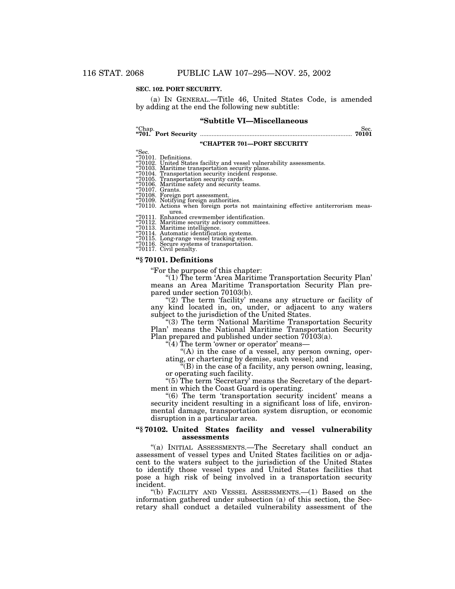#### **SEC. 102. PORT SECURITY.**

(a) IN GENERAL.—Title 46, United States Code, is amended by adding at the end the following new subtitle:

## **''Subtitle VI—Miscellaneous**

''Chap. Sec. **''701. Port Security** ............................................................................................ **<sup>70101</sup>**

#### **''CHAPTER 701—PORT SECURITY**

"Sec.<br>"70101. Definitions.<br>"70102. United States facility and vessel vulnerability assessments.<br>"70103. Maritime transportation security plans.<br>"70104. Transportation security cards.<br>"70106. Transportation security cards.<br>

"70107. Grants.<br>"70108. Foreign port assessment.<br>"70109. Notifying foreign authorities.<br>"70110. Actions when foreign ports not maintaining effective antiterrorism meas-

ures.<br>"70111. Enhanced crewmember identification.

''70112. Maritime security advisory committees. ''70113. Maritime intelligence.

''70114. Automatic identification systems. ''70115. Long-range vessel tracking system. ''70116. Secure systems of transportation. ''70117. Civil penalty.

#### **''§ 70101. Definitions**

"(1) The term 'Area Maritime Transportation Security Plan' means an Area Maritime Transportation Security Plan pre-<br>pared under section 70103(b). pared under section 70103(b).<br>"(2) The term 'facility' means any structure or facility of

any kind located in, on, under, or adjacent to any waters

subject to the jurisdiction of the United States. ''(3) The term 'National Maritime Transportation Security Plan' means the National Maritime Transportation Security Plan prepared and published under section 70103(a).<br>
"(4) The term 'owner or operator' means—<br>
"(A) in the case of a vessel, any person owning, oper-

ating, or chartering by demise, such vessel; and

 $\hat{H}(B)$  in the case of a facility, any person owning, leasing, or operating such facility.

''(5) The term 'Secretary' means the Secretary of the department in which the Coast Guard is operating.

"(6) The term 'transportation security incident' means a security incident resulting in a significant loss of life, environmental damage, transportation system disruption, or economic disruption in a particular area.

#### **''§ 70102. United States facility and vessel vulnerability assessments**

''(a) INITIAL ASSESSMENTS.—The Secretary shall conduct an assessment of vessel types and United States facilities on or adjacent to the waters subject to the jurisdiction of the United States to identify those vessel types and United States facilities that pose a high risk of being involved in a transportation security incident.

''(b) FACILITY AND VESSEL ASSESSMENTS.—(1) Based on the information gathered under subsection (a) of this section, the Secretary shall conduct a detailed vulnerability assessment of the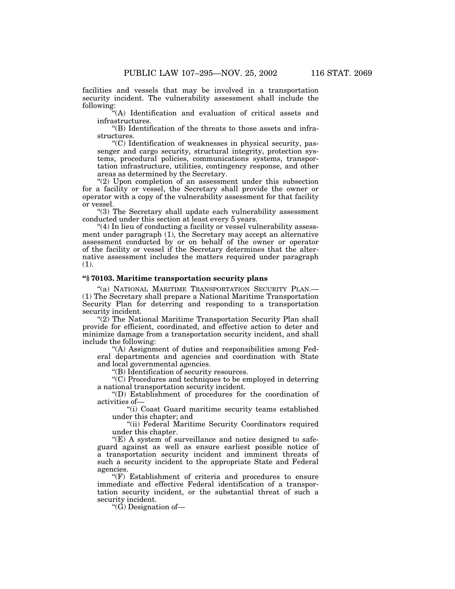facilities and vessels that may be involved in a transportation security incident. The vulnerability assessment shall include the following:

''(A) Identification and evaluation of critical assets and infrastructures.

''(B) Identification of the threats to those assets and infrastructures.

''(C) Identification of weaknesses in physical security, passenger and cargo security, structural integrity, protection systems, procedural policies, communications systems, transportation infrastructure, utilities, contingency response, and other areas as determined by the Secretary.

''(2) Upon completion of an assessment under this subsection for a facility or vessel, the Secretary shall provide the owner or operator with a copy of the vulnerability assessment for that facility or vessel.

''(3) The Secretary shall update each vulnerability assessment conducted under this section at least every 5 years.

''(4) In lieu of conducting a facility or vessel vulnerability assessment under paragraph (1), the Secretary may accept an alternative assessment conducted by or on behalf of the owner or operator of the facility or vessel if the Secretary determines that the alternative assessment includes the matters required under paragraph (1).

#### **''§ 70103. Maritime transportation security plans**

"(a) NATIONAL MARITIME TRANSPORTATION SECURITY PLAN.— (1) The Secretary shall prepare a National Maritime Transportation Security Plan for deterring and responding to a transportation security incident.

"(2) The National Maritime Transportation Security Plan shall provide for efficient, coordinated, and effective action to deter and minimize damage from a transportation security incident, and shall include the following:

(A) Assignment of duties and responsibilities among Federal departments and agencies and coordination with State and local governmental agencies.

''(B) Identification of security resources.

''(C) Procedures and techniques to be employed in deterring a national transportation security incident.

''(D) Establishment of procedures for the coordination of activities of—

''(i) Coast Guard maritime security teams established under this chapter; and

"(ii) Federal Maritime Security Coordinators required under this chapter.

''(E) A system of surveillance and notice designed to safeguard against as well as ensure earliest possible notice of a transportation security incident and imminent threats of such a security incident to the appropriate State and Federal agencies.

 $(F)$  Establishment of criteria and procedures to ensure immediate and effective Federal identification of a transportation security incident, or the substantial threat of such a security incident.

''(G) Designation of—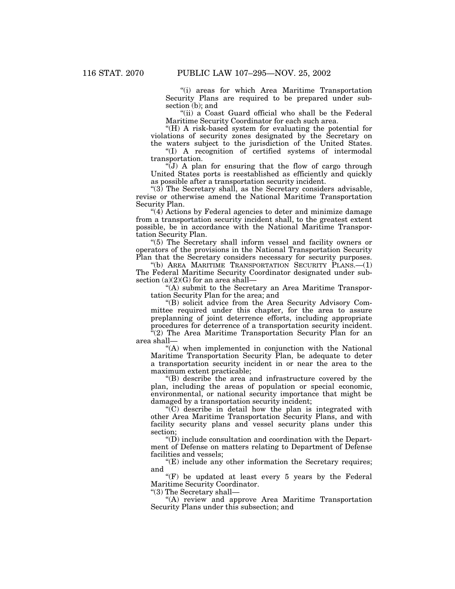"(i) areas for which Area Maritime Transportation Security Plans are required to be prepared under subsection (b); and

"(ii) a Coast Guard official who shall be the Federal Maritime Security Coordinator for each such area.

''(H) A risk-based system for evaluating the potential for violations of security zones designated by the Secretary on the waters subject to the jurisdiction of the United States.

''(I) A recognition of certified systems of intermodal transportation.

''(J) A plan for ensuring that the flow of cargo through United States ports is reestablished as efficiently and quickly as possible after a transportation security incident.

" $(3)$  The Secretary shall, as the Secretary considers advisable, revise or otherwise amend the National Maritime Transportation Security Plan.

"(4) Actions by Federal agencies to deter and minimize damage from a transportation security incident shall, to the greatest extent possible, be in accordance with the National Maritime Transportation Security Plan.

''(5) The Secretary shall inform vessel and facility owners or operators of the provisions in the National Transportation Security Plan that the Secretary considers necessary for security purposes.

''(b) AREA MARITIME TRANSPORTATION SECURITY PLANS.—(1) The Federal Maritime Security Coordinator designated under subsection  $(a)(2)(G)$  for an area shall—

''(A) submit to the Secretary an Area Maritime Transportation Security Plan for the area; and

''(B) solicit advice from the Area Security Advisory Committee required under this chapter, for the area to assure preplanning of joint deterrence efforts, including appropriate procedures for deterrence of a transportation security incident. ''(2) The Area Maritime Transportation Security Plan for an

area shall— ''(A) when implemented in conjunction with the National Maritime Transportation Security Plan, be adequate to deter

a transportation security incident in or near the area to the maximum extent practicable;

''(B) describe the area and infrastructure covered by the plan, including the areas of population or special economic, environmental, or national security importance that might be damaged by a transportation security incident;

''(C) describe in detail how the plan is integrated with other Area Maritime Transportation Security Plans, and with facility security plans and vessel security plans under this section;

''(D) include consultation and coordination with the Department of Defense on matters relating to Department of Defense facilities and vessels;

"(E) include any other information the Secretary requires; and

"(F) be updated at least every 5 years by the Federal Maritime Security Coordinator.

''(3) The Secretary shall—

"(A) review and approve Area Maritime Transportation Security Plans under this subsection; and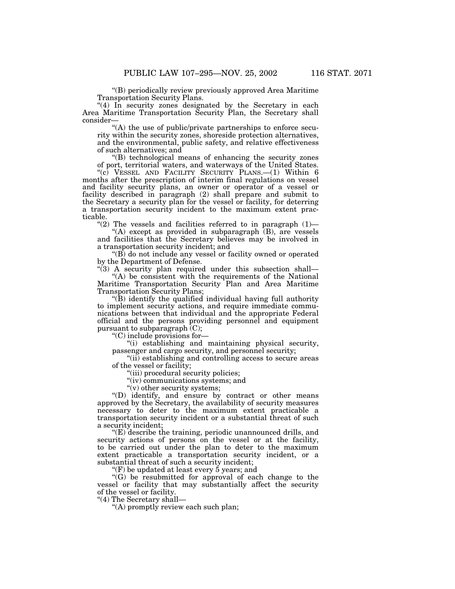''(B) periodically review previously approved Area Maritime Transportation Security Plans.

"(4) In security zones designated by the Secretary in each Area Maritime Transportation Security Plan, the Secretary shall consider—

"(A) the use of public/private partnerships to enforce security within the security zones, shoreside protection alternatives, and the environmental, public safety, and relative effectiveness of such alternatives; and

''(B) technological means of enhancing the security zones of port, territorial waters, and waterways of the United States.

"(c) VESSEL AND FACILITY SECURITY PLANS.—(1) Within 6 months after the prescription of interim final regulations on vessel and facility security plans, an owner or operator of a vessel or facility described in paragraph (2) shall prepare and submit to the Secretary a security plan for the vessel or facility, for deterring a transportation security incident to the maximum extent prac-

"(2) The vessels and facilities referred to in paragraph  $(1)$ —<br>"(A) except as provided in subparagraph (B), are vessels

and facilities that the Secretary believes may be involved in a transportation security incident; and

" $(B)$  do not include any vessel or facility owned or operated by the Department of Defense.<br>"(3) A security plan required under this subsection shall—

"(A) be consistent with the requirements of the National Maritime Transportation Security Plan and Area Maritime Transportation Security Plans;

 $\mathcal{F}(\mathbf{\tilde{B}})$  identify the qualified individual having full authority to implement security actions, and require immediate communications between that individual and the appropriate Federal official and the persons providing personnel and equipment pursuant to subparagraph  $(C)$ ;

''(C) include provisions for—

''(i) establishing and maintaining physical security, passenger and cargo security, and personnel security;

"(ii) establishing and controlling access to secure areas of the vessel or facility;

''(iii) procedural security policies;

''(iv) communications systems; and

"(v) other security systems;

''(D) identify, and ensure by contract or other means approved by the Secretary, the availability of security measures necessary to deter to the maximum extent practicable a transportation security incident or a substantial threat of such a security incident;

"(E) describe the training, periodic unannounced drills, and security actions of persons on the vessel or at the facility, to be carried out under the plan to deter to the maximum extent practicable a transportation security incident, or a substantial threat of such a security incident;

"(F) be updated at least every  $\check{5}$  years; and

"(G) be resubmitted for approval of each change to the vessel or facility that may substantially affect the security of the vessel or facility.

''(4) The Secretary shall—

''(A) promptly review each such plan;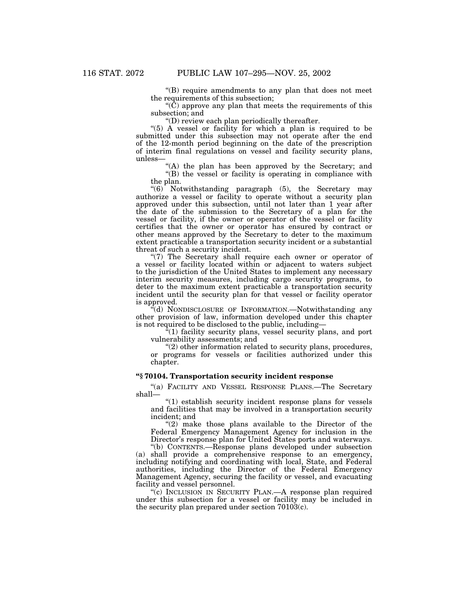''(B) require amendments to any plan that does not meet the requirements of this subsection;

" $(\hat{C})$  approve any plan that meets the requirements of this subsection; and

''(D) review each plan periodically thereafter.

''(5) A vessel or facility for which a plan is required to be submitted under this subsection may not operate after the end of the 12-month period beginning on the date of the prescription of interim final regulations on vessel and facility security plans, unless—

"(A) the plan has been approved by the Secretary; and ''(B) the vessel or facility is operating in compliance with the plan.

''(6) Notwithstanding paragraph (5), the Secretary may authorize a vessel or facility to operate without a security plan approved under this subsection, until not later than 1 year after the date of the submission to the Secretary of a plan for the vessel or facility, if the owner or operator of the vessel or facility certifies that the owner or operator has ensured by contract or other means approved by the Secretary to deter to the maximum extent practicable a transportation security incident or a substantial threat of such a security incident.

"(7) The Secretary shall require each owner or operator of a vessel or facility located within or adjacent to waters subject to the jurisdiction of the United States to implement any necessary interim security measures, including cargo security programs, to deter to the maximum extent practicable a transportation security incident until the security plan for that vessel or facility operator is approved.

''(d) NONDISCLOSURE OF INFORMATION.—Notwithstanding any other provision of law, information developed under this chapter is not required to be disclosed to the public, including—

"(1) facility security plans, vessel security plans, and port vulnerability assessments; and

"(2) other information related to security plans, procedures, or programs for vessels or facilities authorized under this chapter.

# **''§ 70104. Transportation security incident response**

''(a) FACILITY AND VESSEL RESPONSE PLANS.—The Secretary shall—

''(1) establish security incident response plans for vessels and facilities that may be involved in a transportation security incident; and

"(2) make those plans available to the Director of the Federal Emergency Management Agency for inclusion in the Director's response plan for United States ports and waterways.

''(b) CONTENTS.—Response plans developed under subsection (a) shall provide a comprehensive response to an emergency, including notifying and coordinating with local, State, and Federal authorities, including the Director of the Federal Emergency Management Agency, securing the facility or vessel, and evacuating facility and vessel personnel.

"(c) INCLUSION IN SECURITY PLAN.—A response plan required under this subsection for a vessel or facility may be included in the security plan prepared under section  $70103(c)$ .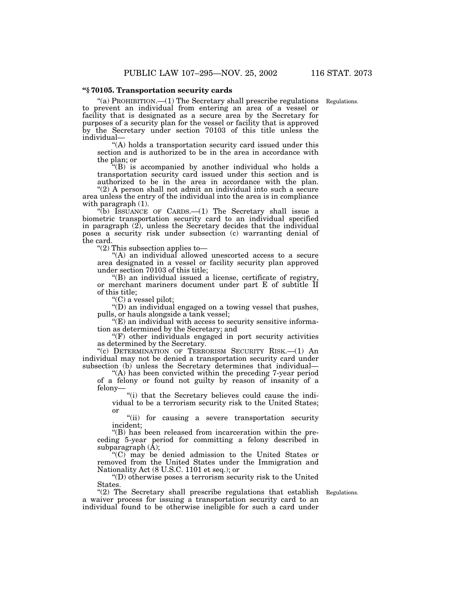## **''§ 70105. Transportation security cards**

Regulations.

"(a) PROHIBITION.—(1) The Secretary shall prescribe regulations to prevent an individual from entering an area of a vessel or facility that is designated as a secure area by the Secretary for purposes of a security plan for the vessel or facility that is approved by the Secretary under section 70103 of this title unless the individual—

''(A) holds a transportation security card issued under this section and is authorized to be in the area in accordance with the plan; or  $\cdot$  (B) is accompanied by another individual who holds a

transportation security card issued under this section and is authorized to be in the area in accordance with the plan.

"(2) A person shall not admit an individual into such a secure area unless the entry of the individual into the area is in compliance

 $\sqrt{\ }$ (b) ISSUANCE OF CARDS.—(1) The Secretary shall issue a biometric transportation security card to an individual specified in paragraph (2), unless the Secretary decides that the individual poses a security risk under subsection (c) warranting denial of

"(2) This subsection applies to—<br>"(A) an individual allowed unescorted access to a secure area designated in a vessel or facility security plan approved

"(B) an individual issued a license, certificate of registry or merchant mariners document under part E of subtitle II

"(C) a vessel pilot;

''(D) an individual engaged on a towing vessel that pushes,

 $E(E)$  an individual with access to security sensitive information as determined by the Secretary; and

 $f(F)$  other individuals engaged in port security activities as determined by the Secretary.

"(c) DETERMINATION OF TERRORISM SECURITY RISK.-(1) An individual may not be denied a transportation security card under subsection (b) unless the Secretary determines that individual—<br>"(A) has been convicted within the preceding 7-year period

of a felony or found not guilty by reason of insanity of a felony—

''(i) that the Secretary believes could cause the individual to be a terrorism security risk to the United States; or

"(ii) for causing a severe transportation security incident;

''(B) has been released from incarceration within the preceding 5-year period for committing a felony described in subparagraph (A);

''(C) may be denied admission to the United States or removed from the United States under the Immigration and Nationality Act (8 U.S.C. 1101 et seq.); or

''(D) otherwise poses a terrorism security risk to the United States.

"(2) The Secretary shall prescribe regulations that establish Regulations. a waiver process for issuing a transportation security card to an individual found to be otherwise ineligible for such a card under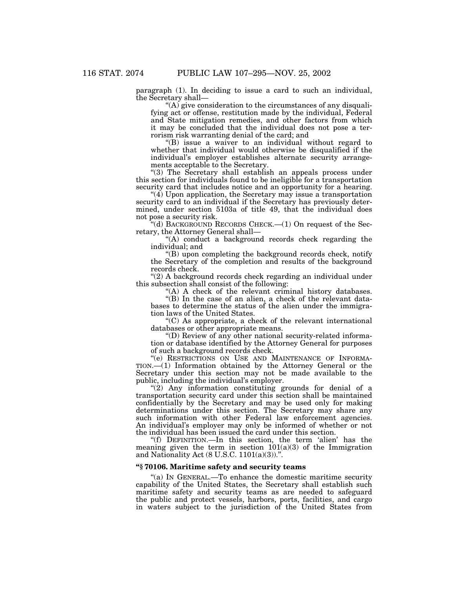paragraph (1). In deciding to issue a card to such an individual,

" $(A)$  give consideration to the circumstances of any disqualifying act or offense, restitution made by the individual, Federal and State mitigation remedies, and other factors from which it may be concluded that the individual does not pose a terrorism risk warranting denial of the card; and

''(B) issue a waiver to an individual without regard to whether that individual would otherwise be disqualified if the individual's employer establishes alternate security arrangements acceptable to the Secretary.

''(3) The Secretary shall establish an appeals process under this section for individuals found to be ineligible for a transportation security card that includes notice and an opportunity for a hearing.

 $\mathcal{H}(4)$  Upon application, the Secretary may issue a transportation security card to an individual if the Secretary has previously determined, under section 5103a of title 49, that the individual does not pose a security risk.

"(d) BACKGROUND RECORDS CHECK.—(1) On request of the Secretary, the Attorney General shall—

''(A) conduct a background records check regarding the individual; and

''(B) upon completing the background records check, notify the Secretary of the completion and results of the background records check.

''(2) A background records check regarding an individual under this subsection shall consist of the following:

"(A) A check of the relevant criminal history databases.

''(B) In the case of an alien, a check of the relevant databases to determine the status of the alien under the immigration laws of the United States.

''(C) As appropriate, a check of the relevant international databases or other appropriate means.

''(D) Review of any other national security-related information or database identified by the Attorney General for purposes of such a background records check.

''(e) RESTRICTIONS ON USE AND MAINTENANCE OF INFORMA-TION.—(1) Information obtained by the Attorney General or the Secretary under this section may not be made available to the public, including the individual's employer.

"(2) Any information constituting grounds for denial of a transportation security card under this section shall be maintained confidentially by the Secretary and may be used only for making determinations under this section. The Secretary may share any such information with other Federal law enforcement agencies. An individual's employer may only be informed of whether or not the individual has been issued the card under this section.

"(f) DEFINITION.—In this section, the term 'alien' has the meaning given the term in section  $101(a)(3)$  of the Immigration and Nationality Act  $(8 \text{ U.S.C. } 1101(a)(3))$ .".

# **''§ 70106. Maritime safety and security teams**

''(a) IN GENERAL.—To enhance the domestic maritime security capability of the United States, the Secretary shall establish such maritime safety and security teams as are needed to safeguard the public and protect vessels, harbors, ports, facilities, and cargo in waters subject to the jurisdiction of the United States from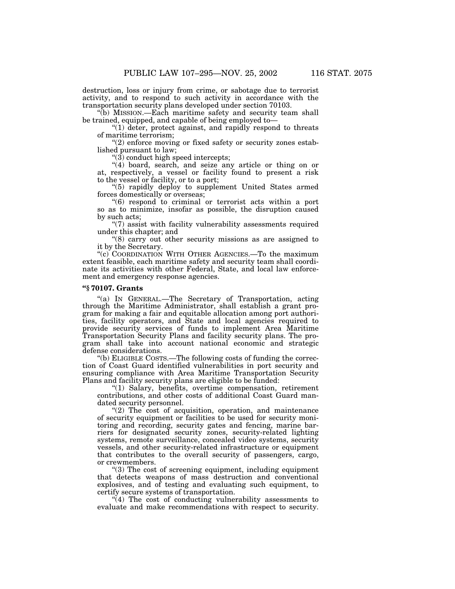destruction, loss or injury from crime, or sabotage due to terrorist activity, and to respond to such activity in accordance with the

"(b) MISSION.—Each maritime safety and security team shall be trained, equipped, and capable of being employed to—

 $(1)$  deter, protect against, and rapidly respond to threats of maritime terrorism;

 $\degree$ (2) enforce moving or fixed safety or security zones established pursuant to law;<br>"(3) conduct high speed intercepts;

''(4) board, search, and seize any article or thing on or at, respectively, a vessel or facility found to present a risk

"(5) rapidly deploy to supplement United States armed forces domestically or overseas;

 $f(6)$  respond to criminal or terrorist acts within a port so as to minimize, insofar as possible, the disruption caused

by such acts;  $\degree$ (7) assist with facility vulnerability assessments required under this chapter; and  $(8)$  carry out other security missions as are assigned to

it by the Secretary.

"(c) COORDINATION WITH OTHER AGENCIES.—To the maximum extent feasible, each maritime safety and security team shall coordinate its activities with other Federal, State, and local law enforcement and emergency response agencies.

#### **''§ 70107. Grants**

''(a) IN GENERAL.—The Secretary of Transportation, acting through the Maritime Administrator, shall establish a grant program for making a fair and equitable allocation among port authorities, facility operators, and State and local agencies required to provide security services of funds to implement Area Maritime Transportation Security Plans and facility security plans. The program shall take into account national economic and strategic defense considerations.

''(b) ELIGIBLE COSTS.—The following costs of funding the correction of Coast Guard identified vulnerabilities in port security and ensuring compliance with Area Maritime Transportation Security Plans and facility security plans are eligible to be funded:

''(1) Salary, benefits, overtime compensation, retirement contributions, and other costs of additional Coast Guard mandated security personnel.

 $(2)$  The cost of acquisition, operation, and maintenance of security equipment or facilities to be used for security monitoring and recording, security gates and fencing, marine barriers for designated security zones, security-related lighting systems, remote surveillance, concealed video systems, security vessels, and other security-related infrastructure or equipment that contributes to the overall security of passengers, cargo, or crewmembers.

''(3) The cost of screening equipment, including equipment that detects weapons of mass destruction and conventional explosives, and of testing and evaluating such equipment, to certify secure systems of transportation.

 $(4)$  The cost of conducting vulnerability assessments to evaluate and make recommendations with respect to security.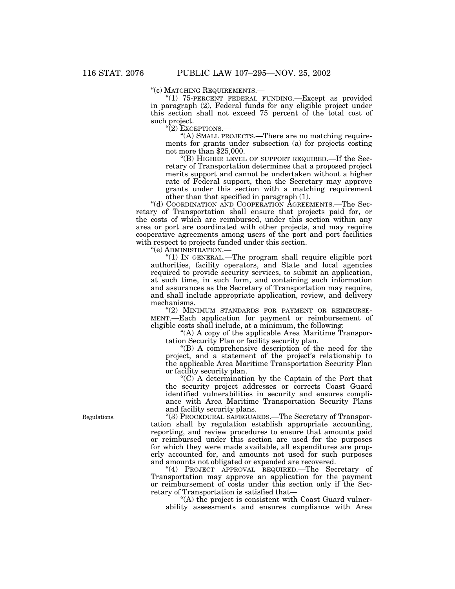''(c) MATCHING REQUIREMENTS.—

" $(1)$  75-PERCENT FEDERAL FUNDING. Except as provided in paragraph (2), Federal funds for any eligible project under this section shall not exceed 75 percent of the total cost of such project.

''(2) EXCEPTIONS.—

"(A) SMALL PROJECTS.—There are no matching requirements for grants under subsection (a) for projects costing not more than \$25,000.

''(B) HIGHER LEVEL OF SUPPORT REQUIRED.—If the Secretary of Transportation determines that a proposed project merits support and cannot be undertaken without a higher rate of Federal support, then the Secretary may approve grants under this section with a matching requirement other than that specified in paragraph (1).

''(d) COORDINATION AND COOPERATION AGREEMENTS.—The Secretary of Transportation shall ensure that projects paid for, or the costs of which are reimbursed, under this section within any area or port are coordinated with other projects, and may require cooperative agreements among users of the port and port facilities with respect to projects funded under this section.

''(e) ADMINISTRATION.—

"(1) IN GENERAL.—The program shall require eligible port authorities, facility operators, and State and local agencies required to provide security services, to submit an application, at such time, in such form, and containing such information and assurances as the Secretary of Transportation may require, and shall include appropriate application, review, and delivery mechanisms.

"(2) MINIMUM STANDARDS FOR PAYMENT OR REIMBURSE-MENT.—Each application for payment or reimbursement of eligible costs shall include, at a minimum, the following:

"(A) A copy of the applicable Area Maritime Transportation Security Plan or facility security plan.

''(B) A comprehensive description of the need for the project, and a statement of the project's relationship to the applicable Area Maritime Transportation Security Plan or facility security plan.

''(C) A determination by the Captain of the Port that the security project addresses or corrects Coast Guard identified vulnerabilities in security and ensures compliance with Area Maritime Transportation Security Plans and facility security plans.

''(3) PROCEDURAL SAFEGUARDS.—The Secretary of Transportation shall by regulation establish appropriate accounting, reporting, and review procedures to ensure that amounts paid or reimbursed under this section are used for the purposes for which they were made available, all expenditures are properly accounted for, and amounts not used for such purposes and amounts not obligated or expended are recovered.

''(4) PROJECT APPROVAL REQUIRED.—The Secretary of Transportation may approve an application for the payment or reimbursement of costs under this section only if the Secretary of Transportation is satisfied that—

''(A) the project is consistent with Coast Guard vulnerability assessments and ensures compliance with Area

Regulations.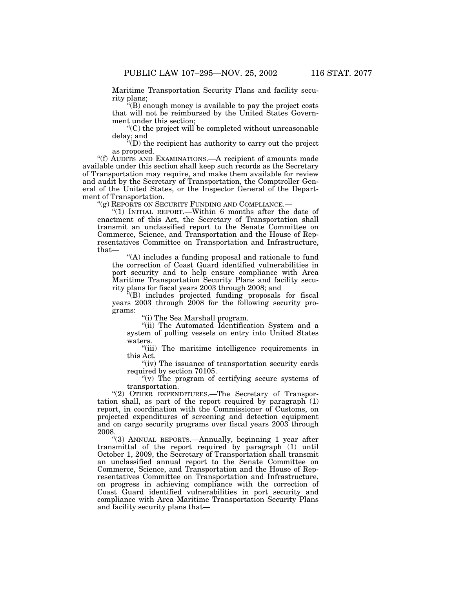Maritime Transportation Security Plans and facility security plans;

''(B) enough money is available to pay the project costs that will not be reimbursed by the United States Government under this section;

''(C) the project will be completed without unreasonable delay; and

''(D) the recipient has authority to carry out the project as proposed.

''(f) AUDITS AND EXAMINATIONS.—A recipient of amounts made available under this section shall keep such records as the Secretary of Transportation may require, and make them available for review and audit by the Secretary of Transportation, the Comptroller General of the United States, or the Inspector General of the Department of Transportation.

''(g) REPORTS ON SECURITY FUNDING AND COMPLIANCE.—

''(1) INITIAL REPORT.—Within 6 months after the date of enactment of this Act, the Secretary of Transportation shall transmit an unclassified report to the Senate Committee on Commerce, Science, and Transportation and the House of Representatives Committee on Transportation and Infrastructure, that—

''(A) includes a funding proposal and rationale to fund the correction of Coast Guard identified vulnerabilities in port security and to help ensure compliance with Area Maritime Transportation Security Plans and facility security plans for fiscal years 2003 through 2008; and

''(B) includes projected funding proposals for fiscal years 2003 through 2008 for the following security programs:

''(i) The Sea Marshall program.

''(ii) The Automated Identification System and a system of polling vessels on entry into United States waters.

"(iii) The maritime intelligence requirements in this Act.

"(iv) The issuance of transportation security cards required by section 70105.

" $(v)$  The program of certifying secure systems of transportation.

''(2) OTHER EXPENDITURES.—The Secretary of Transportation shall, as part of the report required by paragraph (1) report, in coordination with the Commissioner of Customs, on projected expenditures of screening and detection equipment and on cargo security programs over fiscal years 2003 through 2008.

''(3) ANNUAL REPORTS.—Annually, beginning 1 year after transmittal of the report required by paragraph (1) until October 1, 2009, the Secretary of Transportation shall transmit an unclassified annual report to the Senate Committee on Commerce, Science, and Transportation and the House of Representatives Committee on Transportation and Infrastructure, on progress in achieving compliance with the correction of Coast Guard identified vulnerabilities in port security and compliance with Area Maritime Transportation Security Plans and facility security plans that—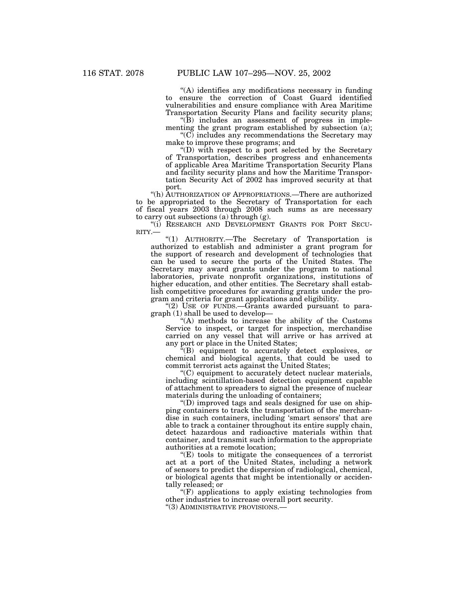''(A) identifies any modifications necessary in funding to ensure the correction of Coast Guard identified vulnerabilities and ensure compliance with Area Maritime Transportation Security Plans and facility security plans;

''(B) includes an assessment of progress in implementing the grant program established by subsection  $\alpha$ );

''(C) includes any recommendations the Secretary may make to improve these programs; and

''(D) with respect to a port selected by the Secretary of Transportation, describes progress and enhancements of applicable Area Maritime Transportation Security Plans and facility security plans and how the Maritime Transportation Security Act of 2002 has improved security at that port.

''(h) AUTHORIZATION OF APPROPRIATIONS.—There are authorized to be appropriated to the Secretary of Transportation for each of fiscal years 2003 through 2008 such sums as are necessary to carry out subsections (a) through (g).<br>"(i) RESEARCH AND DEVELOPMENT GRANTS FOR PORT SECU-

RITY.—

''(1) AUTHORITY.—The Secretary of Transportation is authorized to establish and administer a grant program for the support of research and development of technologies that can be used to secure the ports of the United States. The Secretary may award grants under the program to national laboratories, private nonprofit organizations, institutions of higher education, and other entities. The Secretary shall establish competitive procedures for awarding grants under the program and criteria for grant applications and eligibility.

" $(2)$  USE OF FUNDS.—Grants awarded pursuant to paragraph (1) shall be used to develop—

"(A) methods to increase the ability of the Customs Service to inspect, or target for inspection, merchandise carried on any vessel that will arrive or has arrived at any port or place in the United States;<br>"(B) equipment to accurately detect explosives, or

chemical and biological agents, that could be used to commit terrorist acts against the United States;

''(C) equipment to accurately detect nuclear materials, including scintillation-based detection equipment capable of attachment to spreaders to signal the presence of nuclear materials during the unloading of containers;

''(D) improved tags and seals designed for use on shipping containers to track the transportation of the merchandise in such containers, including 'smart sensors' that are able to track a container throughout its entire supply chain, detect hazardous and radioactive materials within that container, and transmit such information to the appropriate authorities at a remote location;

''(E) tools to mitigate the consequences of a terrorist act at a port of the United States, including a network of sensors to predict the dispersion of radiological, chemical, or biological agents that might be intentionally or accidentally released; or

"(F) applications to apply existing technologies from other industries to increase overall port security.

''(3) ADMINISTRATIVE PROVISIONS.—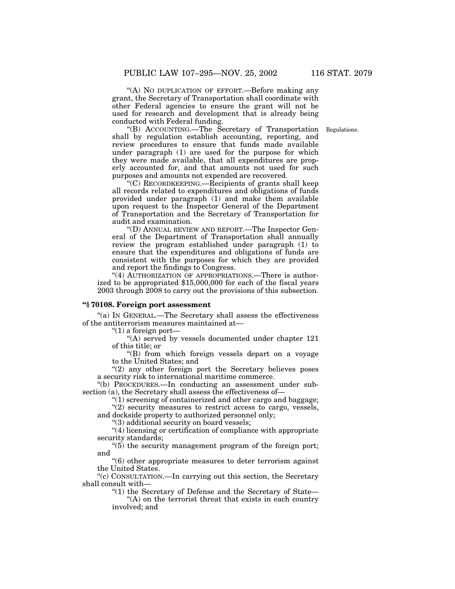conducted with Federal funding.

''(A) NO DUPLICATION OF EFFORT.—Before making any grant, the Secretary of Transportation shall coordinate with other Federal agencies to ensure the grant will not be used for research and development that is already being

"(B) ACCOUNTING.—The Secretary of Transportation Regulations. shall by regulation establish accounting, reporting, and review procedures to ensure that funds made available under paragraph (1) are used for the purpose for which they were made available, that all expenditures are properly accounted for, and that amounts not used for such purposes and amounts not expended are recovered.

''(C) RECORDKEEPING.—Recipients of grants shall keep all records related to expenditures and obligations of funds provided under paragraph (1) and make them available upon request to the Inspector General of the Department of Transportation and the Secretary of Transportation for audit and examination.

''(D) ANNUAL REVIEW AND REPORT.—The Inspector General of the Department of Transportation shall annually review the program established under paragraph (1) to ensure that the expenditures and obligations of funds are consistent with the purposes for which they are provided and report the findings to Congress.

"(4) AUTHORIZATION OF APPROPRIATIONS.—There is authorized to be appropriated \$15,000,000 for each of the fiscal years 2003 through 2008 to carry out the provisions of this subsection.

## **''§ 70108. Foreign port assessment**

"(a) IN GENERAL.—The Secretary shall assess the effectiveness of the antiterrorism measures maintained at—

''(1) a foreign port—

''(A) served by vessels documented under chapter 121 of this title; or

''(B) from which foreign vessels depart on a voyage to the United States; and

"(2) any other foreign port the Secretary believes poses a security risk to international maritime commerce.

''(b) PROCEDURES.—In conducting an assessment under subsection (a), the Secretary shall assess the effectiveness of-

''(1) screening of containerized and other cargo and baggage; " $(2)$  security measures to restrict access to cargo, vessels,

and dockside property to authorized personnel only;

''(3) additional security on board vessels;

''(4) licensing or certification of compliance with appropriate security standards;

 $(5)$  the security management program of the foreign port; and

''(6) other appropriate measures to deter terrorism against the United States.

''(c) CONSULTATION.—In carrying out this section, the Secretary shall consult with—

''(1) the Secretary of Defense and the Secretary of State—

''(A) on the terrorist threat that exists in each country involved; and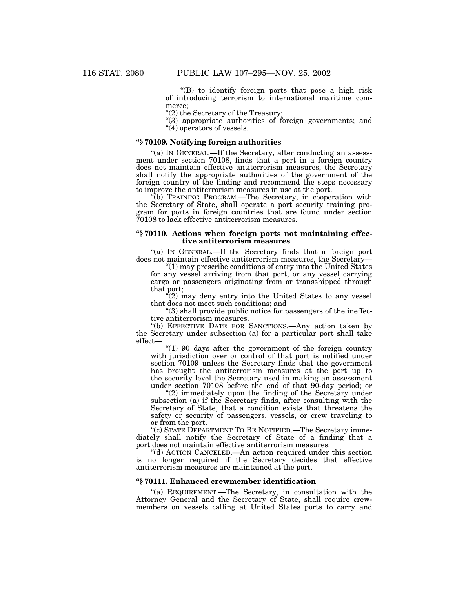''(B) to identify foreign ports that pose a high risk of introducing terrorism to international maritime commerce;

"(2) the Secretary of the Treasury;

''(3) appropriate authorities of foreign governments; and "(4) operators of vessels.

## **''§ 70109. Notifying foreign authorities**

"(a) IN GENERAL.—If the Secretary, after conducting an assessment under section 70108, finds that a port in a foreign country does not maintain effective antiterrorism measures, the Secretary shall notify the appropriate authorities of the government of the foreign country of the finding and recommend the steps necessary

to improve the antiterrorism measures in use at the port. ''(b) TRAINING PROGRAM.—The Secretary, in cooperation with the Secretary of State, shall operate a port security training program for ports in foreign countries that are found under section 70108 to lack effective antiterrorism measures.

#### **''§ 70110. Actions when foreign ports not maintaining effective antiterrorism measures**

''(a) IN GENERAL.—If the Secretary finds that a foreign port does not maintain effective antiterrorism measures, the Secretary—

''(1) may prescribe conditions of entry into the United States for any vessel arriving from that port, or any vessel carrying cargo or passengers originating from or transshipped through that port;

 $(2)$  may deny entry into the United States to any vessel that does not meet such conditions; and

 $(3)$  shall provide public notice for passengers of the ineffective antiterrorism measures.

''(b) EFFECTIVE DATE FOR SANCTIONS.—Any action taken by the Secretary under subsection (a) for a particular port shall take effect— $(1)$  90 days after the government of the foreign country

with jurisdiction over or control of that port is notified under section 70109 unless the Secretary finds that the government has brought the antiterrorism measures at the port up to the security level the Secretary used in making an assessment under section 70108 before the end of that  $90$ -day period; or

"(2) immediately upon the finding of the Secretary under subsection (a) if the Secretary finds, after consulting with the Secretary of State, that a condition exists that threatens the safety or security of passengers, vessels, or crew traveling to or from the port.

''(c) STATE DEPARTMENT TO BE NOTIFIED.—The Secretary immediately shall notify the Secretary of State of a finding that a port does not maintain effective antiterrorism measures.

''(d) ACTION CANCELED.—An action required under this section is no longer required if the Secretary decides that effective antiterrorism measures are maintained at the port.

## **''§ 70111. Enhanced crewmember identification**

''(a) REQUIREMENT.—The Secretary, in consultation with the Attorney General and the Secretary of State, shall require crewmembers on vessels calling at United States ports to carry and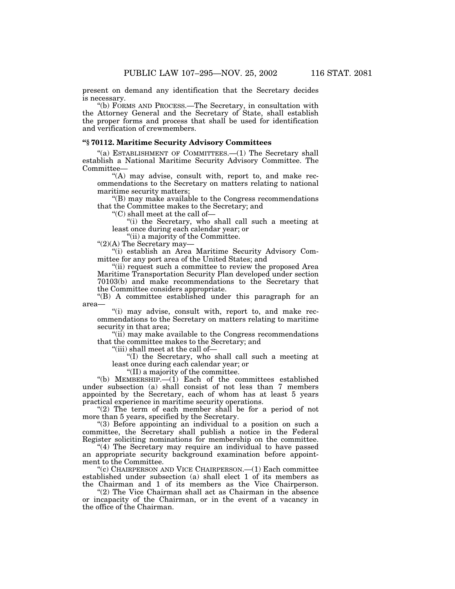present on demand any identification that the Secretary decides is necessary.

''(b) FORMS AND PROCESS.—The Secretary, in consultation with the Attorney General and the Secretary of State, shall establish the proper forms and process that shall be used for identification and verification of crewmembers.

## **''§ 70112. Maritime Security Advisory Committees**

''(a) ESTABLISHMENT OF COMMITTEES.—(1) The Secretary shall establish a National Maritime Security Advisory Committee. The Committee—

"(A) may advise, consult with, report to, and make recommendations to the Secretary on matters relating to national maritime security matters;

''(B) may make available to the Congress recommendations that the Committee makes to the Secretary; and

''(C) shall meet at the call of—

''(i) the Secretary, who shall call such a meeting at least once during each calendar year; or

"(ii) a majority of the Committee.

''(2)(A) The Secretary may—

"(i) establish an Area Maritime Security Advisory Committee for any port area of the United States; and

''(ii) request such a committee to review the proposed Area Maritime Transportation Security Plan developed under section 70103(b) and make recommendations to the Secretary that the Committee considers appropriate.

''(B) A committee established under this paragraph for an area—

"(i) may advise, consult with, report to, and make recommendations to the Secretary on matters relating to maritime security in that area;

''(ii) may make available to the Congress recommendations that the committee makes to the Secretary; and

''(iii) shall meet at the call of—

''(I) the Secretary, who shall call such a meeting at least once during each calendar year; or

''(II) a majority of the committee.

"(b) MEMBERSHIP. $-(1)$  Each of the committees established under subsection (a) shall consist of not less than 7 members appointed by the Secretary, each of whom has at least 5 years practical experience in maritime security operations.

" $(2)$  The term of each member shall be for a period of not more than 5 years, specified by the Secretary.

''(3) Before appointing an individual to a position on such a committee, the Secretary shall publish a notice in the Federal Register soliciting nominations for membership on the committee.

"(4) The Secretary may require an individual to have passed an appropriate security background examination before appointment to the Committee.

''(c) CHAIRPERSON AND VICE CHAIRPERSON.—(1) Each committee established under subsection (a) shall elect 1 of its members as the Chairman and 1 of its members as the Vice Chairperson.

"(2) The Vice Chairman shall act as Chairman in the absence or incapacity of the Chairman, or in the event of a vacancy in the office of the Chairman.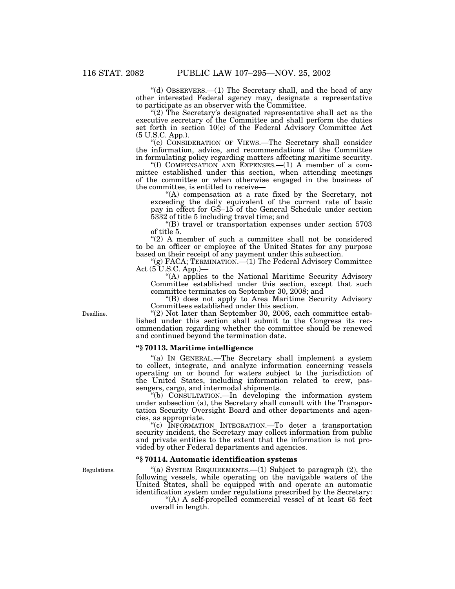"(d)  $O$ BSERVERS.—(1) The Secretary shall, and the head of any other interested Federal agency may, designate a representative to participate as an observer with the Committee. ''(2) The Secretary's designated representative shall act as the

executive secretary of the Committee and shall perform the duties set forth in section 10(c) of the Federal Advisory Committee Act (5 U.S.C. App.).

''(e) CONSIDERATION OF VIEWS.—The Secretary shall consider the information, advice, and recommendations of the Committee

in formulating policy regarding matters affecting maritime security. ''(f) COMPENSATION AND EXPENSES.—(1) A member of a committee established under this section, when attending meetings of the committee or when otherwise engaged in the business of the committee, is entitled to receive—

"(A) compensation at a rate fixed by the Secretary, not exceeding the daily equivalent of the current rate of basic pay in effect for GS–15 of the General Schedule under section 5332 of title 5 including travel time; and

"(B) travel or transportation expenses under section 5703 of title 5.

"(2) A member of such a committee shall not be considered to be an officer or employee of the United States for any purpose

"(g) FACA; TERMINATION.—(1) The Federal Advisory Committee Act (5 U.S.C. App.)—

''(A) applies to the National Maritime Security Advisory Committee established under this section, except that such committee terminates on September 30, 2008; and

''(B) does not apply to Area Maritime Security Advisory Committees established under this section.

"(2) Not later than September 30, 2006, each committee established under this section shall submit to the Congress its recommendation regarding whether the committee should be renewed and continued beyond the termination date.

## **''§ 70113. Maritime intelligence**

"(a) IN GENERAL.—The Secretary shall implement a system to collect, integrate, and analyze information concerning vessels operating on or bound for waters subject to the jurisdiction of the United States, including information related to crew, passengers, cargo, and intermodal shipments.

''(b) CONSULTATION.—In developing the information system under subsection (a), the Secretary shall consult with the Transportation Security Oversight Board and other departments and agencies, as appropriate.

''(c) INFORMATION INTEGRATION.—To deter a transportation security incident, the Secretary may collect information from public and private entities to the extent that the information is not provided by other Federal departments and agencies.

## **''§ 70114. Automatic identification systems**

"(a) SYSTEM REQUIREMENTS.— $(1)$  Subject to paragraph  $(2)$ , the following vessels, while operating on the navigable waters of the United States, shall be equipped with and operate an automatic identification system under regulations prescribed by the Secretary:

"(A) A self-propelled commercial vessel of at least 65 feet overall in length.

Deadline.

Regulations.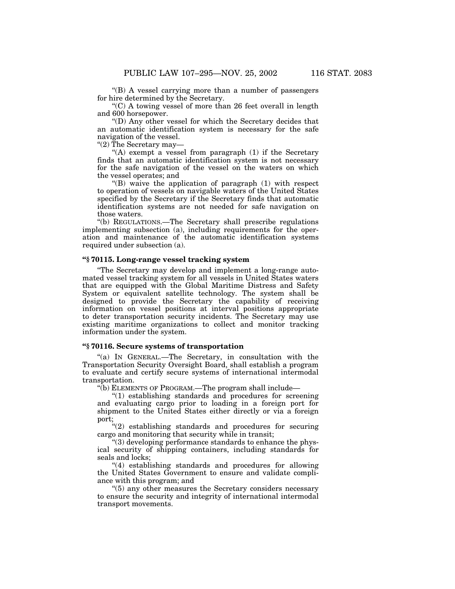''(B) A vessel carrying more than a number of passengers for hire determined by the Secretary.

''(C) A towing vessel of more than 26 feet overall in length and 600 horsepower.

''(D) Any other vessel for which the Secretary decides that an automatic identification system is necessary for the safe navigation of the vessel.

''(2) The Secretary may—

"(A) exempt a vessel from paragraph  $(1)$  if the Secretary finds that an automatic identification system is not necessary for the safe navigation of the vessel on the waters on which the vessel operates; and

" $(B)$  waive the application of paragraph  $(1)$  with respect to operation of vessels on navigable waters of the United States specified by the Secretary if the Secretary finds that automatic identification systems are not needed for safe navigation on those waters.

''(b) REGULATIONS.—The Secretary shall prescribe regulations implementing subsection (a), including requirements for the operation and maintenance of the automatic identification systems required under subsection (a).

## **''§ 70115. Long-range vessel tracking system**

''The Secretary may develop and implement a long-range automated vessel tracking system for all vessels in United States waters that are equipped with the Global Maritime Distress and Safety System or equivalent satellite technology. The system shall be designed to provide the Secretary the capability of receiving information on vessel positions at interval positions appropriate to deter transportation security incidents. The Secretary may use existing maritime organizations to collect and monitor tracking information under the system.

#### **''§ 70116. Secure systems of transportation**

''(a) IN GENERAL.—The Secretary, in consultation with the Transportation Security Oversight Board, shall establish a program to evaluate and certify secure systems of international intermodal transportation.

''(b) ELEMENTS OF PROGRAM.—The program shall include—

''(1) establishing standards and procedures for screening and evaluating cargo prior to loading in a foreign port for shipment to the United States either directly or via a foreign port;

 $f''(2)$  establishing standards and procedures for securing cargo and monitoring that security while in transit;

''(3) developing performance standards to enhance the physical security of shipping containers, including standards for seals and locks;

"(4) establishing standards and procedures for allowing the United States Government to ensure and validate compliance with this program; and

''(5) any other measures the Secretary considers necessary to ensure the security and integrity of international intermodal transport movements.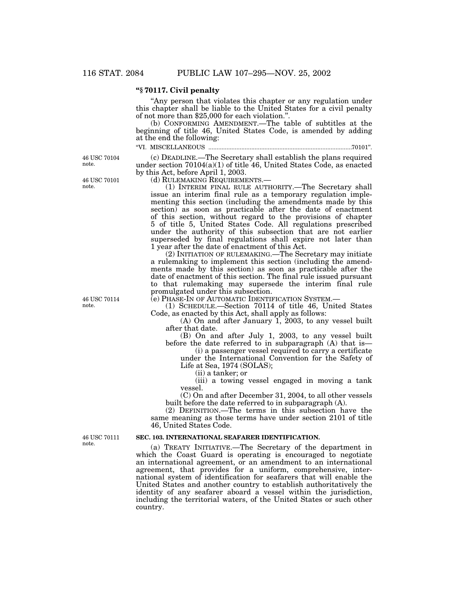## **''§ 70117. Civil penalty**

"Any person that violates this chapter or any regulation under this chapter shall be liable to the United States for a civil penalty of not more than \$25,000 for each violation.''.

(b) CONFORMING AMENDMENT.—The table of subtitles at the beginning of title 46, United States Code, is amended by adding at the end the following:

# ''VI. MISCELLANEOUS .......................................................................................70101''.

46 USC 70104 note.

46 USC 70101 note.

46 USC 70114 note.

(c) DEADLINE.—The Secretary shall establish the plans required under section 70104(a)(1) of title 46, United States Code, as enacted by this Act, before April 1, 2003.<br>(d) RULEMAKING REQUIREMENTS.

(1) INTERIM FINAL RULE AUTHORITY.—The Secretary shall issue an interim final rule as a temporary regulation implementing this section (including the amendments made by this section) as soon as practicable after the date of enactment of this section, without regard to the provisions of chapter 5 of title 5, United States Code. All regulations prescribed under the authority of this subsection that are not earlier superseded by final regulations shall expire not later than 1 year after the date of enactment of this Act.

(2) INITIATION OF RULEMAKING.—The Secretary may initiate a rulemaking to implement this section (including the amendments made by this section) as soon as practicable after the date of enactment of this section. The final rule issued pursuant to that rulemaking may supersede the interim final rule promulgated under this subsection.

(e) PHASE-IN OF AUTOMATIC IDENTIFICATION SYSTEM.—

(1) SCHEDULE.—Section 70114 of title 46, United States Code, as enacted by this Act, shall apply as follows:

(A) On and after January 1, 2003, to any vessel built after that date.

(B) On and after July 1, 2003, to any vessel built before the date referred to in subparagraph (A) that is— (i) a passenger vessel required to carry a certificate

under the International Convention for the Safety of

Life at Sea, 1974 (SOLAS);

(ii) a tanker; or

(iii) a towing vessel engaged in moving a tank vessel.

(C) On and after December 31, 2004, to all other vessels built before the date referred to in subparagraph (A).

(2) DEFINITION.—The terms in this subsection have the same meaning as those terms have under section 2101 of title 46, United States Code.

#### **SEC. 103. INTERNATIONAL SEAFARER IDENTIFICATION.**

(a) TREATY INITIATIVE.—The Secretary of the department in which the Coast Guard is operating is encouraged to negotiate an international agreement, or an amendment to an international agreement, that provides for a uniform, comprehensive, international system of identification for seafarers that will enable the United States and another country to establish authoritatively the identity of any seafarer aboard a vessel within the jurisdiction, including the territorial waters, of the United States or such other country.

46 USC 70111 note.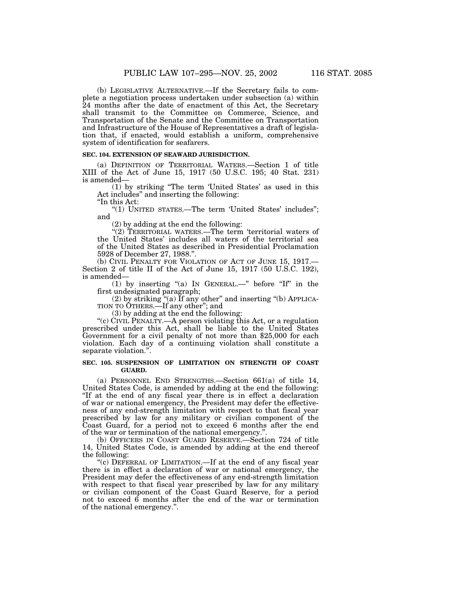(b) LEGISLATIVE ALTERNATIVE.—If the Secretary fails to complete a negotiation process undertaken under subsection (a) within 24 months after the date of enactment of this Act, the Secretary shall transmit to the Committee on Commerce, Science, and Transportation of the Senate and the Committee on Transportation and Infrastructure of the House of Representatives a draft of legislation that, if enacted, would establish a uniform, comprehensive system of identification for seafarers.

#### **SEC. 104. EXTENSION OF SEAWARD JURISDICTION.**

(a) DEFINITION OF TERRITORIAL WATERS.—Section 1 of title XIII of the Act of June 15, 1917 (50 U.S.C. 195; 40 Stat. 231)

is amended—<br>
(1) by striking "The term 'United States' as used in this<br>
Act includes" and inserting the following:

"In this Act:<br>"(1) UNITED STATES.—The term 'United States' includes"; and

(2) by adding at the end the following:

"(2) TERRITORIAL WATERS.—The term 'territorial waters of the United States' includes all waters of the territorial sea of the United States as described in Presidential Proclamation 5928 of December 27, 1988."

(b) CIVIL PENALTY FOR VIOLATION OF ACT OF JUNE 15, 1917.— Section 2 of title II of the Act of June 15, 1917 (50 U.S.C. 192), is amended—

(1) by inserting ''(a) IN GENERAL.—'' before ''If'' in the first undesignated paragraph;

(2) by striking "(a) If any other" and inserting "(b) APPLICA-TION TO OTHERS.—If any other''; and

(3) by adding at the end the following:

''(c) CIVIL PENALTY.—A person violating this Act, or a regulation prescribed under this Act, shall be liable to the United States Government for a civil penalty of not more than \$25,000 for each violation. Each day of a continuing violation shall constitute a separate violation.''.

#### **SEC. 105. SUSPENSION OF LIMITATION ON STRENGTH OF COAST GUARD.**

(a) PERSONNEL END STRENGTHS.—Section 661(a) of title 14, United States Code, is amended by adding at the end the following: ''If at the end of any fiscal year there is in effect a declaration of war or national emergency, the President may defer the effectiveness of any end-strength limitation with respect to that fiscal year prescribed by law for any military or civilian component of the Coast Guard, for a period not to exceed 6 months after the end of the war or termination of the national emergency.''.

(b) OFFICERS IN COAST GUARD RESERVE.—Section 724 of title 14, United States Code, is amended by adding at the end thereof the following:

"(c) DEFERRAL OF LIMITATION.—If at the end of any fiscal year there is in effect a declaration of war or national emergency, the President may defer the effectiveness of any end-strength limitation with respect to that fiscal year prescribed by law for any military or civilian component of the Coast Guard Reserve, for a period not to exceed  $6$  months after the end of the war or termination of the national emergency.''.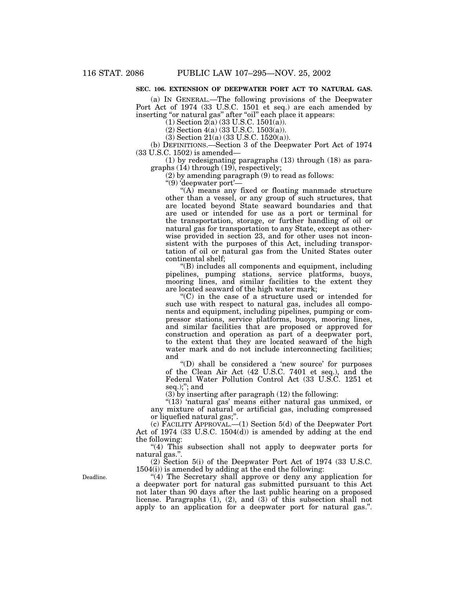## **SEC. 106. EXTENSION OF DEEPWATER PORT ACT TO NATURAL GAS.**

(a) IN GENERAL.—The following provisions of the Deepwater Port Act of 1974 (33 U.S.C. 1501 et seq.) are each amended by inserting "or natural gas" after "oil" each place it appears:

(1) Section 2(a) (33 U.S.C. 1501(a)).

(2) Section 4(a) (33 U.S.C. 1503(a)).

(3) Section 21(a) (33 U.S.C. 1520(a)).

(b) DEFINITIONS.—Section 3 of the Deepwater Port Act of 1974 (33 U.S.C. 1502) is amended—

(1) by redesignating paragraphs (13) through (18) as paragraphs (14) through (19), respectively;

(2) by amending paragraph (9) to read as follows:

''(9) 'deepwater port'—

"(A) means any fixed or floating manmade structure" other than a vessel, or any group of such structures, that are located beyond State seaward boundaries and that are used or intended for use as a port or terminal for the transportation, storage, or further handling of oil or natural gas for transportation to any State, except as otherwise provided in section 23, and for other uses not inconsistent with the purposes of this Act, including transportation of oil or natural gas from the United States outer continental shelf;

''(B) includes all components and equipment, including pipelines, pumping stations, service platforms, buoys, mooring lines, and similar facilities to the extent they are located seaward of the high water mark;

''(C) in the case of a structure used or intended for such use with respect to natural gas, includes all components and equipment, including pipelines, pumping or compressor stations, service platforms, buoys, mooring lines, and similar facilities that are proposed or approved for construction and operation as part of a deepwater port, to the extent that they are located seaward of the high water mark and do not include interconnecting facilities; and

''(D) shall be considered a 'new source' for purposes of the Clean Air Act (42 U.S.C. 7401 et seq.), and the Federal Water Pollution Control Act (33 U.S.C. 1251 et seq.);''; and

 $(3)$  by inserting after paragraph  $(12)$  the following:

"(13) 'natural gas' means either natural gas unmixed, or any mixture of natural or artificial gas, including compressed or liquefied natural gas;''.

(c) FACILITY APPROVAL.—(1) Section 5(d) of the Deepwater Port Act of 1974 (33 U.S.C. 1504(d)) is amended by adding at the end the following:

''(4) This subsection shall not apply to deepwater ports for natural gas.''.

(2) Section 5(i) of the Deepwater Port Act of 1974 (33 U.S.C. 1504(i)) is amended by adding at the end the following:

"(4) The Secretary shall approve or deny any application for a deepwater port for natural gas submitted pursuant to this Act not later than 90 days after the last public hearing on a proposed license. Paragraphs (1), (2), and (3) of this subsection shall not apply to an application for a deepwater port for natural gas.''.

Deadline.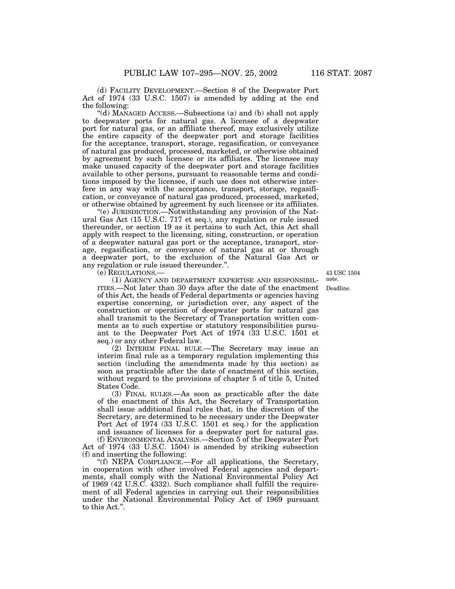(d) FACILITY DEVELOPMENT.—Section 8 of the Deepwater Port Act of 1974 (33 U.S.C. 1507) is amended by adding at the end the following:

''(d) MANAGED ACCESS.—Subsections (a) and (b) shall not apply to deepwater ports for natural gas. A licensee of a deepwater port for natural gas, or an affiliate thereof, may exclusively utilize the entire capacity of the deepwater port and storage facilities for the acceptance, transport, storage, regasification, or conveyance of natural gas produced, processed, marketed, or otherwise obtained by agreement by such licensee or its affiliates. The licensee may make unused capacity of the deepwater port and storage facilities available to other persons, pursuant to reasonable terms and conditions imposed by the licensee, if such use does not otherwise interfere in any way with the acceptance, transport, storage, regasification, or conveyance of natural gas produced, processed, marketed, or otherwise obtained by agreement by such licensee or its affiliates.

''(e) JURISDICTION.—Notwithstanding any provision of the Natural Gas Act (15 U.S.C. 717 et seq.), any regulation or rule issued thereunder, or section 19 as it pertains to such Act, this Act shall apply with respect to the licensing, siting, construction, or operation of a deepwater natural gas port or the acceptance, transport, storage, regasification, or conveyance of natural gas at or through a deepwater port, to the exclusion of the Natural Gas Act or any regulation or rule issued thereunder.''.

(e) REGULATIONS.—

(1) AGENCY AND DEPARTMENT EXPERTISE AND RESPONSIBIL-ITIES.—Not later than 30 days after the date of the enactment of this Act, the heads of Federal departments or agencies having expertise concerning, or jurisdiction over, any aspect of the construction or operation of deepwater ports for natural gas shall transmit to the Secretary of Transportation written comments as to such expertise or statutory responsibilities pursuant to the Deepwater Port Act of 1974 (33 U.S.C. 1501 et seq.) or any other Federal law.

(2) INTERIM FINAL RULE.—The Secretary may issue an interim final rule as a temporary regulation implementing this section (including the amendments made by this section) as soon as practicable after the date of enactment of this section, without regard to the provisions of chapter 5 of title 5, United States Code.

(3) FINAL RULES.—As soon as practicable after the date of the enactment of this Act, the Secretary of Transportation shall issue additional final rules that, in the discretion of the Secretary, are determined to be necessary under the Deepwater Port Act of 1974 (33 U.S.C. 1501 et seq.) for the application and issuance of licenses for a deepwater port for natural gas. (f) ENVIRONMENTAL ANALYSIS.—Section 5 of the Deepwater Port Act of 1974 (33 U.S.C. 1504) is amended by striking subsection

(f) and inserting the following:

''(f) NEPA COMPLIANCE.—For all applications, the Secretary, in cooperation with other involved Federal agencies and departments, shall comply with the National Environmental Policy Act of 1969 (42 U.S.C. 4332). Such compliance shall fulfill the requirement of all Federal agencies in carrying out their responsibilities under the National Environmental Policy Act of 1969 pursuant to this Act.''.

Deadline. 43 USC 1504 note.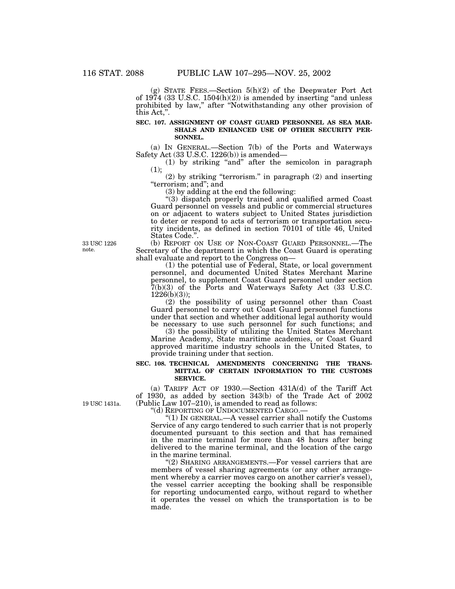(g) STATE FEES.—Section 5(h)(2) of the Deepwater Port Act of  $1974$  (33 U.S.C.  $1504(h)(2)$ ) is amended by inserting "and unless prohibited by law,'' after ''Notwithstanding any other provision of this Act."

#### **SEC. 107. ASSIGNMENT OF COAST GUARD PERSONNEL AS SEA MAR-SHALS AND ENHANCED USE OF OTHER SECURITY PER-SONNEL.**

(a) IN GENERAL.—Section 7(b) of the Ports and Waterways Safety Act  $(33 \text{ U.S.C. } 1226(b))$  is amended—

 $(1)$  by striking "and" after the semicolon in paragraph  $(1):$ 

(2) by striking "terrorism." in paragraph (2) and inserting "terrorism; and"; and

(3) by adding at the end the following:

"(3) dispatch properly trained and qualified armed Coast Guard personnel on vessels and public or commercial structures on or adjacent to waters subject to United States jurisdiction to deter or respond to acts of terrorism or transportation security incidents, as defined in section 70101 of title 46, United

(b) REPORT ON USE OF NON-COAST GUARD PERSONNEL.—The Secretary of the department in which the Coast Guard is operating shall evaluate and report to the Congress on—

 $(1)$  the potential use of Federal, State, or local government personnel, and documented United States Merchant Marine personnel, to supplement Coast Guard personnel under section  $7(b)(3)$  of the Ports and Waterways Safety Act (33 U.S.C.  $1226(b)(3)$ ;

(2) the possibility of using personnel other than Coast Guard personnel to carry out Coast Guard personnel functions under that section and whether additional legal authority would be necessary to use such personnel for such functions; and

(3) the possibility of utilizing the United States Merchant Marine Academy, State maritime academies, or Coast Guard approved maritime industry schools in the United States, to provide training under that section.

#### **SEC. 108. TECHNICAL AMENDMENTS CONCERNING THE TRANS-MITTAL OF CERTAIN INFORMATION TO THE CUSTOMS SERVICE.**

(a) TARIFF ACT OF 1930.—Section 431A(d) of the Tariff Act of 1930, as added by section  $343(b)$  of the Trade Act of 2002<br>(Public Law 107–210), is amended to read as follows:

"(d) REPORTING OF UNDOCUMENTED CARGO.—<br>"(1) IN GENERAL.—A vessel carrier shall notify the Customs" Service of any cargo tendered to such carrier that is not properly documented pursuant to this section and that has remained in the marine terminal for more than 48 hours after being delivered to the marine terminal, and the location of the cargo in the marine terminal.

"(2) SHARING ARRANGEMENTS.—For vessel carriers that are members of vessel sharing agreements (or any other arrangement whereby a carrier moves cargo on another carrier's vessel), the vessel carrier accepting the booking shall be responsible for reporting undocumented cargo, without regard to whether it operates the vessel on which the transportation is to be made.

33 USC 1226 note.

19 USC 1431a.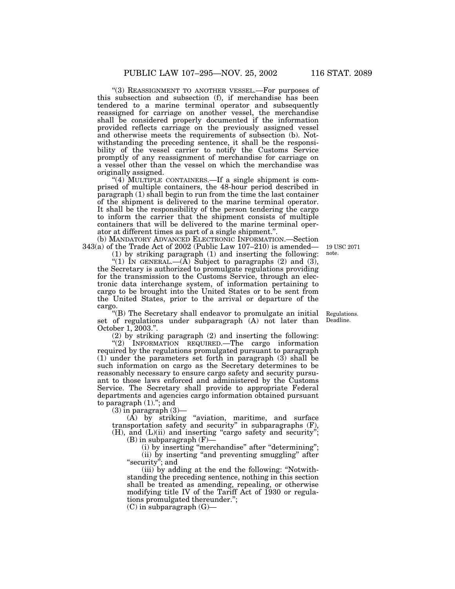''(3) REASSIGNMENT TO ANOTHER VESSEL.—For purposes of this subsection and subsection (f), if merchandise has been tendered to a marine terminal operator and subsequently reassigned for carriage on another vessel, the merchandise shall be considered properly documented if the information provided reflects carriage on the previously assigned vessel and otherwise meets the requirements of subsection (b). Notwithstanding the preceding sentence, it shall be the responsibility of the vessel carrier to notify the Customs Service promptly of any reassignment of merchandise for carriage on a vessel other than the vessel on which the merchandise was originally assigned.

"(4) MULTIPLE CONTAINERS.—If a single shipment is comprised of multiple containers, the 48-hour period described in paragraph (1) shall begin to run from the time the last container of the shipment is delivered to the marine terminal operator. It shall be the responsibility of the person tendering the cargo to inform the carrier that the shipment consists of multiple containers that will be delivered to the marine terminal oper-<br>ator at different times as part of a single shipment.".

(b) MANDATORY ADVANCED ELECTRONIC INFORMATION.—Section 343(a) of the Trade Act of 2002 (Public Law 107–210) is amended—

(1) by striking paragraph (1) and inserting the following: "(1) IN GENERAL.— $(\overline{A})$  Subject to paragraphs (2) and (3), the Secretary is authorized to promulgate regulations providing for the transmission to the Customs Service, through an electronic data interchange system, of information pertaining to cargo to be brought into the United States or to be sent from the United States, prior to the arrival or departure of the cargo.

''(B) The Secretary shall endeavor to promulgate an initial set of regulations under subparagraph (A) not later than October 1, 2003.''.

(2) by striking paragraph (2) and inserting the following: ''(2) INFORMATION REQUIRED.—The cargo information required by the regulations promulgated pursuant to paragraph (1) under the parameters set forth in paragraph (3) shall be such information on cargo as the Secretary determines to be reasonably necessary to ensure cargo safety and security pursuant to those laws enforced and administered by the Customs Service. The Secretary shall provide to appropriate Federal departments and agencies cargo information obtained pursuant to paragraph  $(1)$ ."; and

 $(3)$  in paragraph  $(3)$ —

 $(A)$  by striking "aviation, maritime, and surface transportation safety and security'' in subparagraphs (F), (H), and (L)(ii) and inserting ''cargo safety and security'';

 $(B)$  in subparagraph  $(F)$ -

(i) by inserting ''merchandise'' after ''determining''; (ii) by inserting "and preventing smuggling" after ''security''; and

(iii) by adding at the end the following: ''Notwithstanding the preceding sentence, nothing in this section shall be treated as amending, repealing, or otherwise modifying title IV of the Tariff Act of 1930 or regulations promulgated thereunder.'';

 $(C)$  in subparagraph  $(G)$ —

19 USC 2071 note.

Regulations. Deadline.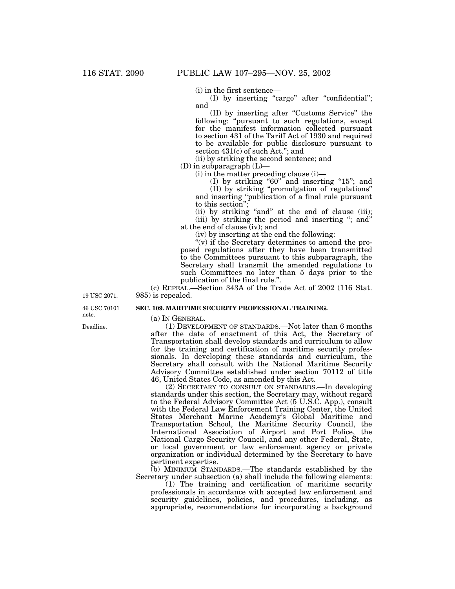(i) in the first sentence—

(I) by inserting ''cargo'' after ''confidential''; and

(II) by inserting after ''Customs Service'' the following: "pursuant to such regulations, except for the manifest information collected pursuant to section 431 of the Tariff Act of 1930 and required to be available for public disclosure pursuant to section 431(c) of such Act.''; and

(ii) by striking the second sentence; and

(D) in subparagraph (L)—

(i) in the matter preceding clause (i)—

(I) by striking " $60$ " and inserting " $15$ "; and

(II) by striking ''promulgation of regulations'' and inserting ''publication of a final rule pursuant to this section'';

(ii) by striking "and" at the end of clause (iii); (iii) by striking the period and inserting ''; and'' at the end of clause (iv); and

(iv) by inserting at the end the following:

" $(v)$  if the Secretary determines to amend the proposed regulations after they have been transmitted to the Committees pursuant to this subparagraph, the Secretary shall transmit the amended regulations to such Committees no later than 5 days prior to the publication of the final rule.''.

(c) REPEAL.—Section 343A of the Trade Act of 2002 (116 Stat. 985) is repealed.

### **SEC. 109. MARITIME SECURITY PROFESSIONAL TRAINING.**

19 USC 2071.

46 USC 70101 note.

(a) IN GENERAL.—

(1) DEVELOPMENT OF STANDARDS.—Not later than 6 months after the date of enactment of this Act, the Secretary of Transportation shall develop standards and curriculum to allow for the training and certification of maritime security professionals. In developing these standards and curriculum, the Secretary shall consult with the National Maritime Security Advisory Committee established under section 70112 of title 46, United States Code, as amended by this Act.

(2) SECRETARY TO CONSULT ON STANDARDS.—In developing standards under this section, the Secretary may, without regard to the Federal Advisory Committee Act (5 U.S.C. App.), consult with the Federal Law Enforcement Training Center, the United States Merchant Marine Academy's Global Maritime and Transportation School, the Maritime Security Council, the International Association of Airport and Port Police, the National Cargo Security Council, and any other Federal, State, or local government or law enforcement agency or private organization or individual determined by the Secretary to have pertinent expertise.

(b) MINIMUM STANDARDS.—The standards established by the Secretary under subsection (a) shall include the following elements:

(1) The training and certification of maritime security professionals in accordance with accepted law enforcement and security guidelines, policies, and procedures, including, as appropriate, recommendations for incorporating a background

Deadline.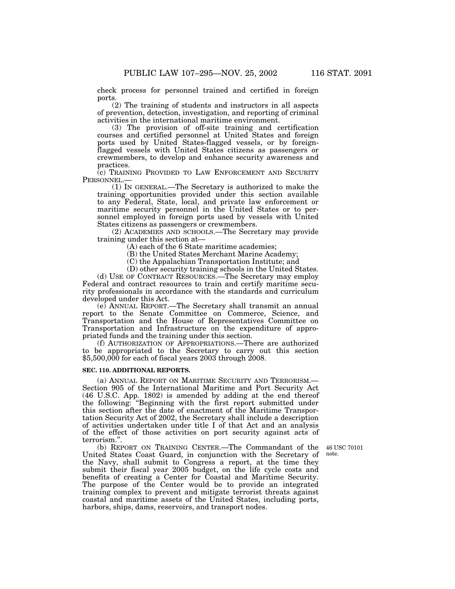check process for personnel trained and certified in foreign ports.

(2) The training of students and instructors in all aspects of prevention, detection, investigation, and reporting of criminal activities in the international maritime environment.

(3) The provision of off-site training and certification courses and certified personnel at United States and foreign ports used by United States-flagged vessels, or by foreignflagged vessels with United States citizens as passengers or crewmembers, to develop and enhance security awareness and practices.

(c) TRAINING PROVIDED TO LAW ENFORCEMENT AND SECURITY PERSONNEL.—

 $(1)$  In GENERAL.—The Secretary is authorized to make the training opportunities provided under this section available to any Federal, State, local, and private law enforcement or maritime security personnel in the United States or to personnel employed in foreign ports used by vessels with United States citizens as passengers or crewmembers.

(2) ACADEMIES AND SCHOOLS.—The Secretary may provide training under this section at—

(A) each of the 6 State maritime academies;

(B) the United States Merchant Marine Academy;

(C) the Appalachian Transportation Institute; and

(D) other security training schools in the United States. (d) USE OF CONTRACT RESOURCES.—The Secretary may employ Federal and contract resources to train and certify maritime security professionals in accordance with the standards and curriculum developed under this Act.

(e) ANNUAL REPORT.—The Secretary shall transmit an annual report to the Senate Committee on Commerce, Science, and Transportation and the House of Representatives Committee on Transportation and Infrastructure on the expenditure of appropriated funds and the training under this section.

(f) AUTHORIZATION OF APPROPRIATIONS.—There are authorized to be appropriated to the Secretary to carry out this section \$5,500,000 for each of fiscal years 2003 through 2008.

#### **SEC. 110. ADDITIONAL REPORTS.**

(a) ANNUAL REPORT ON MARITIME SECURITY AND TERRORISM.— Section 905 of the International Maritime and Port Security Act (46 U.S.C. App. 1802) is amended by adding at the end thereof the following: ''Beginning with the first report submitted under this section after the date of enactment of the Maritime Transportation Security Act of 2002, the Secretary shall include a description of activities undertaken under title I of that Act and an analysis of the effect of those activities on port security against acts of terrorism.''.

> 46 USC 70101 note.

(b) REPORT ON TRAINING CENTER.—The Commandant of the United States Coast Guard, in conjunction with the Secretary of the Navy, shall submit to Congress a report, at the time they submit their fiscal year 2005 budget, on the life cycle costs and benefits of creating a Center for Coastal and Maritime Security. The purpose of the Center would be to provide an integrated training complex to prevent and mitigate terrorist threats against coastal and maritime assets of the United States, including ports, harbors, ships, dams, reservoirs, and transport nodes.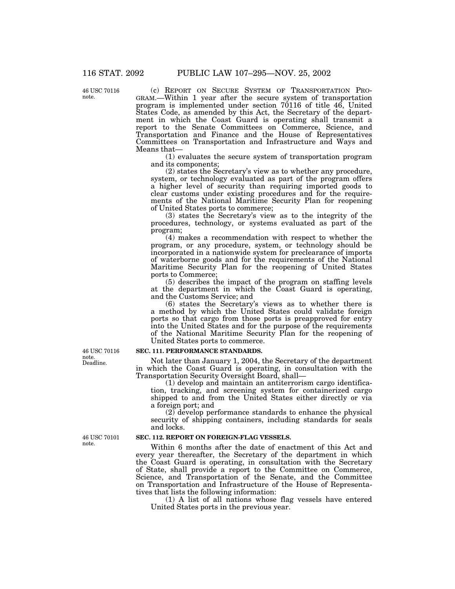46 USC 70116 note.

(c) REPORT ON SECURE SYSTEM OF TRANSPORTATION PRO- GRAM.—Within 1 year after the secure system of transportation program is implemented under section 70116 of title 46, United States Code, as amended by this Act, the Secretary of the department in which the Coast Guard is operating shall transmit a report to the Senate Committees on Commerce, Science, and Transportation and Finance and the House of Representatives Committees on Transportation and Infrastructure and Ways and Means that— (1) evaluates the secure system of transportation program

and its components;

(2) states the Secretary's view as to whether any procedure, system, or technology evaluated as part of the program offers a higher level of security than requiring imported goods to clear customs under existing procedures and for the requirements of the National Maritime Security Plan for reopening of United States ports to commerce;

(3) states the Secretary's view as to the integrity of the procedures, technology, or systems evaluated as part of the program;

(4) makes a recommendation with respect to whether the program, or any procedure, system, or technology should be incorporated in a nationwide system for preclearance of imports of waterborne goods and for the requirements of the National Maritime Security Plan for the reopening of United States ports to Commerce;

(5) describes the impact of the program on staffing levels at the department in which the Coast Guard is operating, and the Customs Service; and

(6) states the Secretary's views as to whether there is a method by which the United States could validate foreign ports so that cargo from those ports is preapproved for entry into the United States and for the purpose of the requirements of the National Maritime Security Plan for the reopening of United States ports to commerce.

Deadline. 46 USC 70116 note.

#### **SEC. 111. PERFORMANCE STANDARDS.**

Not later than January 1, 2004, the Secretary of the department in which the Coast Guard is operating, in consultation with the Transportation Security Oversight Board, shall— (1) develop and maintain an antiterrorism cargo identifica-

tion, tracking, and screening system for containerized cargo shipped to and from the United States either directly or via a foreign port; and

 $(2)$  develop performance standards to enhance the physical security of shipping containers, including standards for seals and locks.

#### **SEC. 112. REPORT ON FOREIGN-FLAG VESSELS.**

Within 6 months after the date of enactment of this Act and every year thereafter, the Secretary of the department in which the Coast Guard is operating, in consultation with the Secretary of State, shall provide a report to the Committee on Commerce, Science, and Transportation of the Senate, and the Committee on Transportation and Infrastructure of the House of Representatives that lists the following information:

(1) A list of all nations whose flag vessels have entered United States ports in the previous year.

46 USC 70101 note.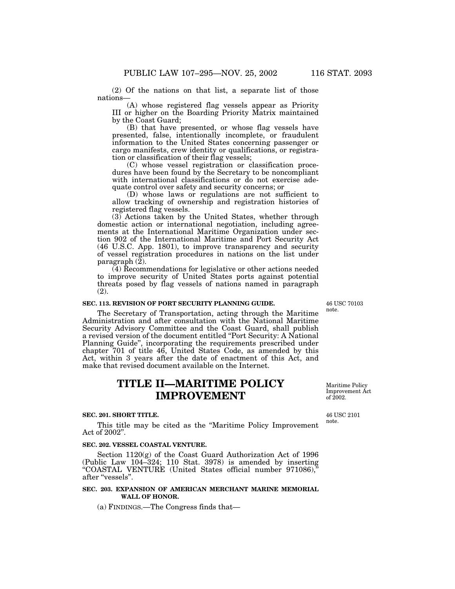nations— (A) whose registered flag vessels appear as Priority III or higher on the Boarding Priority Matrix maintained by the Coast Guard;

(B) that have presented, or whose flag vessels have presented, false, intentionally incomplete, or fraudulent information to the United States concerning passenger or cargo manifests, crew identity or qualifications, or registration or classification of their flag vessels;

(C) whose vessel registration or classification procedures have been found by the Secretary to be noncompliant with international classifications or do not exercise adequate control over safety and security concerns; or

(D) whose laws or regulations are not sufficient to allow tracking of ownership and registration histories of registered flag vessels.

(3) Actions taken by the United States, whether through domestic action or international negotiation, including agreements at the International Maritime Organization under section 902 of the International Maritime and Port Security Act (46 U.S.C. App. 1801), to improve transparency and security of vessel registration procedures in nations on the list under paragraph  $(\bar{2})$ .

(4) Recommendations for legislative or other actions needed to improve security of United States ports against potential threats posed by flag vessels of nations named in paragraph (2).

## **SEC. 113. REVISION OF PORT SECURITY PLANNING GUIDE.**

The Secretary of Transportation, acting through the Maritime Administration and after consultation with the National Maritime Security Advisory Committee and the Coast Guard, shall publish a revised version of the document entitled ''Port Security: A National Planning Guide'', incorporating the requirements prescribed under chapter 701 of title 46, United States Code, as amended by this Act, within 3 years after the date of enactment of this Act, and make that revised document available on the Internet.

# **TITLE II—MARITIME POLICY IMPROVEMENT**

#### **SEC. 201. SHORT TITLE.**

This title may be cited as the ''Maritime Policy Improvement Act of 2002''.

#### **SEC. 202. VESSEL COASTAL VENTURE.**

Section 1120(g) of the Coast Guard Authorization Act of 1996 (Public Law 104–324; 110 Stat. 3978) is amended by inserting "COASTAL VENTURE (United States official number 971086), after ''vessels''.

#### **SEC. 203. EXPANSION OF AMERICAN MERCHANT MARINE MEMORIAL WALL OF HONOR.**

(a) FINDINGS.—The Congress finds that—

46 USC 70103 note.

Maritime Policy Improvement Act of 2002.

46 USC 2101 note.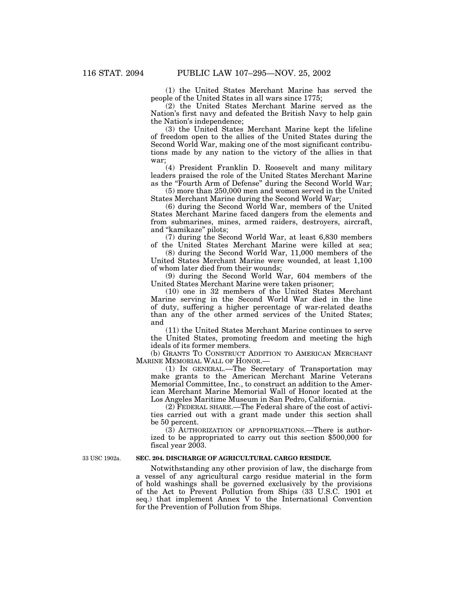(1) the United States Merchant Marine has served the people of the United States in all wars since 1775;

(2) the United States Merchant Marine served as the Nation's first navy and defeated the British Navy to help gain the Nation's independence;

(3) the United States Merchant Marine kept the lifeline of freedom open to the allies of the United States during the Second World War, making one of the most significant contributions made by any nation to the victory of the allies in that war;

(4) President Franklin D. Roosevelt and many military leaders praised the role of the United States Merchant Marine as the ''Fourth Arm of Defense'' during the Second World War;

(5) more than 250,000 men and women served in the United States Merchant Marine during the Second World War;

(6) during the Second World War, members of the United States Merchant Marine faced dangers from the elements and from submarines, mines, armed raiders, destroyers, aircraft, and ''kamikaze'' pilots;

(7) during the Second World War, at least 6,830 members of the United States Merchant Marine were killed at sea;

(8) during the Second World War, 11,000 members of the United States Merchant Marine were wounded, at least 1,100 of whom later died from their wounds;

(9) during the Second World War, 604 members of the United States Merchant Marine were taken prisoner;

(10) one in 32 members of the United States Merchant Marine serving in the Second World War died in the line of duty, suffering a higher percentage of war-related deaths than any of the other armed services of the United States; and

(11) the United States Merchant Marine continues to serve the United States, promoting freedom and meeting the high ideals of its former members.

(b) GRANTS TO CONSTRUCT ADDITION TO AMERICAN MERCHANT MARINE MEMORIAL WALL OF HONOR.—

(1) IN GENERAL.—The Secretary of Transportation may make grants to the American Merchant Marine Veterans Memorial Committee, Inc., to construct an addition to the American Merchant Marine Memorial Wall of Honor located at the Los Angeles Maritime Museum in San Pedro, California.

(2) FEDERAL SHARE.—The Federal share of the cost of activities carried out with a grant made under this section shall be 50 percent.

(3) AUTHORIZATION OF APPROPRIATIONS.—There is authorized to be appropriated to carry out this section \$500,000 for fiscal year 2003.

33 USC 1902a.

# **SEC. 204. DISCHARGE OF AGRICULTURAL CARGO RESIDUE.**

Notwithstanding any other provision of law, the discharge from a vessel of any agricultural cargo residue material in the form of hold washings shall be governed exclusively by the provisions of the Act to Prevent Pollution from Ships (33 U.S.C. 1901 et seq.) that implement Annex V to the International Convention for the Prevention of Pollution from Ships.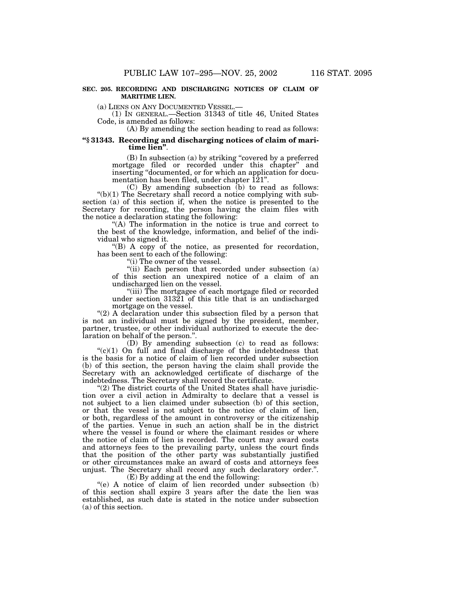(a) LIENS ON ANY DOCUMENTED VESSEL.— (1) IN GENERAL.—Section 31343 of title 46, United States Code, is amended as follows:

(A) By amending the section heading to read as follows:

#### **''§ 31343. Recording and discharging notices of claim of maritime lien''**.

(B) In subsection (a) by striking ''covered by a preferred mortgage filed or recorded under this chapter'' and inserting ''documented, or for which an application for docu-

mentation has been filed, under chapter  $\overline{1}21$ ".<br>
(C) By amending subsection (b) to read as follows:<br>
"(b)(1) The Secretary shall record a notice complying with subsection (a) of this section if, when the notice is presented to the Secretary for recording, the person having the claim files with the notice a declaration stating the following:

"(A) The information in the notice is true and correct to the best of the knowledge, information, and belief of the individual who signed it.

''(B) A copy of the notice, as presented for recordation, has been sent to each of the following:

"(i) The owner of the vessel.

"(ii) Each person that recorded under subsection (a) of this section an unexpired notice of a claim of an undischarged lien on the vessel.

''(iii) The mortgagee of each mortgage filed or recorded under section 31321 of this title that is an undischarged mortgage on the vessel.

" $(2)$  A declaration under this subsection filed by a person that is not an individual must be signed by the president, member, partner, trustee, or other individual authorized to execute the declaration on behalf of the person.''.

(D) By amending subsection (c) to read as follows:  $C(1)$  On full and final discharge of the indebtedness that is the basis for a notice of claim of lien recorded under subsection (b) of this section, the person having the claim shall provide the Secretary with an acknowledged certificate of discharge of the indebtedness. The Secretary shall record the certificate.

" $(2)$  The district courts of the United States shall have jurisdiction over a civil action in Admiralty to declare that a vessel is not subject to a lien claimed under subsection (b) of this section, or that the vessel is not subject to the notice of claim of lien, or both, regardless of the amount in controversy or the citizenship of the parties. Venue in such an action shall be in the district where the vessel is found or where the claimant resides or where the notice of claim of lien is recorded. The court may award costs and attorneys fees to the prevailing party, unless the court finds that the position of the other party was substantially justified or other circumstances make an award of costs and attorneys fees unjust. The Secretary shall record any such declaratory order.''.

(E) By adding at the end the following:

''(e) A notice of claim of lien recorded under subsection (b) of this section shall expire 3 years after the date the lien was established, as such date is stated in the notice under subsection (a) of this section.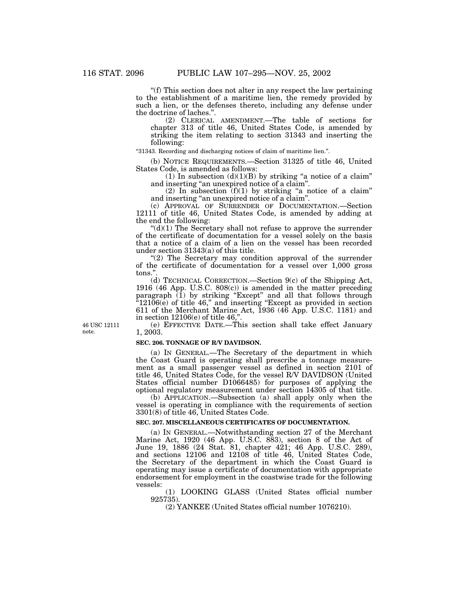''(f) This section does not alter in any respect the law pertaining to the establishment of a maritime lien, the remedy provided by such a lien, or the defenses thereto, including any defense under the doctrine of laches.''.

(2) CLERICAL AMENDMENT.—The table of sections for chapter 313 of title 46, United States Code, is amended by striking the item relating to section 31343 and inserting the following:

''31343. Recording and discharging notices of claim of maritime lien.''.

(b) NOTICE REQUIREMENTS.—Section 31325 of title 46, United States Code, is amended as follows:

(1) In subsection  $(d)(1)(B)$  by striking "a notice of a claim" and inserting ''an unexpired notice of a claim''.

(2) In subsection  $(f)(1)$  by striking "a notice of a claim" and inserting ''an unexpired notice of a claim''.

(c) APPROVAL OF SURRENDER OF DOCUMENTATION.—Section 12111 of title 46, United States Code, is amended by adding at the end the following:

" $(d)(1)$  The Secretary shall not refuse to approve the surrender of the certificate of documentation for a vessel solely on the basis that a notice of a claim of a lien on the vessel has been recorded under section 31343(a) of this title.

"(2) The Secretary may condition approval of the surrender of the certificate of documentation for a vessel over 1,000 gross tons."

(d) TECHNICAL CORRECTION.—Section 9(c) of the Shipping Act, 1916 (46 App. U.S.C. 808(c)) is amended in the matter preceding paragraph (1) by striking "Except" and all that follows through "12106(e) of title 46," and inserting "Except as provided in section 611 of the Merchant Marine Act, 1936 (46 App. U.S.C. 1181) and in section 12106(e) of title 46,''. (e) EFFECTIVE DATE.—This section shall take effect January

46 USC 12111 note.

1, 2003.

#### **SEC. 206. TONNAGE OF R/V DAVIDSON.**

(a) IN GENERAL.—The Secretary of the department in which the Coast Guard is operating shall prescribe a tonnage measurement as a small passenger vessel as defined in section 2101 of title 46, United States Code, for the vessel R/V DAVIDSON (United States official number D1066485) for purposes of applying the optional regulatory measurement under section 14305 of that title.

(b) APPLICATION.—Subsection (a) shall apply only when the vessel is operating in compliance with the requirements of section 3301(8) of title 46, United States Code.

## **SEC. 207. MISCELLANEOUS CERTIFICATES OF DOCUMENTATION.**

(a) IN GENERAL.—Notwithstanding section 27 of the Merchant Marine Act, 1920 (46 App. U.S.C. 883), section 8 of the Act of June 19, 1886 (24 Stat. 81, chapter 421; 46 App. U.S.C. 289), and sections 12106 and 12108 of title 46, United States Code, the Secretary of the department in which the Coast Guard is operating may issue a certificate of documentation with appropriate endorsement for employment in the coastwise trade for the following vessels:

(1) LOOKING GLASS (United States official number 925735).

(2) YANKEE (United States official number 1076210).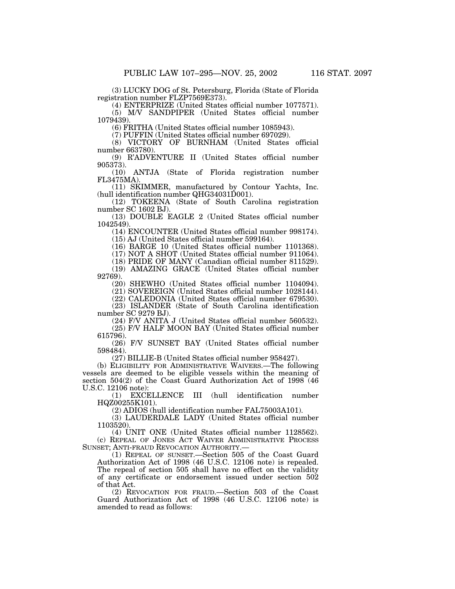(3) LUCKY DOG of St. Petersburg, Florida (State of Florida registration number FLZP7569E373).

(4) ENTERPRIZE (United States official number 1077571).

(5) M/V SANDPIPER (United States official number 1079439).

(6) FRITHA (United States official number 1085943).

(7) PUFFIN (United States official number 697029).

(8) VICTORY OF BURNHAM (United States official number 663780).

(9) R'ADVENTURE II (United States official number 905373).

(10) ANTJA (State of Florida registration number FL3475MA).

(11) SKIMMER, manufactured by Contour Yachts, Inc. (hull identification number QHG34031D001).

(12) TOKEENA (State of South Carolina registration number SC 1602 BJ).

(13) DOUBLE EAGLE 2 (United States official number 1042549).

(14) ENCOUNTER (United States official number 998174).

(15) AJ (United States official number 599164).

(16) BARGE 10 (United States official number 1101368).

(17) NOT A SHOT (United States official number 911064).

(18) PRIDE OF MANY (Canadian official number 811529).

(19) AMAZING GRACE (United States official number 92769).

(20) SHEWHO (United States official number 1104094).

(21) SOVEREIGN (United States official number 1028144).

(22) CALEDONIA (United States official number 679530).

(23) ISLANDER (State of South Carolina identification number SC 9279 BJ).

(24) F/V ANITA J (United States official number 560532). (25) F/V HALF MOON BAY (United States official number 615796).

(26) F/V SUNSET BAY (United States official number 598484).

(27) BILLIE-B (United States official number 958427).

(b) ELIGIBILITY FOR ADMINISTRATIVE WAIVERS.—The following vessels are deemed to be eligible vessels within the meaning of section 504(2) of the Coast Guard Authorization Act of 1998 (46 U.S.C. 12106 note):

(1) EXCELLENCE III (hull identification number HQZ00255K101).

(2) ADIOS (hull identification number FAL75003A101).

(3) LAUDERDALE LADY (United States official number 1103520).

(4) UNIT ONE (United States official number 1128562). (c) REPEAL OF JONES ACT WAIVER ADMINISTRATIVE PROCESS SUNSET; ANTI-FRAUD REVOCATION AUTHORITY.—

(1) REPEAL OF SUNSET.—Section 505 of the Coast Guard Authorization Act of 1998 (46 U.S.C. 12106 note) is repealed. The repeal of section 505 shall have no effect on the validity of any certificate or endorsement issued under section 502 of that Act.

(2) REVOCATION FOR FRAUD.—Section 503 of the Coast Guard Authorization Act of 1998 (46 U.S.C. 12106 note) is amended to read as follows: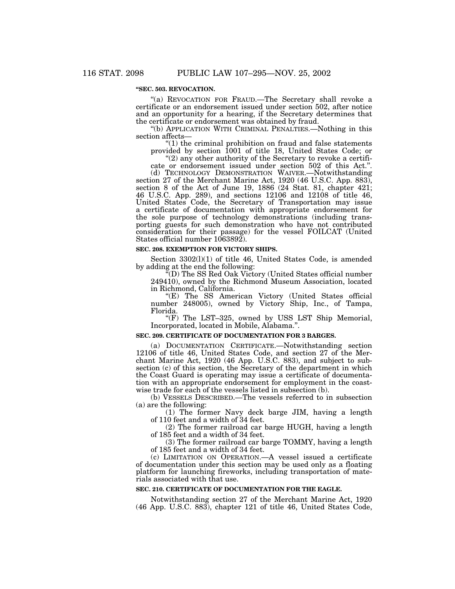## **''SEC. 503. REVOCATION.**

"(a) REVOCATION FOR FRAUD.—The Secretary shall revoke a certificate or an endorsement issued under section 502, after notice and an opportunity for a hearing, if the Secretary determines that

"(b) APPLICATION WITH CRIMINAL PENALTIES.—Nothing in this section affects—

"(1) the criminal prohibition on fraud and false statements<br>provided by section  $1001$  of title 18, United States Code; or

 $^{(2)}$  any other authority of the Secretary to revoke a certificate or endorsement issued under section 502 of this Act.".

cate or endorsement issued under section 502 of this Act.''. (d) TECHNOLOGY DEMONSTRATION WAIVER.—Notwithstanding section 27 of the Merchant Marine Act, 1920 (46 U.S.C. App. 883), section 8 of the Act of June 19, 1886 (24 Stat. 81, chapter 421; 46 U.S.C. App. 289), and sections 12106 and 12108 of title 46, United States Code, the Secretary of Transportation may issue a certificate of documentation with appropriate endorsement for the sole purpose of technology demonstrations (including transporting guests for such demonstration who have not contributed consideration for their passage) for the vessel FOILCAT (United States official number 1063892).

#### **SEC. 208. EXEMPTION FOR VICTORY SHIPS.**

Section 3302(l)(1) of title 46, United States Code, is amended by adding at the end the following:<br>"(D) The SS Red Oak Victory (United States official number

249410), owned by the Richmond Museum Association, located in Richmond, California. ''(E) The SS American Victory (United States official

number 248005), owned by Victory Ship, Inc., of Tampa,

Florida. ''(F) The LST–325, owned by USS LST Ship Memorial, Incorporated, located in Mobile, Alabama.''.

#### **SEC. 209. CERTIFICATE OF DOCUMENTATION FOR 3 BARGES.**

(a) DOCUMENTATION CERTIFICATE.—Notwithstanding section 12106 of title 46, United States Code, and section 27 of the Merchant Marine Act, 1920 (46 App. U.S.C. 883), and subject to subsection (c) of this section, the Secretary of the department in which the Coast Guard is operating may issue a certificate of documentation with an appropriate endorsement for employment in the coastwise trade for each of the vessels listed in subsection (b).

(b) VESSELS DESCRIBED.—The vessels referred to in subsection (a) are the following:

(1) The former Navy deck barge JIM, having a length of 110 feet and a width of 34 feet.

(2) The former railroad car barge HUGH, having a length of 185 feet and a width of 34 feet.

(3) The former railroad car barge TOMMY, having a length of 185 feet and a width of 34 feet.

(c) LIMITATION ON OPERATION.—A vessel issued a certificate of documentation under this section may be used only as a floating platform for launching fireworks, including transportation of materials associated with that use.

#### **SEC. 210. CERTIFICATE OF DOCUMENTATION FOR THE EAGLE.**

Notwithstanding section 27 of the Merchant Marine Act, 1920 (46 App. U.S.C. 883), chapter 121 of title 46, United States Code,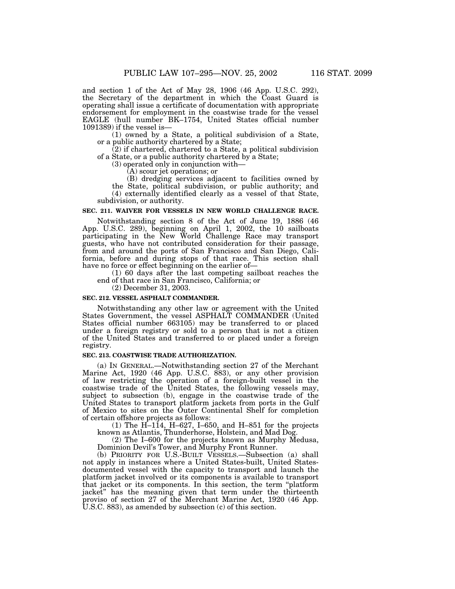and section 1 of the Act of May 28, 1906 (46 App. U.S.C. 292), the Secretary of the department in which the Coast Guard is operating shall issue a certificate of documentation with appropriate endorsement for employment in the coastwise trade for the vessel EAGLE (hull number BK–1754, United States official number 1091389) if the vessel is—

1091389) if the vessel is— (1) owned by a State, a political subdivision of a State, or a public authority chartered by a State;

 $(2)$  if chartered, chartered to a State, a political subdivision of a State, or a public authority chartered by a State;

(3) operated only in conjunction with— (A) scour jet operations; or

(B) dredging services adjacent to facilities owned by the State, political subdivision, or public authority; and  $(4)$  externally identified clearly as a vessel of that State, subdivision, or authority.

#### **SEC. 211. WAIVER FOR VESSELS IN NEW WORLD CHALLENGE RACE.**

Notwithstanding section 8 of the Act of June 19, 1886 (46 App. U.S.C. 289), beginning on April 1, 2002, the 10 sailboats participating in the New World Challenge Race may transport guests, who have not contributed consideration for their passage, from and around the ports of San Francisco and San Diego, California, before and during stops of that race. This section shall have no force or effect beginning on the earlier of—

(1) 60 days after the last competing sailboat reaches the end of that race in San Francisco, California; or

(2) December 31, 2003.

#### **SEC. 212. VESSEL ASPHALT COMMANDER.**

Notwithstanding any other law or agreement with the United States Government, the vessel ASPHALT COMMANDER (United States official number 663105) may be transferred to or placed under a foreign registry or sold to a person that is not a citizen of the United States and transferred to or placed under a foreign registry.

## **SEC. 213. COASTWISE TRADE AUTHORIZATION.**

(a) IN GENERAL.—Notwithstanding section 27 of the Merchant Marine Act, 1920 (46 App. U.S.C. 883), or any other provision of law restricting the operation of a foreign-built vessel in the coastwise trade of the United States, the following vessels may, subject to subsection (b), engage in the coastwise trade of the United States to transport platform jackets from ports in the Gulf of Mexico to sites on the Outer Continental Shelf for completion of certain offshore projects as follows:

(1) The H–114, H–627, I–650, and H–851 for the projects known as Atlantis, Thunderhorse, Holstein, and Mad Dog.

(2) The I–600 for the projects known as Murphy Medusa, Dominion Devil's Tower, and Murphy Front Runner.

(b) PRIORITY FOR U.S.-BUILT VESSELS.—Subsection (a) shall not apply in instances where a United States-built, United Statesdocumented vessel with the capacity to transport and launch the platform jacket involved or its components is available to transport that jacket or its components. In this section, the term ''platform jacket'' has the meaning given that term under the thirteenth proviso of section 27 of the Merchant Marine Act, 1920 (46 App. U.S.C. 883), as amended by subsection (c) of this section.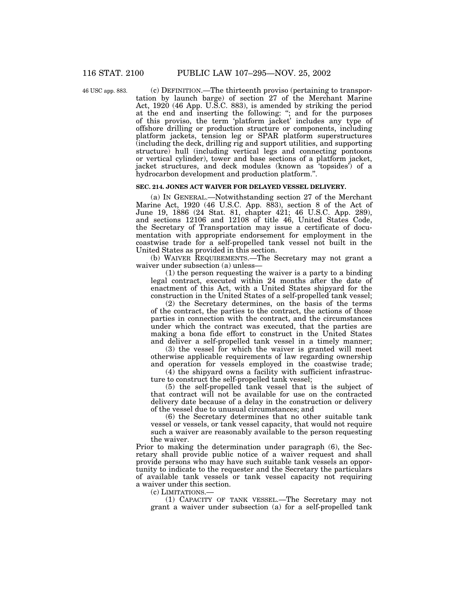46 USC app. 883.

(c) DEFINITION.—The thirteenth proviso (pertaining to transportation by launch barge) of section 27 of the Merchant Marine Act, 1920 (46 App. U.S.C. 883), is amended by striking the period at the end and inserting the following: ''; and for the purposes of this proviso, the term 'platform jacket' includes any type of offshore drilling or production structure or components, including platform jackets, tension leg or SPAR platform superstructures (including the deck, drilling rig and support utilities, and supporting structure) hull (including vertical legs and connecting pontoons or vertical cylinder), tower and base sections of a platform jacket, jacket structures, and deck modules (known as 'topsides') of a hydrocarbon development and production platform.''.

## **SEC. 214. JONES ACT WAIVER FOR DELAYED VESSEL DELIVERY.**

(a) IN GENERAL.—Notwithstanding section 27 of the Merchant Marine Act, 1920 (46 U.S.C. App. 883), section 8 of the Act of June 19, 1886 (24 Stat. 81, chapter 421; 46 U.S.C. App. 289), and sections 12106 and 12108 of title 46, United States Code, the Secretary of Transportation may issue a certificate of documentation with appropriate endorsement for employment in the coastwise trade for a self-propelled tank vessel not built in the United States as provided in this section.

(b) WAIVER REQUIREMENTS.—The Secretary may not grant a waiver under subsection (a) unless—

(1) the person requesting the waiver is a party to a binding legal contract, executed within 24 months after the date of enactment of this Act, with a United States shipyard for the construction in the United States of a self-propelled tank vessel;

(2) the Secretary determines, on the basis of the terms of the contract, the parties to the contract, the actions of those parties in connection with the contract, and the circumstances under which the contract was executed, that the parties are making a bona fide effort to construct in the United States and deliver a self-propelled tank vessel in a timely manner;

(3) the vessel for which the waiver is granted will meet otherwise applicable requirements of law regarding ownership and operation for vessels employed in the coastwise trade;

(4) the shipyard owns a facility with sufficient infrastructure to construct the self-propelled tank vessel;

(5) the self-propelled tank vessel that is the subject of that contract will not be available for use on the contracted delivery date because of a delay in the construction or delivery of the vessel due to unusual circumstances; and

(6) the Secretary determines that no other suitable tank vessel or vessels, or tank vessel capacity, that would not require such a waiver are reasonably available to the person requesting the waiver.

Prior to making the determination under paragraph (6), the Secretary shall provide public notice of a waiver request and shall provide persons who may have such suitable tank vessels an opportunity to indicate to the requester and the Secretary the particulars of available tank vessels or tank vessel capacity not requiring a waiver under this section.

(c) LIMITATIONS.—

(1) CAPACITY OF TANK VESSEL.—The Secretary may not grant a waiver under subsection (a) for a self-propelled tank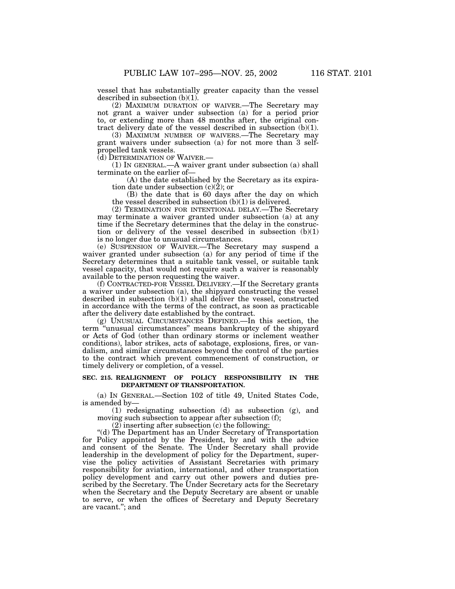vessel that has substantially greater capacity than the vessel described in subsection (b)(1).

(2) MAXIMUM DURATION OF WAIVER.—The Secretary may not grant a waiver under subsection (a) for a period prior to, or extending more than 48 months after, the original contract delivery date of the vessel described in subsection  $(b)(1)$ .

(3) MAXIMUM NUMBER OF WAIVERS.—The Secretary may grant waivers under subsection (a) for not more than 3 selfpropelled tank vessels.<br>(d) DETERMINATION OF WAIVER.-

 $(1)$  In GENERAL.—A waiver grant under subsection  $(a)$  shall terminate on the earlier of— (A) the date established by the Secretary as its expira-

tion date under subsection  $(c)(2)$ ; or

(B) the date that is 60 days after the day on which the vessel described in subsection (b)(1) is delivered.

(2) TERMINATION FOR INTENTIONAL DELAY.—The Secretary may terminate a waiver granted under subsection (a) at any time if the Secretary determines that the delay in the construction or delivery of the vessel described in subsection (b)(1) is no longer due to unusual circumstances.

(e) SUSPENSION OF WAIVER.—The Secretary may suspend a waiver granted under subsection (a) for any period of time if the Secretary determines that a suitable tank vessel, or suitable tank vessel capacity, that would not require such a waiver is reasonably available to the person requesting the waiver.

(f) CONTRACTED-FOR VESSEL DELIVERY.—If the Secretary grants a waiver under subsection (a), the shipyard constructing the vessel described in subsection (b)(1) shall deliver the vessel, constructed in accordance with the terms of the contract, as soon as practicable after the delivery date established by the contract.

(g) UNUSUAL CIRCUMSTANCES DEFINED.—In this section, the term ''unusual circumstances'' means bankruptcy of the shipyard or Acts of God (other than ordinary storms or inclement weather conditions), labor strikes, acts of sabotage, explosions, fires, or vandalism, and similar circumstances beyond the control of the parties to the contract which prevent commencement of construction, or timely delivery or completion, of a vessel.

## **SEC. 215. REALIGNMENT OF POLICY RESPONSIBILITY IN THE DEPARTMENT OF TRANSPORTATION.**

(a) IN GENERAL.—Section 102 of title 49, United States Code, is amended by—

(1) redesignating subsection (d) as subsection (g), and moving such subsection to appear after subsection (f);

(2) inserting after subsection (c) the following:

''(d) The Department has an Under Secretary of Transportation for Policy appointed by the President, by and with the advice and consent of the Senate. The Under Secretary shall provide leadership in the development of policy for the Department, supervise the policy activities of Assistant Secretaries with primary responsibility for aviation, international, and other transportation policy development and carry out other powers and duties prescribed by the Secretary. The Under Secretary acts for the Secretary when the Secretary and the Deputy Secretary are absent or unable to serve, or when the offices of Secretary and Deputy Secretary are vacant.''; and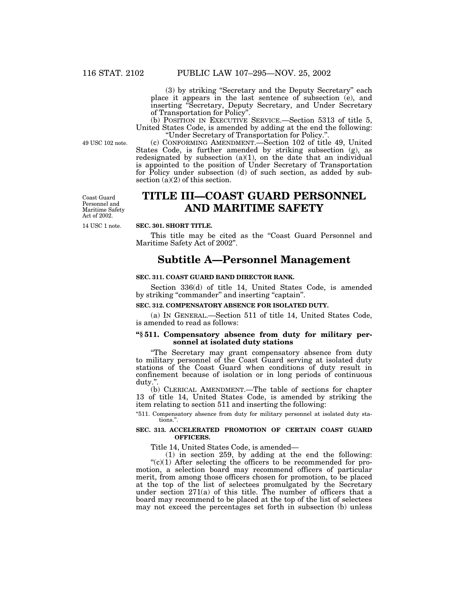(3) by striking ''Secretary and the Deputy Secretary'' each place it appears in the last sentence of subsection (e), and inserting ''Secretary, Deputy Secretary, and Under Secretary of Transportation for Policy''.

(b) POSITION IN EXECUTIVE SERVICE.—Section 5313 of title 5, United States Code, is amended by adding at the end the following: ''Under Secretary of Transportation for Policy.''. (c) CONFORMING AMENDMENT.—Section 102 of title 49, United

States Code, is further amended by striking subsection (g), as redesignated by subsection (a)(1), on the date that an individual is appointed to the position of Under Secretary of Transportation for Policy under subsection (d) of such section, as added by sub-

49 USC 102 note.

Coast Guard Personnel and Maritime Safety Act of 2002.

# **TITLE III—COAST GUARD PERSONNEL AND MARITIME SAFETY**

### 14 USC 1 note.

### **SEC. 301. SHORT TITLE.**

section  $(a)(2)$  of this section.

This title may be cited as the "Coast Guard Personnel and Maritime Safety Act of 2002''.

## **Subtitle A—Personnel Management**

### **SEC. 311. COAST GUARD BAND DIRECTOR RANK.**

Section 336(d) of title 14, United States Code, is amended by striking "commander" and inserting "captain".

## **SEC. 312. COMPENSATORY ABSENCE FOR ISOLATED DUTY.**

(a) IN GENERAL.—Section 511 of title 14, United States Code, is amended to read as follows:

## **''§ 511. Compensatory absence from duty for military personnel at isolated duty stations**

''The Secretary may grant compensatory absence from duty to military personnel of the Coast Guard serving at isolated duty stations of the Coast Guard when conditions of duty result in confinement because of isolation or in long periods of continuous duty.''.

(b) CLERICAL AMENDMENT.—The table of sections for chapter 13 of title 14, United States Code, is amended by striking the item relating to section 511 and inserting the following:

"511. Compensatory absence from duty for military personnel at isolated duty stations.''.

#### **SEC. 313. ACCELERATED PROMOTION OF CERTAIN COAST GUARD OFFICERS.**

Title 14, United States Code, is amended—

(1) in section 259, by adding at the end the following:  $C(1)$  After selecting the officers to be recommended for promotion, a selection board may recommend officers of particular merit, from among those officers chosen for promotion, to be placed at the top of the list of selectees promulgated by the Secretary under section 271(a) of this title. The number of officers that a board may recommend to be placed at the top of the list of selectees may not exceed the percentages set forth in subsection (b) unless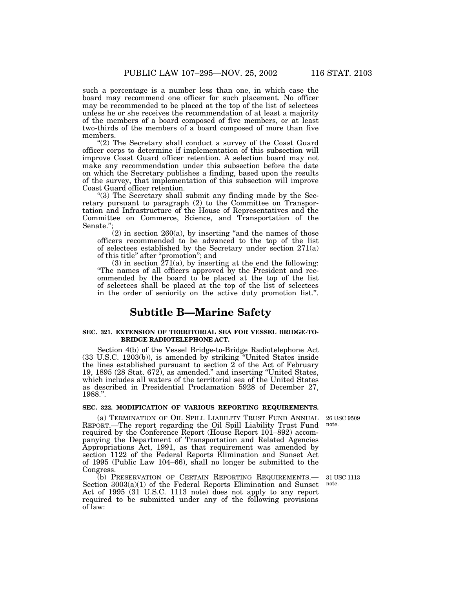such a percentage is a number less than one, in which case the board may recommend one officer for such placement. No officer

may be recommended to be placed at the top of the list of selectees unless he or she receives the recommendation of at least a majority of the members of a board composed of five members, or at least two-thirds of the members of a board composed of more than five members.

"(2) The Secretary shall conduct a survey of the Coast Guard officer corps to determine if implementation of this subsection will improve Coast Guard officer retention. A selection board may not make any recommendation under this subsection before the date on which the Secretary publishes a finding, based upon the results of the survey, that implementation of this subsection will improve Coast Guard officer retention.

"(3) The Secretary shall submit any finding made by the Secretary pursuant to paragraph (2) to the Committee on Transportation and Infrastructure of the House of Representatives and the Committee on Commerce, Science, and Transportation of the Senate.'';

 $(2)$  in section  $260(a)$ , by inserting "and the names of those officers recommended to be advanced to the top of the list of selectees established by the Secretary under section 271(a) of this title'' after ''promotion''; and

 $(3)$  in section  $\overline{271(a)}$ , by inserting at the end the following: ''The names of all officers approved by the President and recommended by the board to be placed at the top of the list of selectees shall be placed at the top of the list of selectees in the order of seniority on the active duty promotion list.''.

## **Subtitle B—Marine Safety**

## **SEC. 321. EXTENSION OF TERRITORIAL SEA FOR VESSEL BRIDGE-TO-BRIDGE RADIOTELEPHONE ACT.**

Section 4(b) of the Vessel Bridge-to-Bridge Radiotelephone Act (33 U.S.C. 1203(b)), is amended by striking ''United States inside the lines established pursuant to section 2 of the Act of February 19, 1895 (28 Stat. 672), as amended.'' and inserting ''United States, which includes all waters of the territorial sea of the United States as described in Presidential Proclamation 5928 of December 27, 1988.''.

#### **SEC. 322. MODIFICATION OF VARIOUS REPORTING REQUIREMENTS.**

26 USC 9509 note.

(a) TERMINATION OF OIL SPILL LIABILITY TRUST FUND ANNUAL REPORT.—The report regarding the Oil Spill Liability Trust Fund required by the Conference Report (House Report 101–892) accompanying the Department of Transportation and Related Agencies Appropriations Act, 1991, as that requirement was amended by section 1122 of the Federal Reports Elimination and Sunset Act of 1995 (Public Law 104–66), shall no longer be submitted to the Congress.

(b) PRESERVATION OF CERTAIN REPORTING REQUIREMENTS.— Section 3003(a)(1) of the Federal Reports Elimination and Sunset Act of 1995 (31 U.S.C. 1113 note) does not apply to any report required to be submitted under any of the following provisions of law:

31 USC 1113 note.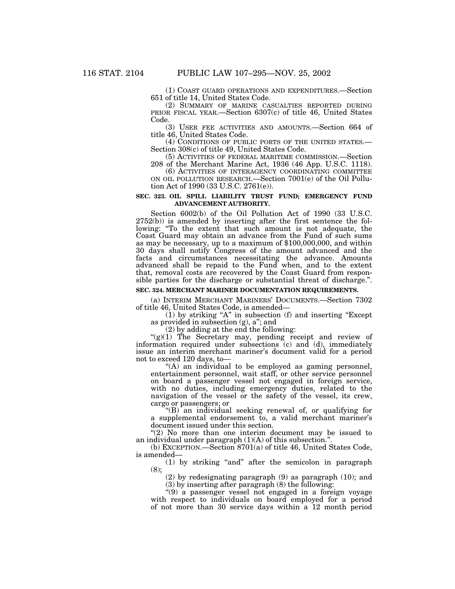(1) COAST GUARD OPERATIONS AND EXPENDITURES.—Section 651 of title 14, United States Code.

(2) SUMMARY OF MARINE CASUALTIES REPORTED DURING PRIOR FISCAL YEAR.—Section 6307(c) of title 46, United States Code.

(3) USER FEE ACTIVITIES AND AMOUNTS.—Section 664 of title 46, United States Code.

(4) CONDITIONS OF PUBLIC PORTS OF THE UNITED STATES.— Section 308(c) of title 49, United States Code.

(5) ACTIVITIES OF FEDERAL MARITIME COMMISSION.—Section 208 of the Merchant Marine Act, 1936 (46 App. U.S.C. 1118).

(6) ACTIVITIES OF INTERAGENCY COORDINATING COMMITTEE ON OIL POLLUTION RESEARCH.—Section 7001(e) of the Oil Pollution Act of 1990 (33 U.S.C. 2761(e)).

#### **SEC. 323. OIL SPILL LIABILITY TRUST FUND; EMERGENCY FUND ADVANCEMENT AUTHORITY.**

Section 6002(b) of the Oil Pollution Act of 1990 (33 U.S.C. 2752(b)) is amended by inserting after the first sentence the following: ''To the extent that such amount is not adequate, the Coast Guard may obtain an advance from the Fund of such sums as may be necessary, up to a maximum of \$100,000,000, and within 30 days shall notify Congress of the amount advanced and the facts and circumstances necessitating the advance. Amounts advanced shall be repaid to the Fund when, and to the extent that, removal costs are recovered by the Coast Guard from responsible parties for the discharge or substantial threat of discharge.''.

#### **SEC. 324. MERCHANT MARINER DOCUMENTATION REQUIREMENTS.**

(a) INTERIM MERCHANT MARINERS' DOCUMENTS.—Section 7302

 $(1)$  by striking "A" in subsection (f) and inserting "Except as provided in subsection (g),  $a^{\prime\prime}$ ; and<br>(2) by adding at the end the following:

(2) by adding at the end the following:  $\degree$ (g)(1) The Secretary may, pending receipt and review of information required under subsections (c) and (d), immediately issue an interim merchant mariner's document valid for a period

"(A) an individual to be employed as gaming personnel, entertainment personnel, wait staff, or other service personnel on board a passenger vessel not engaged in foreign service, with no duties, including emergency duties, related to the navigation of the vessel or the safety of the vessel, its crew,

cargo or passengers; or  $\degree$ (B) an individual seeking renewal of, or qualifying for a supplemental endorsement to, a valid merchant mariner's document issued under this section.

" $(2)$  No more than one interim document may be issued to an individual under paragraph  $(1)(A)$  of this subsection."

(b) EXCEPTION.—Section 8701(a) of title 46, United States Code, is amended—

(1) by striking ''and'' after the semicolon in paragraph (8);

(2) by redesignating paragraph (9) as paragraph (10); and (3) by inserting after paragraph (8) the following:

''(9) a passenger vessel not engaged in a foreign voyage with respect to individuals on board employed for a period of not more than 30 service days within a 12 month period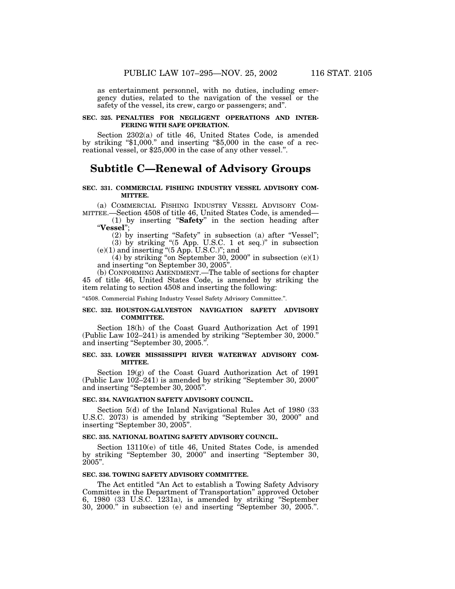as entertainment personnel, with no duties, including emergency duties, related to the navigation of the vessel or the safety of the vessel, its crew, cargo or passengers; and''.

#### **SEC. 325. PENALTIES FOR NEGLIGENT OPERATIONS AND INTER-FERING WITH SAFE OPERATION.**

Section 2302(a) of title 46, United States Code, is amended by striking ''\$1,000.'' and inserting ''\$5,000 in the case of a recreational vessel, or \$25,000 in the case of any other vessel.''.

## **Subtitle C—Renewal of Advisory Groups**

#### **SEC. 331. COMMERCIAL FISHING INDUSTRY VESSEL ADVISORY COM-MITTEE.**

(a) COMMERCIAL FISHING INDUSTRY VESSEL ADVISORY COM-

MITTEE.—Section 4508 of title 46, United States Code, is amended— (1) by inserting ''**Safety**'' in the section heading after ''**Vessel**'';

(2) by inserting "Safety" in subsection (a) after "Vessel"; (3) by striking ''(5 App. U.S.C. 1 et seq.)'' in subsection  $(e)(1)$  and inserting " $(5$  App. U.S.C.)"; and

 $(4)$  by striking "on September 30, 2000" in subsection  $(e)(1)$ and inserting ''on September 30, 2005''. (b) CONFORMING AMENDMENT.—The table of sections for chapter

45 of title 46, United States Code, is amended by striking the item relating to section 4508 and inserting the following:

''4508. Commercial Fishing Industry Vessel Safety Advisory Committee.''.

#### **SEC. 332. HOUSTON-GALVESTON NAVIGATION SAFETY ADVISORY COMMITTEE.**

Section 18(h) of the Coast Guard Authorization Act of 1991 (Public Law 102–241) is amended by striking ''September 30, 2000.'' and inserting ''September 30, 2005.''.

#### **SEC. 333. LOWER MISSISSIPPI RIVER WATERWAY ADVISORY COM-MITTEE.**

Section 19(g) of the Coast Guard Authorization Act of 1991 (Public Law 102–241) is amended by striking ''September 30, 2000'' and inserting ''September 30, 2005''.

#### **SEC. 334. NAVIGATION SAFETY ADVISORY COUNCIL.**

Section 5(d) of the Inland Navigational Rules Act of 1980 (33 U.S.C. 2073) is amended by striking "September 30, 2000" and inserting "September 30, 2005".

## **SEC. 335. NATIONAL BOATING SAFETY ADVISORY COUNCIL.**

Section 13110(e) of title 46, United States Code, is amended by striking "September 30, 2000" and inserting "September 30, 2005''.

## **SEC. 336. TOWING SAFETY ADVISORY COMMITTEE.**

The Act entitled ''An Act to establish a Towing Safety Advisory Committee in the Department of Transportation'' approved October 6, 1980 (33 U.S.C. 1231a), is amended by striking ''September 30, 2000.'' in subsection (e) and inserting ''September 30, 2005.''.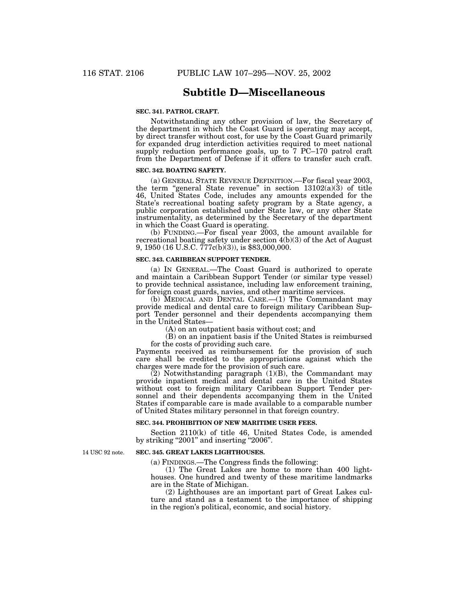## **Subtitle D—Miscellaneous**

## **SEC. 341. PATROL CRAFT.**

Notwithstanding any other provision of law, the Secretary of the department in which the Coast Guard is operating may accept, by direct transfer without cost, for use by the Coast Guard primarily for expanded drug interdiction activities required to meet national supply reduction performance goals, up to 7 PC–170 patrol craft from the Department of Defense if it offers to transfer such craft.

## **SEC. 342. BOATING SAFETY.**

(a) GENERAL STATE REVENUE DEFINITION.—For fiscal year 2003, the term "general State revenue" in section  $13102(a)(3)$  of title 46, United States Code, includes any amounts expended for the State's recreational boating safety program by a State agency, a public corporation established under State law, or any other State instrumentality, as determined by the Secretary of the department in which the Coast Guard is operating.

(b) FUNDING.—For fiscal year 2003, the amount available for recreational boating safety under section 4(b)(3) of the Act of August  $9, 1950$  (16 U.S.C.  $777c(b)(3)$ ), is \$83,000,000.

#### **SEC. 343. CARIBBEAN SUPPORT TENDER.**

(a) IN GENERAL.—The Coast Guard is authorized to operate and maintain a Caribbean Support Tender (or similar type vessel) to provide technical assistance, including law enforcement training, for foreign coast guards, navies, and other maritime services.

(b) MEDICAL AND DENTAL CARE.—(1) The Commandant may provide medical and dental care to foreign military Caribbean Support Tender personnel and their dependents accompanying them in the United States—

(A) on an outpatient basis without cost; and

(B) on an inpatient basis if the United States is reimbursed for the costs of providing such care.

Payments received as reimbursement for the provision of such care shall be credited to the appropriations against which the charges were made for the provision of such care.

 $(2)$  Notwithstanding paragraph  $(1)(B)$ , the Commandant may provide inpatient medical and dental care in the United States without cost to foreign military Caribbean Support Tender personnel and their dependents accompanying them in the United States if comparable care is made available to a comparable number of United States military personnel in that foreign country.

#### **SEC. 344. PROHIBITION OF NEW MARITIME USER FEES.**

Section 2110(k) of title 46, United States Code, is amended by striking "2001" and inserting "2006".

14 USC 92 note.

#### **SEC. 345. GREAT LAKES LIGHTHOUSES.**

(a) FINDINGS.—The Congress finds the following:

(1) The Great Lakes are home to more than 400 lighthouses. One hundred and twenty of these maritime landmarks are in the State of Michigan.

(2) Lighthouses are an important part of Great Lakes culture and stand as a testament to the importance of shipping in the region's political, economic, and social history.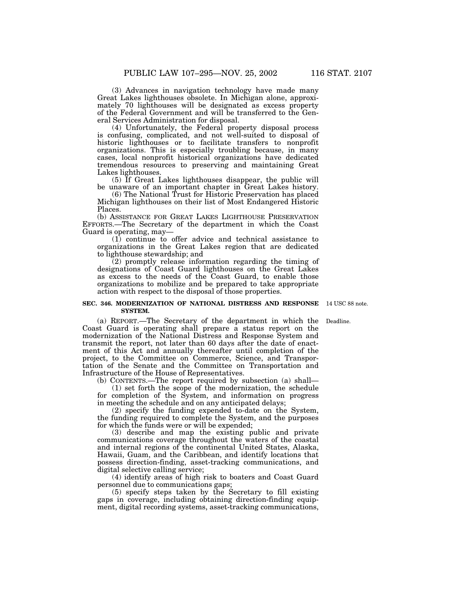(3) Advances in navigation technology have made many Great Lakes lighthouses obsolete. In Michigan alone, approximately 70 lighthouses will be designated as excess property of the Federal Government and will be transferred to the General Services Administration for disposal.

(4) Unfortunately, the Federal property disposal process is confusing, complicated, and not well-suited to disposal of historic lighthouses or to facilitate transfers to nonprofit organizations. This is especially troubling because, in many cases, local nonprofit historical organizations have dedicated tremendous resources to preserving and maintaining Great Lakes lighthouses.

(5) If Great Lakes lighthouses disappear, the public will be unaware of an important chapter in Great Lakes history.

(6) The National Trust for Historic Preservation has placed Michigan lighthouses on their list of Most Endangered Historic Places.

(b) ASSISTANCE FOR GREAT LAKES LIGHTHOUSE PRESERVATION EFFORTS.—The Secretary of the department in which the Coast Guard is operating, may—

(1) continue to offer advice and technical assistance to organizations in the Great Lakes region that are dedicated to lighthouse stewardship; and

(2) promptly release information regarding the timing of designations of Coast Guard lighthouses on the Great Lakes as excess to the needs of the Coast Guard, to enable those organizations to mobilize and be prepared to take appropriate action with respect to the disposal of those properties.

#### **SEC. 346. MODERNIZATION OF NATIONAL DISTRESS AND RESPONSE** 14 USC 88 note. **SYSTEM.**

Deadline.

(a) REPORT.—The Secretary of the department in which the Coast Guard is operating shall prepare a status report on the modernization of the National Distress and Response System and transmit the report, not later than 60 days after the date of enactment of this Act and annually thereafter until completion of the project, to the Committee on Commerce, Science, and Transportation of the Senate and the Committee on Transportation and Infrastructure of the House of Representatives.

(b) CONTENTS.—The report required by subsection (a) shall—

(1) set forth the scope of the modernization, the schedule for completion of the System, and information on progress in meeting the schedule and on any anticipated delays;

(2) specify the funding expended to-date on the System, the funding required to complete the System, and the purposes for which the funds were or will be expended;

(3) describe and map the existing public and private communications coverage throughout the waters of the coastal and internal regions of the continental United States, Alaska, Hawaii, Guam, and the Caribbean, and identify locations that possess direction-finding, asset-tracking communications, and digital selective calling service;

(4) identify areas of high risk to boaters and Coast Guard personnel due to communications gaps;

(5) specify steps taken by the Secretary to fill existing gaps in coverage, including obtaining direction-finding equipment, digital recording systems, asset-tracking communications,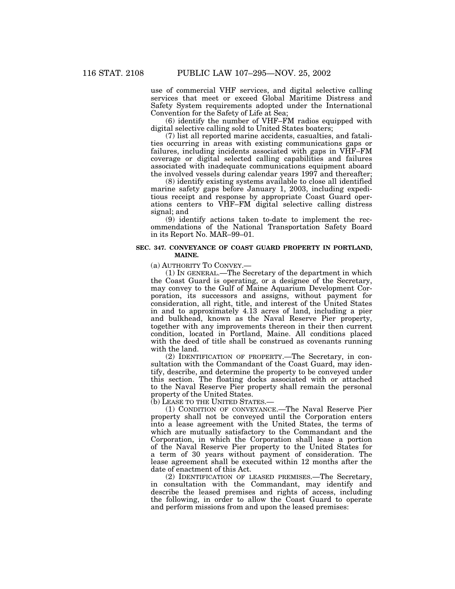use of commercial VHF services, and digital selective calling services that meet or exceed Global Maritime Distress and Safety System requirements adopted under the International Convention for the Safety of Life at Sea;

(6) identify the number of VHF–FM radios equipped with digital selective calling sold to United States boaters;

(7) list all reported marine accidents, casualties, and fatalities occurring in areas with existing communications gaps or failures, including incidents associated with gaps in VHF–FM coverage or digital selected calling capabilities and failures associated with inadequate communications equipment aboard the involved vessels during calendar years 1997 and thereafter;

(8) identify existing systems available to close all identified marine safety gaps before January 1, 2003, including expeditious receipt and response by appropriate Coast Guard operations centers to VHF–FM digital selective calling distress signal; and

(9) identify actions taken to-date to implement the recommendations of the National Transportation Safety Board in its Report No. MAR–99–01.

## **SEC. 347. CONVEYANCE OF COAST GUARD PROPERTY IN PORTLAND, MAINE.**

(a) AUTHORITY TO CONVEY.—

(1) IN GENERAL.—The Secretary of the department in which the Coast Guard is operating, or a designee of the Secretary, may convey to the Gulf of Maine Aquarium Development Corporation, its successors and assigns, without payment for consideration, all right, title, and interest of the United States in and to approximately 4.13 acres of land, including a pier and bulkhead, known as the Naval Reserve Pier property, together with any improvements thereon in their then current condition, located in Portland, Maine. All conditions placed with the deed of title shall be construed as covenants running with the land.

(2) IDENTIFICATION OF PROPERTY.—The Secretary, in consultation with the Commandant of the Coast Guard, may identify, describe, and determine the property to be conveyed under this section. The floating docks associated with or attached to the Naval Reserve Pier property shall remain the personal property of the United States.

(b) LEASE TO THE UNITED STATES.—

(1) CONDITION OF CONVEYANCE.—The Naval Reserve Pier property shall not be conveyed until the Corporation enters into a lease agreement with the United States, the terms of which are mutually satisfactory to the Commandant and the Corporation, in which the Corporation shall lease a portion of the Naval Reserve Pier property to the United States for a term of 30 years without payment of consideration. The lease agreement shall be executed within 12 months after the date of enactment of this Act.

(2) IDENTIFICATION OF LEASED PREMISES.—The Secretary, in consultation with the Commandant, may identify and describe the leased premises and rights of access, including the following, in order to allow the Coast Guard to operate and perform missions from and upon the leased premises: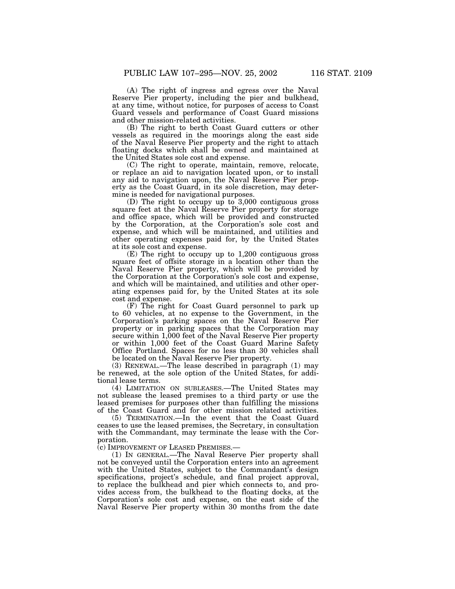(A) The right of ingress and egress over the Naval Reserve Pier property, including the pier and bulkhead, at any time, without notice, for purposes of access to Coast Guard vessels and performance of Coast Guard missions and other mission-related activities.

(B) The right to berth Coast Guard cutters or other vessels as required in the moorings along the east side of the Naval Reserve Pier property and the right to attach floating docks which shall be owned and maintained at the United States sole cost and expense.

(C) The right to operate, maintain, remove, relocate, or replace an aid to navigation located upon, or to install any aid to navigation upon, the Naval Reserve Pier property as the Coast Guard, in its sole discretion, may determine is needed for navigational purposes.

(D) The right to occupy up to 3,000 contiguous gross square feet at the Naval Reserve Pier property for storage and office space, which will be provided and constructed by the Corporation, at the Corporation's sole cost and expense, and which will be maintained, and utilities and other operating expenses paid for, by the United States at its sole cost and expense.

(E) The right to occupy up to 1,200 contiguous gross square feet of offsite storage in a location other than the Naval Reserve Pier property, which will be provided by the Corporation at the Corporation's sole cost and expense, and which will be maintained, and utilities and other operating expenses paid for, by the United States at its sole cost and expense.

(F) The right for Coast Guard personnel to park up to 60 vehicles, at no expense to the Government, in the Corporation's parking spaces on the Naval Reserve Pier property or in parking spaces that the Corporation may secure within 1,000 feet of the Naval Reserve Pier property or within 1,000 feet of the Coast Guard Marine Safety Office Portland. Spaces for no less than 30 vehicles shall be located on the Naval Reserve Pier property.

(3) RENEWAL.—The lease described in paragraph (1) may be renewed, at the sole option of the United States, for additional lease terms.

(4) LIMITATION ON SUBLEASES.—The United States may not sublease the leased premises to a third party or use the leased premises for purposes other than fulfilling the missions of the Coast Guard and for other mission related activities.

(5) TERMINATION.—In the event that the Coast Guard ceases to use the leased premises, the Secretary, in consultation with the Commandant, may terminate the lease with the Corporation.

(c) IMPROVEMENT OF LEASED PREMISES.—

(1) IN GENERAL.—The Naval Reserve Pier property shall not be conveyed until the Corporation enters into an agreement with the United States, subject to the Commandant's design specifications, project's schedule, and final project approval, to replace the bulkhead and pier which connects to, and provides access from, the bulkhead to the floating docks, at the Corporation's sole cost and expense, on the east side of the Naval Reserve Pier property within 30 months from the date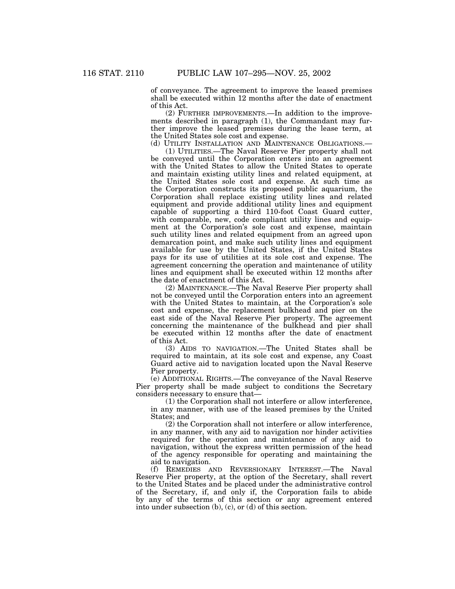of conveyance. The agreement to improve the leased premises shall be executed within 12 months after the date of enactment of this Act.

(2) FURTHER IMPROVEMENTS.—In addition to the improvements described in paragraph (1), the Commandant may further improve the leased premises during the lease term, at the United States sole cost and expense.

(d) UTILITY INSTALLATION AND MAINTENANCE OBLIGATIONS.—

(1) UTILITIES.—The Naval Reserve Pier property shall not be conveyed until the Corporation enters into an agreement with the United States to allow the United States to operate and maintain existing utility lines and related equipment, at the United States sole cost and expense. At such time as the Corporation constructs its proposed public aquarium, the Corporation shall replace existing utility lines and related equipment and provide additional utility lines and equipment capable of supporting a third 110-foot Coast Guard cutter, with comparable, new, code compliant utility lines and equipment at the Corporation's sole cost and expense, maintain such utility lines and related equipment from an agreed upon demarcation point, and make such utility lines and equipment available for use by the United States, if the United States pays for its use of utilities at its sole cost and expense. The agreement concerning the operation and maintenance of utility lines and equipment shall be executed within 12 months after the date of enactment of this Act.

(2) MAINTENANCE.—The Naval Reserve Pier property shall not be conveyed until the Corporation enters into an agreement with the United States to maintain, at the Corporation's sole cost and expense, the replacement bulkhead and pier on the east side of the Naval Reserve Pier property. The agreement concerning the maintenance of the bulkhead and pier shall be executed within 12 months after the date of enactment of this Act.

(3) AIDS TO NAVIGATION.—The United States shall be required to maintain, at its sole cost and expense, any Coast Guard active aid to navigation located upon the Naval Reserve Pier property.

(e) ADDITIONAL RIGHTS.—The conveyance of the Naval Reserve Pier property shall be made subject to conditions the Secretary considers necessary to ensure that—

(1) the Corporation shall not interfere or allow interference, in any manner, with use of the leased premises by the United States; and

(2) the Corporation shall not interfere or allow interference, in any manner, with any aid to navigation nor hinder activities required for the operation and maintenance of any aid to navigation, without the express written permission of the head of the agency responsible for operating and maintaining the aid to navigation.

(f) REMEDIES AND REVERSIONARY INTEREST.—The Naval Reserve Pier property, at the option of the Secretary, shall revert to the United States and be placed under the administrative control of the Secretary, if, and only if, the Corporation fails to abide by any of the terms of this section or any agreement entered into under subsection (b), (c), or (d) of this section.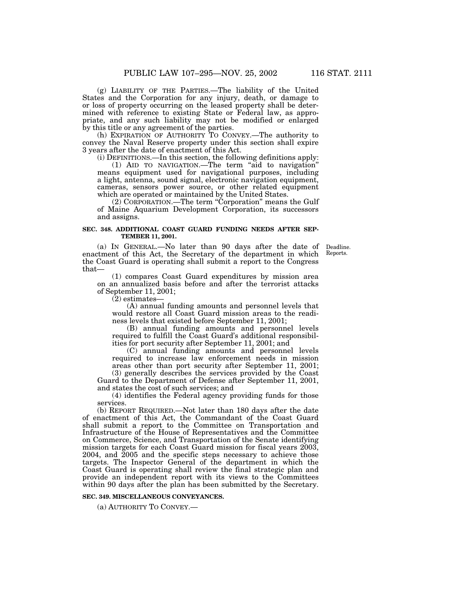(g) LIABILITY OF THE PARTIES.—The liability of the United States and the Corporation for any injury, death, or damage to or loss of property occurring on the leased property shall be determined with reference to existing State or Federal law, as appropriate, and any such liability may not be modified or enlarged by this title or any agreement of the parties.

(h) EXPIRATION OF AUTHORITY TO CONVEY.—The authority to convey the Naval Reserve property under this section shall expire 3 years after the date of enactment of this Act.

(i) DEFINITIONS.—In this section, the following definitions apply: (1) AID TO NAVIGATION.—The term ''aid to navigation'' means equipment used for navigational purposes, including a light, antenna, sound signal, electronic navigation equipment, cameras, sensors power source, or other related equipment which are operated or maintained by the United States.

(2) CORPORATION.—The term ''Corporation'' means the Gulf of Maine Aquarium Development Corporation, its successors and assigns.

#### **SEC. 348. ADDITIONAL COAST GUARD FUNDING NEEDS AFTER SEP-TEMBER 11, 2001.**

Deadline. Reports.

(a) IN GENERAL.—No later than 90 days after the date of enactment of this Act, the Secretary of the department in which the Coast Guard is operating shall submit a report to the Congress that—

(1) compares Coast Guard expenditures by mission area on an annualized basis before and after the terrorist attacks of September 11, 2001;

(2) estimates—

(A) annual funding amounts and personnel levels that would restore all Coast Guard mission areas to the readiness levels that existed before September 11, 2001;

(B) annual funding amounts and personnel levels required to fulfill the Coast Guard's additional responsibilities for port security after September 11, 2001; and

(C) annual funding amounts and personnel levels required to increase law enforcement needs in mission areas other than port security after September 11, 2001;

(3) generally describes the services provided by the Coast Guard to the Department of Defense after September 11, 2001, and states the cost of such services; and

(4) identifies the Federal agency providing funds for those services.

(b) REPORT REQUIRED.—Not later than 180 days after the date of enactment of this Act, the Commandant of the Coast Guard shall submit a report to the Committee on Transportation and Infrastructure of the House of Representatives and the Committee on Commerce, Science, and Transportation of the Senate identifying mission targets for each Coast Guard mission for fiscal years 2003, 2004, and 2005 and the specific steps necessary to achieve those targets. The Inspector General of the department in which the Coast Guard is operating shall review the final strategic plan and provide an independent report with its views to the Committees within 90 days after the plan has been submitted by the Secretary.

## **SEC. 349. MISCELLANEOUS CONVEYANCES.**

(a) AUTHORITY TO CONVEY.—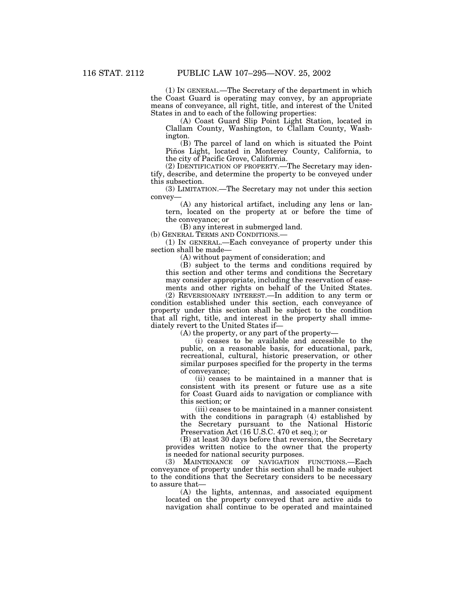(1) IN GENERAL.—The Secretary of the department in which the Coast Guard is operating may convey, by an appropriate means of conveyance, all right, title, and interest of the United States in and to each of the following properties:

(A) Coast Guard Slip Point Light Station, located in Clallam County, Washington, to Clallam County, Washington.

(B) The parcel of land on which is situated the Point Piños Light, located in Monterey County, California, to the city of Pacific Grove, California.

(2) IDENTIFICATION OF PROPERTY.—The Secretary may identify, describe, and determine the property to be conveyed under this subsection.

(3) LIMITATION.—The Secretary may not under this section convey—

(A) any historical artifact, including any lens or lantern, located on the property at or before the time of the conveyance; or

(B) any interest in submerged land.

(b) GENERAL TERMS AND CONDITIONS.—

(1) IN GENERAL.—Each conveyance of property under this section shall be made—

(A) without payment of consideration; and

(B) subject to the terms and conditions required by this section and other terms and conditions the Secretary may consider appropriate, including the reservation of easements and other rights on behalf of the United States.

(2) REVERSIONARY INTEREST.—In addition to any term or condition established under this section, each conveyance of property under this section shall be subject to the condition that all right, title, and interest in the property shall immediately revert to the United States if—

(A) the property, or any part of the property—

(i) ceases to be available and accessible to the public, on a reasonable basis, for educational, park, recreational, cultural, historic preservation, or other similar purposes specified for the property in the terms of conveyance;

(ii) ceases to be maintained in a manner that is consistent with its present or future use as a site for Coast Guard aids to navigation or compliance with this section; or

(iii) ceases to be maintained in a manner consistent with the conditions in paragraph (4) established by the Secretary pursuant to the National Historic Preservation Act (16 U.S.C. 470 et seq.); or

(B) at least 30 days before that reversion, the Secretary provides written notice to the owner that the property is needed for national security purposes.

(3) MAINTENANCE OF NAVIGATION FUNCTIONS.—Each conveyance of property under this section shall be made subject to the conditions that the Secretary considers to be necessary to assure that—

(A) the lights, antennas, and associated equipment located on the property conveyed that are active aids to navigation shall continue to be operated and maintained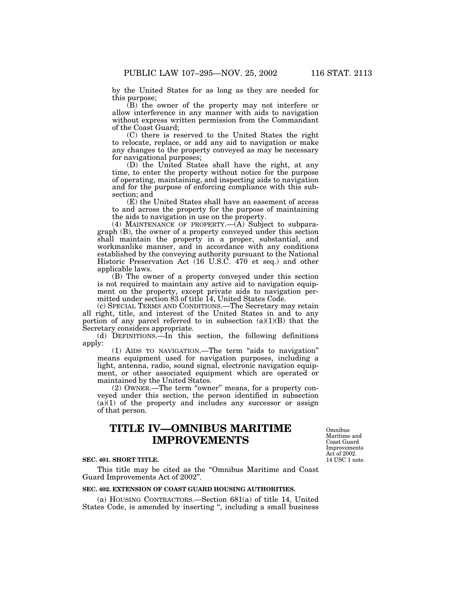by the United States for as long as they are needed for this purpose;

(B) the owner of the property may not interfere or allow interference in any manner with aids to navigation without express written permission from the Commandant of the Coast Guard;

(C) there is reserved to the United States the right to relocate, replace, or add any aid to navigation or make any changes to the property conveyed as may be necessary for navigational purposes;

(D) the United States shall have the right, at any time, to enter the property without notice for the purpose of operating, maintaining, and inspecting aids to navigation and for the purpose of enforcing compliance with this subsection; and

(E) the United States shall have an easement of access to and across the property for the purpose of maintaining the aids to navigation in use on the property.

(4) MAINTENANCE OF PROPERTY.—(A) Subject to subparagraph (B), the owner of a property conveyed under this section shall maintain the property in a proper, substantial, and workmanlike manner, and in accordance with any conditions established by the conveying authority pursuant to the National Historic Preservation Act (16 U.S.C. 470 et seq.) and other applicable laws.

(B) The owner of a property conveyed under this section is not required to maintain any active aid to navigation equipment on the property, except private aids to navigation permitted under section 83 of title 14, United States Code.

(c) SPECIAL TERMS AND CONDITIONS.—The Secretary may retain all right, title, and interest of the United States in and to any portion of any parcel referred to in subsection  $(a)(1)(B)$  that the Secretary considers appropriate.

(d) DEFINITIONS.—In this section, the following definitions apply:

(1) AIDS TO NAVIGATION.—The term ''aids to navigation'' means equipment used for navigation purposes, including a light, antenna, radio, sound signal, electronic navigation equipment, or other associated equipment which are operated or maintained by the United States.

(2) OWNER.—The term "owner" means, for a property conveyed under this section, the person identified in subsection  $(a)(1)$  of the property and includes any successor or assign of that person.

## **TITLE IV—OMNIBUS MARITIME IMPROVEMENTS**

#### **SEC. 401. SHORT TITLE.**

This title may be cited as the ''Omnibus Maritime and Coast Guard Improvements Act of 2002''.

### **SEC. 402. EXTENSION OF COAST GUARD HOUSING AUTHORITIES.**

(a) HOUSING CONTRACTORS.—Section 681(a) of title 14, United States Code, is amended by inserting ", including a small business

14 USC 1 note. Omnibus Maritime and Coast Guard Improvements Act of 2002.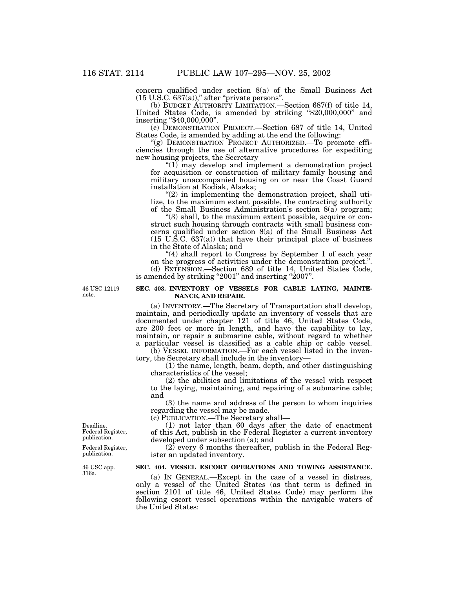concern qualified under section 8(a) of the Small Business Act (15 U.S.C. 637(a)),'' after ''private persons''. (b) BUDGET AUTHORITY LIMITATION.—Section 687(f) of title 14,

United States Code, is amended by striking "\$20,000,000" and inserting "\$40,000,000".

(c) DEMONSTRATION PROJECT.—Section 687 of title 14, United States Code, is amended by adding at the end the following:

"(g) DEMONSTRATION PROJECT AUTHORIZED.—To promote efficiencies through the use of alternative procedures for expediting

 $^n(1)$  may develop and implement a demonstration project for acquisition or construction of military family housing and military unaccompanied housing on or near the Coast Guard

 $\degree$ (2) in implementing the demonstration project, shall utilize, to the maximum extent possible, the contracting authority of the Small Business Administration's section  $8(a)$  program;

 $f(3)$  shall, to the maximum extent possible, acquire or construct such housing through contracts with small business concerns qualified under section 8(a) of the Small Business Act  $(15 \text{ U}.\overline{S}.\overline{C}.\ 637(a))$  that have their principal place of business

in the State of Alaska; and "(4) shall report to Congress by September 1 of each year on the progress of activities under the demonstration project.". (d) EXTENSION.—Section 689 of title 14, United States Code, is amended by striking "2001" and inserting "2007".

46 USC 12119 note.

#### **SEC. 403. INVENTORY OF VESSELS FOR CABLE LAYING, MAINTE-NANCE, AND REPAIR.**

(a) INVENTORY.—The Secretary of Transportation shall develop, maintain, and periodically update an inventory of vessels that are documented under chapter 121 of title 46, United States Code, are 200 feet or more in length, and have the capability to lay, maintain, or repair a submarine cable, without regard to whether a particular vessel is classified as a cable ship or cable vessel.

(b) VESSEL INFORMATION.—For each vessel listed in the inventory, the Secretary shall include in the inventory—

(1) the name, length, beam, depth, and other distinguishing characteristics of the vessel;

(2) the abilities and limitations of the vessel with respect to the laying, maintaining, and repairing of a submarine cable; and

(3) the name and address of the person to whom inquiries regarding the vessel may be made.

(c) PUBLICATION.—The Secretary shall—

(1) not later than 60 days after the date of enactment of this Act, publish in the Federal Register a current inventory developed under subsection (a); and

 $(2)$  every 6 months thereafter, publish in the Federal Register an updated inventory.

## **SEC. 404. VESSEL ESCORT OPERATIONS AND TOWING ASSISTANCE.**

(a) IN GENERAL.—Except in the case of a vessel in distress, only a vessel of the United States (as that term is defined in section 2101 of title 46, United States Code) may perform the following escort vessel operations within the navigable waters of the United States:

Deadline. Federal Register, publication.

Federal Register, publication.

46 USC app. 316a.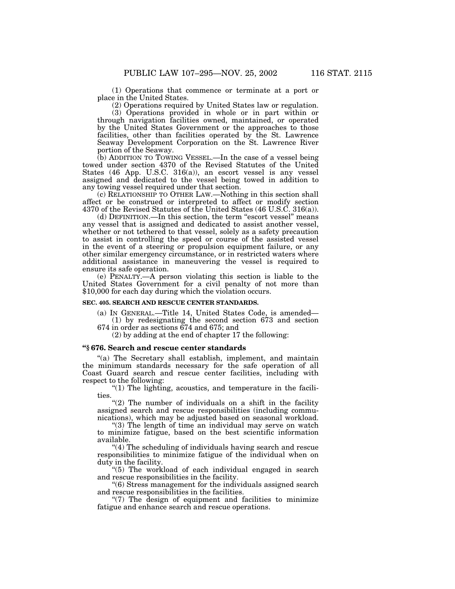(1) Operations that commence or terminate at a port or place in the United States.

(2) Operations required by United States law or regulation. (3) Operations provided in whole or in part within or through navigation facilities owned, maintained, or operated by the United States Government or the approaches to those facilities, other than facilities operated by the St. Lawrence Seaway Development Corporation on the St. Lawrence River portion of the Seaway.

(b) ADDITION TO TOWING VESSEL.—In the case of a vessel being towed under section 4370 of the Revised Statutes of the United States (46 App. U.S.C. 316(a)), an escort vessel is any vessel assigned and dedicated to the vessel being towed in addition to any towing vessel required under that section.

(c) RELATIONSHIP TO OTHER LAW.—Nothing in this section shall affect or be construed or interpreted to affect or modify section 4370 of the Revised Statutes of the United States (46 U.S.C. 316(a)).

(d) DEFINITION.—In this section, the term "escort vessel" means any vessel that is assigned and dedicated to assist another vessel, whether or not tethered to that vessel, solely as a safety precaution to assist in controlling the speed or course of the assisted vessel in the event of a steering or propulsion equipment failure, or any other similar emergency circumstance, or in restricted waters where additional assistance in maneuvering the vessel is required to ensure its safe operation.

(e) PENALTY.—A person violating this section is liable to the United States Government for a civil penalty of not more than \$10,000 for each day during which the violation occurs.

## **SEC. 405. SEARCH AND RESCUE CENTER STANDARDS.**

- (a) IN GENERAL.—Title 14, United States Code, is amended— (1) by redesignating the second section 673 and section
- 674 in order as sections 674 and 675; and

(2) by adding at the end of chapter 17 the following:

## **''§ 676. Search and rescue center standards**

''(a) The Secretary shall establish, implement, and maintain the minimum standards necessary for the safe operation of all Coast Guard search and rescue center facilities, including with respect to the following:

" $(1)$  The lighting, acoustics, and temperature in the facilities.

" $(2)$  The number of individuals on a shift in the facility assigned search and rescue responsibilities (including communications), which may be adjusted based on seasonal workload.

"(3) The length of time an individual may serve on watch to minimize fatigue, based on the best scientific information available.

"(4) The scheduling of individuals having search and rescue responsibilities to minimize fatigue of the individual when on duty in the facility.

"(5) The workload of each individual engaged in search and rescue responsibilities in the facility.

''(6) Stress management for the individuals assigned search and rescue responsibilities in the facilities.

"(7) The design of equipment and facilities to minimize fatigue and enhance search and rescue operations.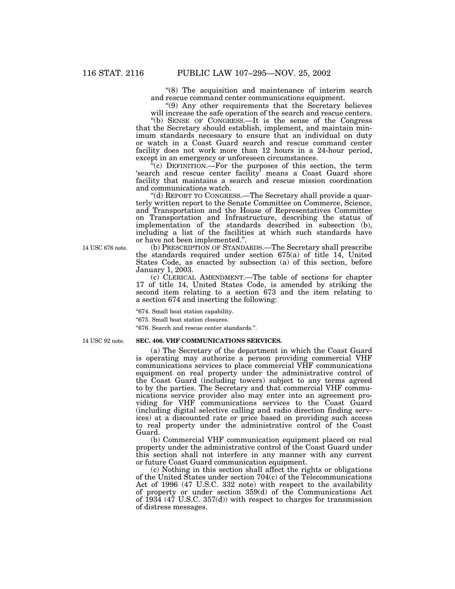"(8) The acquisition and maintenance of interim search and rescue command center communications equipment.

''(9) Any other requirements that the Secretary believes will increase the safe operation of the search and rescue centers.

''(b) SENSE OF CONGRESS.—It is the sense of the Congress that the Secretary should establish, implement, and maintain minimum standards necessary to ensure that an individual on duty or watch in a Coast Guard search and rescue command center facility does not work more than 12 hours in a 24-hour period, except in an emergency or unforeseen circumstances.

 $\tilde{f}(c)$  DEFINITION.—For the purposes of this section, the term 'search and rescue center facility' means a Coast Guard shore facility that maintains a search and rescue mission coordination

"(d) REPORT TO CONGRESS.—The Secretary shall provide a quarterly written report to the Senate Committee on Commerce, Science, and Transportation and the House of Representatives Committee on Transportation and Infrastructure, describing the status of implementation of the standards described in subsection (b), including a list of the facilities at which such standards have or have not been implemented.''.

(b) PRESCRIPTION OF STANDARDS.—The Secretary shall prescribe the standards required under section 675(a) of title 14, United States Code, as enacted by subsection (a) of this section, before January 1, 2003.

(c) CLERICAL AMENDMENT.—The table of sections for chapter 17 of title 14, United States Code, is amended by striking the second item relating to a section 673 and the item relating to a section 674 and inserting the following:

''674. Small boat station capability.

''675. Small boat station closures.

''676. Search and rescue center standards.''.

14 USC 92 note.

14 USC 676 note.

#### **SEC. 406. VHF COMMUNICATIONS SERVICES.**

(a) The Secretary of the department in which the Coast Guard is operating may authorize a person providing commercial VHF communications services to place commercial VHF communications equipment on real property under the administrative control of the Coast Guard (including towers) subject to any terms agreed to by the parties. The Secretary and that commercial VHF communications service provider also may enter into an agreement providing for VHF communications services to the Coast Guard (including digital selective calling and radio direction finding services) at a discounted rate or price based on providing such access to real property under the administrative control of the Coast Guard.

(b) Commercial VHF communication equipment placed on real property under the administrative control of the Coast Guard under this section shall not interfere in any manner with any current or future Coast Guard communication equipment.

(c) Nothing in this section shall affect the rights or obligations of the United States under section 704(c) of the Telecommunications Act of 1996 (47 U.S.C. 332 note) with respect to the availability of property or under section 359(d) of the Communications Act of  $1934$  (47 U.S.C. 357(d)) with respect to charges for transmission of distress messages.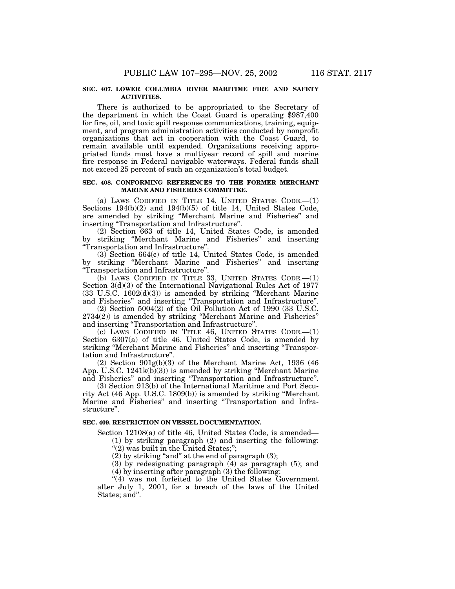#### **SEC. 407. LOWER COLUMBIA RIVER MARITIME FIRE AND SAFETY ACTIVITIES.**

There is authorized to be appropriated to the Secretary of the department in which the Coast Guard is operating \$987,400 for fire, oil, and toxic spill response communications, training, equipment, and program administration activities conducted by nonprofit organizations that act in cooperation with the Coast Guard, to remain available until expended. Organizations receiving appropriated funds must have a multiyear record of spill and marine fire response in Federal navigable waterways. Federal funds shall not exceed 25 percent of such an organization's total budget.

## **SEC. 408. CONFORMING REFERENCES TO THE FORMER MERCHANT MARINE AND FISHERIES COMMITTEE.**

(a) LAWS CODIFIED IN TITLE 14, UNITED STATES CODE.—(1) Sections 194(b)(2) and 194(b)(5) of title 14, United States Code, are amended by striking ''Merchant Marine and Fisheries'' and inserting ''Transportation and Infrastructure''.

(2) Section 663 of title 14, United States Code, is amended by striking ''Merchant Marine and Fisheries'' and inserting ''Transportation and Infrastructure''.

(3) Section 664(c) of title 14, United States Code, is amended by striking ''Merchant Marine and Fisheries'' and inserting ''Transportation and Infrastructure''.

(b) LAWS CODIFIED IN TITLE 33, UNITED STATES CODE.—(1) Section 3(d)(3) of the International Navigational Rules Act of 1977 (33 U.S.C. 1602(d)(3)) is amended by striking ''Merchant Marine and Fisheries'' and inserting ''Transportation and Infrastructure''.

(2) Section 5004(2) of the Oil Pollution Act of 1990 (33 U.S.C. 2734(2)) is amended by striking ''Merchant Marine and Fisheries'' and inserting ''Transportation and Infrastructure''.

(c) LAWS CODIFIED IN TITLE 46, UNITED STATES CODE.—(1) Section 6307(a) of title 46, United States Code, is amended by striking ''Merchant Marine and Fisheries'' and inserting ''Transportation and Infrastructure''.

 $(2)$  Section  $901g(b)(3)$  of the Merchant Marine Act, 1936 (46) App. U.S.C.  $1241k(b)(3)$  is amended by striking "Merchant Marine" and Fisheries'' and inserting ''Transportation and Infrastructure''.

(3) Section 913(b) of the International Maritime and Port Security Act (46 App. U.S.C. 1809(b)) is amended by striking ''Merchant Marine and Fisheries'' and inserting ''Transportation and Infrastructure''.

#### **SEC. 409. RESTRICTION ON VESSEL DOCUMENTATION.**

Section 12108(a) of title 46, United States Code, is amended— (1) by striking paragraph (2) and inserting the following:

''(2) was built in the United States;'';

 $(2)$  by striking "and" at the end of paragraph  $(3)$ ;

(3) by redesignating paragraph (4) as paragraph (5); and (4) by inserting after paragraph (3) the following:

"(4) was not forfeited to the United States Government after July 1, 2001, for a breach of the laws of the United States; and''.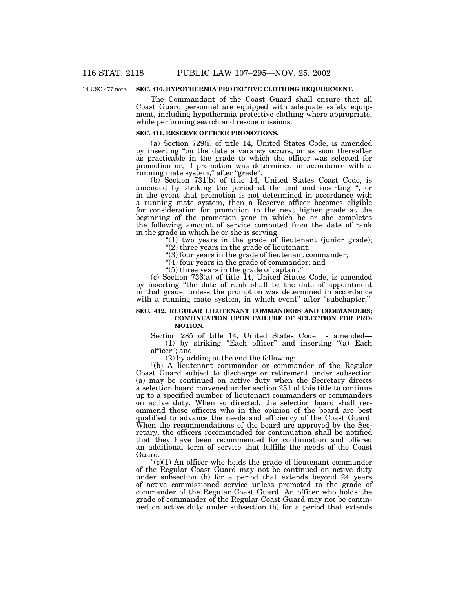14 USC 477 note.

## **SEC. 410. HYPOTHERMIA PROTECTIVE CLOTHING REQUIREMENT.**

The Commandant of the Coast Guard shall ensure that all Coast Guard personnel are equipped with adequate safety equipment, including hypothermia protective clothing where appropriate, while performing search and rescue missions.

## **SEC. 411. RESERVE OFFICER PROMOTIONS.**

(a) Section 729(i) of title 14, United States Code, is amended by inserting ''on the date a vacancy occurs, or as soon thereafter as practicable in the grade to which the officer was selected for promotion or, if promotion was determined in accordance with a running mate system," after "grade".<br>
(b) Section 731(b) of title 14, United States Coast Code, is

amended by striking the period at the end and inserting ", or in the event that promotion is not determined in accordance with a running mate system, then a Reserve officer becomes eligible for consideration for promotion to the next higher grade at the beginning of the promotion year in which he or she completes the following amount of service computed from the date of rank in the grade in which he or she is serving:

"(1) two years in the grade of lieutenant (junior grade);

 $''(2)$  three years in the grade of lieutenant;

''(3) four years in the grade of lieutenant commander;

"(4) four years in the grade of commander; and "(5) three years in the grade of captain."

(c) Section 736(a) of title 14, United States Code, is amended by inserting ''the date of rank shall be the date of appointment in that grade, unless the promotion was determined in accordance with a running mate system, in which event" after "subchapter,".

### **SEC. 412. REGULAR LIEUTENANT COMMANDERS AND COMMANDERS; CONTINUATION UPON FAILURE OF SELECTION FOR PRO-MOTION.**

Section 285 of title 14, United States Code, is amended— (1) by striking ''Each officer'' and inserting ''(a) Each officer''; and

(2) by adding at the end the following:

''(b) A lieutenant commander or commander of the Regular Coast Guard subject to discharge or retirement under subsection (a) may be continued on active duty when the Secretary directs a selection board convened under section 251 of this title to continue up to a specified number of lieutenant commanders or commanders on active duty. When so directed, the selection board shall recommend those officers who in the opinion of the board are best qualified to advance the needs and efficiency of the Coast Guard. When the recommendations of the board are approved by the Secretary, the officers recommended for continuation shall be notified that they have been recommended for continuation and offered an additional term of service that fulfills the needs of the Coast Guard.

 $(C)(1)$  An officer who holds the grade of lieutenant commander of the Regular Coast Guard may not be continued on active duty under subsection (b) for a period that extends beyond 24 years of active commissioned service unless promoted to the grade of commander of the Regular Coast Guard. An officer who holds the grade of commander of the Regular Coast Guard may not be continued on active duty under subsection (b) for a period that extends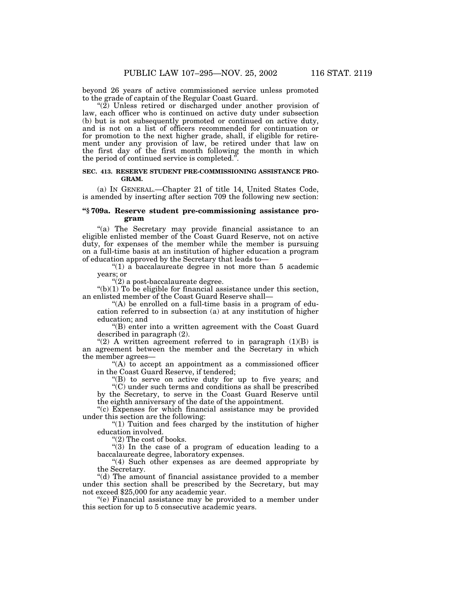beyond 26 years of active commissioned service unless promoted to the grade of captain of the Regular Coast Guard.

" $(2)$  Unless retired or discharged under another provision of law, each officer who is continued on active duty under subsection (b) but is not subsequently promoted or continued on active duty, and is not on a list of officers recommended for continuation or for promotion to the next higher grade, shall, if eligible for retirement under any provision of law, be retired under that law on the first day of the first month following the month in which the period of continued service is completed.''.

## **SEC. 413. RESERVE STUDENT PRE-COMMISSIONING ASSISTANCE PRO-GRAM.**

(a) IN GENERAL.—Chapter 21 of title 14, United States Code, is amended by inserting after section 709 the following new section:

### **''§ 709a. Reserve student pre-commissioning assistance program**

"(a) The Secretary may provide financial assistance to an eligible enlisted member of the Coast Guard Reserve, not on active duty, for expenses of the member while the member is pursuing on a full-time basis at an institution of higher education a program of education approved by the Secretary that leads to—

''(1) a baccalaureate degree in not more than 5 academic years; or

 $''(2)$  a post-baccalaureate degree.

" $(b)(1)$  To be eligible for financial assistance under this section, an enlisted member of the Coast Guard Reserve shall—

"(A) be enrolled on a full-time basis in a program of education referred to in subsection (a) at any institution of higher education; and

''(B) enter into a written agreement with the Coast Guard described in paragraph (2).

"(2) A written agreement referred to in paragraph  $(1)(B)$  is an agreement between the member and the Secretary in which the member agrees—

"(A) to accept an appointment as a commissioned officer in the Coast Guard Reserve, if tendered;

''(B) to serve on active duty for up to five years; and

''(C) under such terms and conditions as shall be prescribed by the Secretary, to serve in the Coast Guard Reserve until the eighth anniversary of the date of the appointment.

"(c) Expenses for which financial assistance may be provided under this section are the following:

''(1) Tuition and fees charged by the institution of higher education involved.

''(2) The cost of books.

 $'(3)$  In the case of a program of education leading to a baccalaureate degree, laboratory expenses.

"(4) Such other expenses as are deemed appropriate by the Secretary.

''(d) The amount of financial assistance provided to a member under this section shall be prescribed by the Secretary, but may not exceed \$25,000 for any academic year.

''(e) Financial assistance may be provided to a member under this section for up to 5 consecutive academic years.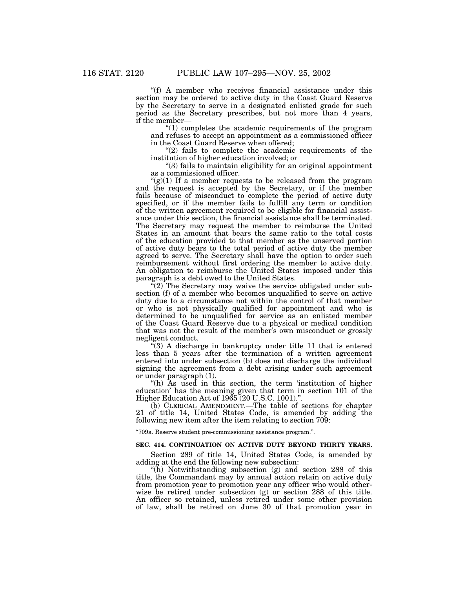''(f) A member who receives financial assistance under this section may be ordered to active duty in the Coast Guard Reserve by the Secretary to serve in a designated enlisted grade for such period as the Secretary prescribes, but not more than 4 years, if the member—

 $(1)$  completes the academic requirements of the program and refuses to accept an appointment as a commissioned officer in the Coast Guard Reserve when offered;

"(2) fails to complete the academic requirements of the institution of higher education involved; or

''(3) fails to maintain eligibility for an original appointment as a commissioned officer.

 $\mathcal{L}(g)(1)$  If a member requests to be released from the program and the request is accepted by the Secretary, or if the member fails because of misconduct to complete the period of active duty specified, or if the member fails to fulfill any term or condition of the written agreement required to be eligible for financial assistance under this section, the financial assistance shall be terminated. The Secretary may request the member to reimburse the United States in an amount that bears the same ratio to the total costs of the education provided to that member as the unserved portion of active duty bears to the total period of active duty the member agreed to serve. The Secretary shall have the option to order such reimbursement without first ordering the member to active duty. An obligation to reimburse the United States imposed under this paragraph is a debt owed to the United States.

 $\mathbb{I}(2)$  The Secretary may waive the service obligated under subsection (f) of a member who becomes unqualified to serve on active duty due to a circumstance not within the control of that member or who is not physically qualified for appointment and who is determined to be unqualified for service as an enlisted member of the Coast Guard Reserve due to a physical or medical condition that was not the result of the member's own misconduct or grossly negligent conduct.

"(3) A discharge in bankruptcy under title 11 that is entered less than 5 years after the termination of a written agreement entered into under subsection (b) does not discharge the individual signing the agreement from a debt arising under such agreement or under paragraph (1).

"(h) As used in this section, the term 'institution of higher education' has the meaning given that term in section 101 of the Higher Education Act of 1965 (20 U.S.C. 1001).''.

(b) CLERICAL AMENDMENT.—The table of sections for chapter 21 of title 14, United States Code, is amended by adding the following new item after the item relating to section 709:

''709a. Reserve student pre-commissioning assistance program.''.

#### **SEC. 414. CONTINUATION ON ACTIVE DUTY BEYOND THIRTY YEARS.**

Section 289 of title 14, United States Code, is amended by adding at the end the following new subsection:

''(h) Notwithstanding subsection (g) and section 288 of this title, the Commandant may by annual action retain on active duty from promotion year to promotion year any officer who would otherwise be retired under subsection (g) or section 288 of this title. An officer so retained, unless retired under some other provision of law, shall be retired on June 30 of that promotion year in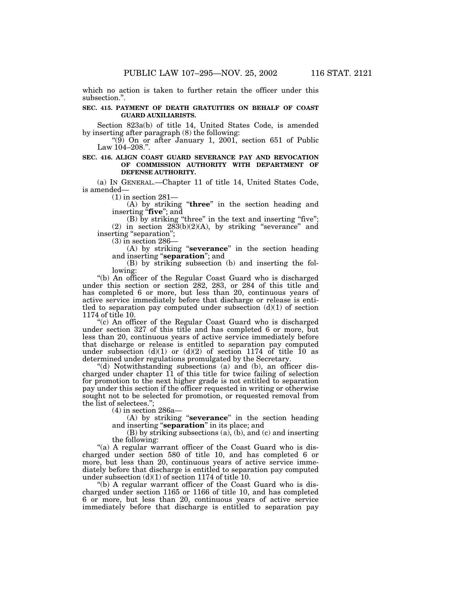which no action is taken to further retain the officer under this subsection.''.

#### **SEC. 415. PAYMENT OF DEATH GRATUITIES ON BEHALF OF COAST GUARD AUXILIARISTS.**

Section 823a(b) of title 14, United States Code, is amended by inserting after paragraph (8) the following:

" $(9)$  On or after January 1, 2001, section 651 of Public Law 104–208.''.

## **SEC. 416. ALIGN COAST GUARD SEVERANCE PAY AND REVOCATION OF COMMISSION AUTHORITY WITH DEPARTMENT OF DEFENSE AUTHORITY.**

(a) IN GENERAL.—Chapter 11 of title 14, United States Code, is amended— (1) in section 281— (A) by striking ''**three**'' in the section heading and

inserting ''**five**''; and

(B) by striking "three" in the text and inserting "five"; (2) in section  $283(b)(2)(A)$ , by striking "severance" and inserting "separation";<br>(3) in section 286—

(A) by striking "**severance**" in the section heading and inserting ''**separation**''; and

(B) by striking subsection (b) and inserting the fol-

"(b) An officer of the Regular Coast Guard who is discharged under this section or section 282, 283, or 284 of this title and has completed 6 or more, but less than 20, continuous years of active service immediately before that discharge or release is entitled to separation pay computed under subsection  $(d)(1)$  of section 1174 of title 10.

"(c) An officer of the Regular Coast Guard who is discharged under section 327 of this title and has completed 6 or more, but less than 20, continuous years of active service immediately before that discharge or release is entitled to separation pay computed under subsection (d)(1) or (d)(2) of section 1174 of title 10 as determined under regulations promulgated by the Secretary.

"(d) Notwithstanding subsections (a) and (b), an officer discharged under chapter 11 of this title for twice failing of selection for promotion to the next higher grade is not entitled to separation pay under this section if the officer requested in writing or otherwise sought not to be selected for promotion, or requested removal from the list of selectees.";<br>(4) in section 286a-

(A) by striking "**severance**" in the section heading and inserting "**separation**" in its place; and

(B) by striking subsections  $(a)$ ,  $(b)$ , and  $(c)$  and inserting the following:

"(a) A regular warrant officer of the Coast Guard who is discharged under section 580 of title 10, and has completed 6 or more, but less than 20, continuous years of active service immediately before that discharge is entitled to separation pay computed under subsection (d)(1) of section 1174 of title 10.

''(b) A regular warrant officer of the Coast Guard who is discharged under section 1165 or 1166 of title 10, and has completed 6 or more, but less than 20, continuous years of active service immediately before that discharge is entitled to separation pay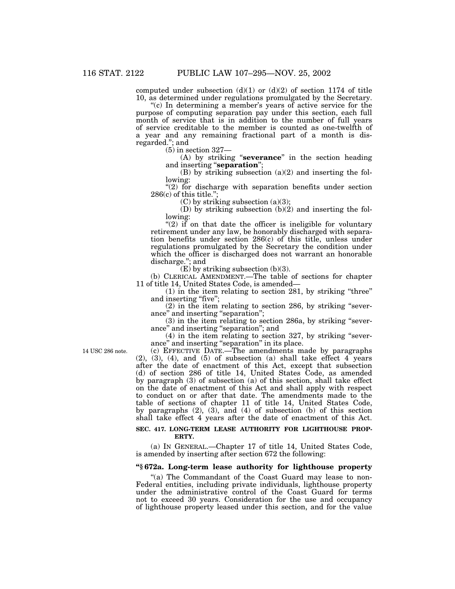computed under subsection  $(d)(1)$  or  $(d)(2)$  of section 1174 of title 10, as determined under regulations promulgated by the Secretary. ''(c) In determining a member's years of active service for the

purpose of computing separation pay under this section, each full month of service that is in addition to the number of full years of service creditable to the member is counted as one-twelfth of a year and any remaining fractional part of a month is disregarded.''; and

(5) in section 327—

(A) by striking ''**severance**'' in the section heading and inserting ''**separation**'';

(B) by striking subsection (a)(2) and inserting the following:

 $(2)$  for discharge with separation benefits under section 286(c) of this title.'';

 $(C)$  by striking subsection  $(a)(3)$ ;

(D) by striking subsection (b)(2) and inserting the following:

" $(2)$  if on that date the officer is ineligible for voluntary retirement under any law, be honorably discharged with separation benefits under section 286(c) of this title, unless under regulations promulgated by the Secretary the condition under which the officer is discharged does not warrant an honorable discharge."; and

 $(E)$  by striking subsection (b)(3).

(b) CLERICAL AMENDMENT.—The table of sections for chapter 11 of title 14, United States Code, is amended—

(1) in the item relating to section 281, by striking ''three'' and inserting "five";

 $(2)$  in the item relating to section 286, by striking "severance'' and inserting ''separation'';

(3) in the item relating to section 286a, by striking "severance'' and inserting ''separation''; and

 $(4)$  in the item relating to section 327, by striking "severance" and inserting "separation" in its place.

14 USC 286 note.

(c) EFFECTIVE DATE.—The amendments made by paragraphs  $(2)$ ,  $(3)$ ,  $(4)$ , and  $(5)$  of subsection  $(a)$  shall take effect 4 years after the date of enactment of this Act, except that subsection (d) of section 286 of title 14, United States Code, as amended by paragraph (3) of subsection (a) of this section, shall take effect on the date of enactment of this Act and shall apply with respect to conduct on or after that date. The amendments made to the table of sections of chapter 11 of title 14, United States Code, by paragraphs (2), (3), and (4) of subsection (b) of this section shall take effect 4 years after the date of enactment of this Act.

### **SEC. 417. LONG-TERM LEASE AUTHORITY FOR LIGHTHOUSE PROP-ERTY.**

(a) IN GENERAL.—Chapter 17 of title 14, United States Code, is amended by inserting after section 672 the following:

#### **''§ 672a. Long-term lease authority for lighthouse property**

''(a) The Commandant of the Coast Guard may lease to non-Federal entities, including private individuals, lighthouse property under the administrative control of the Coast Guard for terms not to exceed 30 years. Consideration for the use and occupancy of lighthouse property leased under this section, and for the value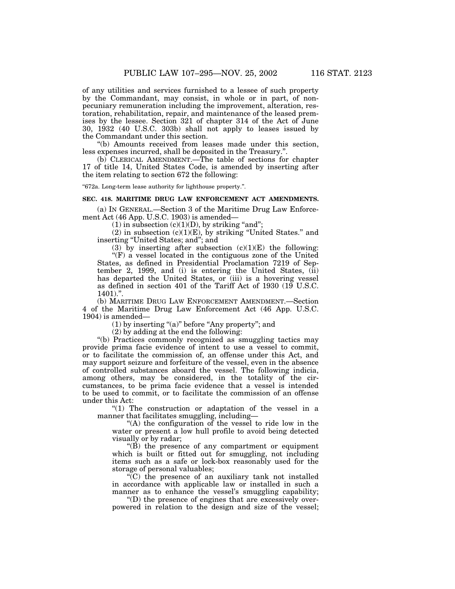of any utilities and services furnished to a lessee of such property by the Commandant, may consist, in whole or in part, of nonpecuniary remuneration including the improvement, alteration, restoration, rehabilitation, repair, and maintenance of the leased premises by the lessee. Section 321 of chapter 314 of the Act of June 30, 1932 (40 U.S.C. 303b) shall not apply to leases issued by the Commandant under this section.

''(b) Amounts received from leases made under this section, less expenses incurred, shall be deposited in the Treasury.''.

(b) CLERICAL AMENDMENT.—The table of sections for chapter 17 of title 14, United States Code, is amended by inserting after the item relating to section 672 the following:

''672a. Long-term lease authority for lighthouse property.''.

### **SEC. 418. MARITIME DRUG LAW ENFORCEMENT ACT AMENDMENTS.**

(a) IN GENERAL.—Section 3 of the Maritime Drug Law Enforcement Act (46 App. U.S.C. 1903) is amended—

(1) in subsection  $(c)(1)(D)$ , by striking "and";

(2) in subsection  $(c)(1)(E)$ , by striking "United States." and inserting "United States; and"; and

(3) by inserting after subsection  $(c)(1)(E)$  the following: ''(F) a vessel located in the contiguous zone of the United

States, as defined in Presidential Proclamation 7219 of September 2, 1999, and (i) is entering the United States, (ii) has departed the United States, or (iii) is a hovering vessel as defined in section 401 of the Tariff Act of 1930 (19 U.S.C. 1401).''.

(b) MARITIME DRUG LAW ENFORCEMENT AMENDMENT.—Section 4 of the Maritime Drug Law Enforcement Act (46 App. U.S.C. 1904) is amended—

(1) by inserting ''(a)'' before ''Any property''; and

(2) by adding at the end the following:

''(b) Practices commonly recognized as smuggling tactics may provide prima facie evidence of intent to use a vessel to commit, or to facilitate the commission of, an offense under this Act, and may support seizure and forfeiture of the vessel, even in the absence of controlled substances aboard the vessel. The following indicia, among others, may be considered, in the totality of the circumstances, to be prima facie evidence that a vessel is intended to be used to commit, or to facilitate the commission of an offense under this Act:

"(1) The construction or adaptation of the vessel in a manner that facilitates smuggling, including—

"(A) the configuration of the vessel to ride low in the water or present a low hull profile to avoid being detected visually or by radar;

 $\mathrm{``(B)}$  the presence of any compartment or equipment which is built or fitted out for smuggling, not including items such as a safe or lock-box reasonably used for the storage of personal valuables;

 $\sqrt{\rm C}$  the presence of an auxiliary tank not installed in accordance with applicable law or installed in such a manner as to enhance the vessel's smuggling capability;

''(D) the presence of engines that are excessively overpowered in relation to the design and size of the vessel;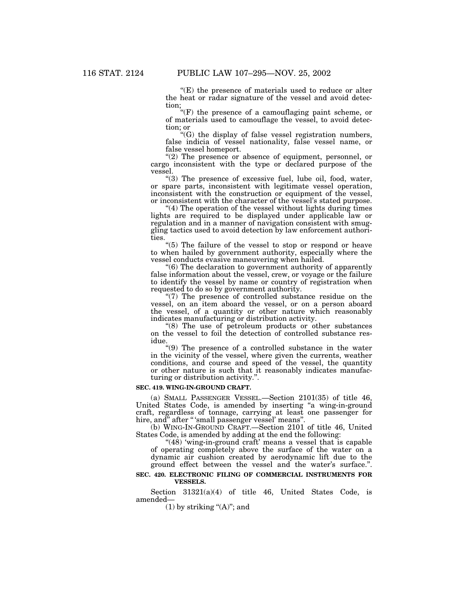"(E) the presence of materials used to reduce or alter the heat or radar signature of the vessel and avoid detec-

tion;<br>"(F) the presence of a camouflaging paint scheme, or of materials used to camouflage the vessel, to avoid detec-

tion; or  $\degree$ (G) the display of false vessel registration numbers, false indicia of vessel nationality, false vessel name, or false vessel homeport.

''(2) The presence or absence of equipment, personnel, or cargo inconsistent with the type or declared purpose of the vessel.<br>"(3) The presence of excessive fuel, lube oil, food, water,

or spare parts, inconsistent with legitimate vessel operation, inconsistent with the construction or equipment of the vessel, or inconsistent with the character of the vessel's stated purpose.

 $f(4)$  The operation of the vessel without lights during times. lights are required to be displayed under applicable law or regulation and in a manner of navigation consistent with smuggling tactics used to avoid detection by law enforcement authori-

ties.<br>"(5) The failure of the vessel to stop or respond or heave to when hailed by government authority, especially where the

" $(6)$  The declaration to government authority of apparently false information about the vessel, crew, or voyage or the failure to identify the vessel by name or country of registration when requested to do so by government authority.

"(7) The presence of controlled substance residue on the vessel, on an item aboard the vessel, or on a person aboard the vessel, of a quantity or other nature which reasonably indicates manufacturing or distribution activity. indicates manufacturing or distribution activity. ''(8) The use of petroleum products or other substances

on the vessel to foil the detection of controlled substance residue.<br>"(9) The presence of a controlled substance in the water

in the vicinity of the vessel, where given the currents, weather conditions, and course and speed of the vessel, the quantity or other nature is such that it reasonably indicates manufacturing or distribution activity.''.

### **SEC. 419. WING-IN-GROUND CRAFT.**

(a) SMALL PASSENGER VESSEL.—Section 2101(35) of title 46, United States Code, is amended by inserting ''a wing-in-ground craft, regardless of tonnage, carrying at least one passenger for hire, and'' after '' 'small passenger vessel' means''. (b) WING-IN-GROUND CRAFT.—Section 2101 of title 46, United

States Code, is amended by adding at the end the following: ''(48) 'wing-in-ground craft' means a vessel that is capable

of operating completely above the surface of the water on a dynamic air cushion created by aerodynamic lift due to the ground effect between the vessel and the water's surface.''.

### **SEC. 420. ELECTRONIC FILING OF COMMERCIAL INSTRUMENTS FOR VESSELS.**

Section 31321(a)(4) of title 46, United States Code, is amended—

(1) by striking " $(A)$ "; and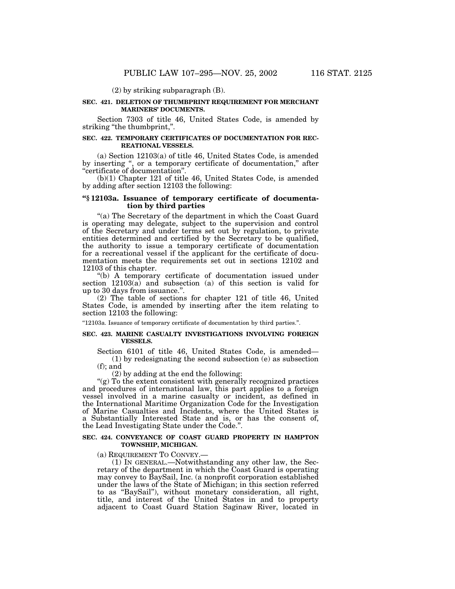(2) by striking subparagraph (B).

#### **SEC. 421. DELETION OF THUMBPRINT REQUIREMENT FOR MERCHANT MARINERS' DOCUMENTS.**

Section 7303 of title 46, United States Code, is amended by striking "the thumbprint,".

#### **SEC. 422. TEMPORARY CERTIFICATES OF DOCUMENTATION FOR REC-REATIONAL VESSELS.**

(a) Section 12103(a) of title 46, United States Code, is amended by inserting ", or a temporary certificate of documentation," after ''certificate of documentation''.

(b)(1) Chapter 121 of title 46, United States Code, is amended by adding after section 12103 the following:

#### **''§ 12103a. Issuance of temporary certificate of documentation by third parties**

"(a) The Secretary of the department in which the Coast Guard is operating may delegate, subject to the supervision and control of the Secretary and under terms set out by regulation, to private entities determined and certified by the Secretary to be qualified, the authority to issue a temporary certificate of documentation for a recreational vessel if the applicant for the certificate of documentation meets the requirements set out in sections 12102 and 12103 of this chapter.

''(b) A temporary certificate of documentation issued under section 12103(a) and subsection (a) of this section is valid for up to 30 days from issuance.''.

(2) The table of sections for chapter 121 of title 46, United States Code, is amended by inserting after the item relating to section  $12103$  the following:

''12103a. Issuance of temporary certificate of documentation by third parties.''.

#### **SEC. 423. MARINE CASUALTY INVESTIGATIONS INVOLVING FOREIGN VESSELS.**

Section 6101 of title 46, United States Code, is amended— (1) by redesignating the second subsection (e) as subsection (f); and

(2) by adding at the end the following:

"(g) To the extent consistent with generally recognized practices and procedures of international law, this part applies to a foreign vessel involved in a marine casualty or incident, as defined in the International Maritime Organization Code for the Investigation of Marine Casualties and Incidents, where the United States is a Substantially Interested State and is, or has the consent of, the Lead Investigating State under the Code.''.

#### **SEC. 424. CONVEYANCE OF COAST GUARD PROPERTY IN HAMPTON TOWNSHIP, MICHIGAN.**

(a) REQUIREMENT TO CONVEY.—

(1) IN GENERAL.—Notwithstanding any other law, the Secretary of the department in which the Coast Guard is operating may convey to BaySail, Inc. (a nonprofit corporation established under the laws of the State of Michigan; in this section referred to as ''BaySail''), without monetary consideration, all right, title, and interest of the United States in and to property adjacent to Coast Guard Station Saginaw River, located in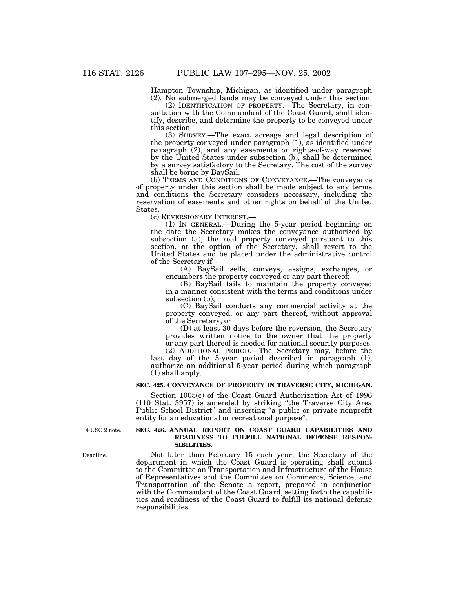Hampton Township, Michigan, as identified under paragraph (2). No submerged lands may be conveyed under this section.

(2) IDENTIFICATION OF PROPERTY.—The Secretary, in consultation with the Commandant of the Coast Guard, shall identify, describe, and determine the property to be conveyed under this section.

(3) SURVEY.—The exact acreage and legal description of the property conveyed under paragraph (1), as identified under paragraph (2), and any easements or rights-of-way reserved by the United States under subsection (b), shall be determined by a survey satisfactory to the Secretary. The cost of the survey shall be borne by BaySail.

(b) TERMS AND CONDITIONS OF CONVEYANCE.—The conveyance of property under this section shall be made subject to any terms and conditions the Secretary considers necessary, including the reservation of easements and other rights on behalf of the United States.

(c) REVERSIONARY INTEREST.—

(1) IN GENERAL.—During the 5-year period beginning on the date the Secretary makes the conveyance authorized by subsection (a), the real property conveyed pursuant to this section, at the option of the Secretary, shall revert to the United States and be placed under the administrative control of the Secretary if—

(A) BaySail sells, conveys, assigns, exchanges, or encumbers the property conveyed or any part thereof;

(B) BaySail fails to maintain the property conveyed in a manner consistent with the terms and conditions under subsection (b);

(C) BaySail conducts any commercial activity at the property conveyed, or any part thereof, without approval of the Secretary; or

(D) at least 30 days before the reversion, the Secretary provides written notice to the owner that the property or any part thereof is needed for national security purposes.

(2) ADDITIONAL PERIOD.—The Secretary may, before the last day of the 5-year period described in paragraph (1), authorize an additional 5-year period during which paragraph (1) shall apply.

## **SEC. 425. CONVEYANCE OF PROPERTY IN TRAVERSE CITY, MICHIGAN.**

Section 1005(c) of the Coast Guard Authorization Act of 1996 (110 Stat. 3957) is amended by striking ''the Traverse City Area Public School District" and inserting "a public or private nonprofit entity for an educational or recreational purpose''.

14 USC 2 note.

#### **SEC. 426. ANNUAL REPORT ON COAST GUARD CAPABILITIES AND READINESS TO FULFILL NATIONAL DEFENSE RESPON-SIBILITIES.**

Not later than February 15 each year, the Secretary of the department in which the Coast Guard is operating shall submit to the Committee on Transportation and Infrastructure of the House of Representatives and the Committee on Commerce, Science, and Transportation of the Senate a report, prepared in conjunction with the Commandant of the Coast Guard, setting forth the capabilities and readiness of the Coast Guard to fulfill its national defense responsibilities.

Deadline.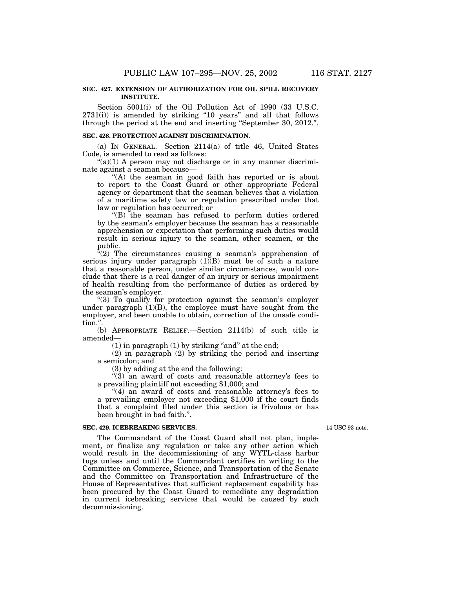### **SEC. 427. EXTENSION OF AUTHORIZATION FOR OIL SPILL RECOVERY INSTITUTE.**

Section 5001(i) of the Oil Pollution Act of 1990 (33 U.S.C.  $2731(i)$ ) is amended by striking "10 years" and all that follows through the period at the end and inserting ''September 30, 2012.''.

#### **SEC. 428. PROTECTION AGAINST DISCRIMINATION.**

(a) IN GENERAL.—Section 2114(a) of title 46, United States Code, is amended to read as follows:

" $(a)(1)$  A person may not discharge or in any manner discriminate against a seaman because—

"(A) the seaman in good faith has reported or is about to report to the Coast Guard or other appropriate Federal agency or department that the seaman believes that a violation of a maritime safety law or regulation prescribed under that law or regulation has occurred; or

''(B) the seaman has refused to perform duties ordered by the seaman's employer because the seaman has a reasonable apprehension or expectation that performing such duties would result in serious injury to the seaman, other seamen, or the public.

"(2) The circumstances causing a seaman's apprehension of serious injury under paragraph  $(1)(B)$  must be of such a nature that a reasonable person, under similar circumstances, would conclude that there is a real danger of an injury or serious impairment of health resulting from the performance of duties as ordered by the seaman's employer.

''(3) To qualify for protection against the seaman's employer under paragraph  $(1)(B)$ , the employee must have sought from the employer, and been unable to obtain, correction of the unsafe condition.''.

(b) APPROPRIATE RELIEF.—Section 2114(b) of such title is amended—

 $(1)$  in paragraph  $(1)$  by striking "and" at the end;

(2) in paragraph (2) by striking the period and inserting a semicolon; and

(3) by adding at the end the following:

 $*(3)$  an award of costs and reasonable attorney's fees to a prevailing plaintiff not exceeding \$1,000; and

"(4) an award of costs and reasonable attorney's fees to a prevailing employer not exceeding \$1,000 if the court finds that a complaint filed under this section is frivolous or has been brought in bad faith.''.

#### **SEC. 429. ICEBREAKING SERVICES.**

14 USC 93 note.

The Commandant of the Coast Guard shall not plan, implement, or finalize any regulation or take any other action which would result in the decommissioning of any WYTL-class harbor tugs unless and until the Commandant certifies in writing to the Committee on Commerce, Science, and Transportation of the Senate and the Committee on Transportation and Infrastructure of the House of Representatives that sufficient replacement capability has been procured by the Coast Guard to remediate any degradation in current icebreaking services that would be caused by such decommissioning.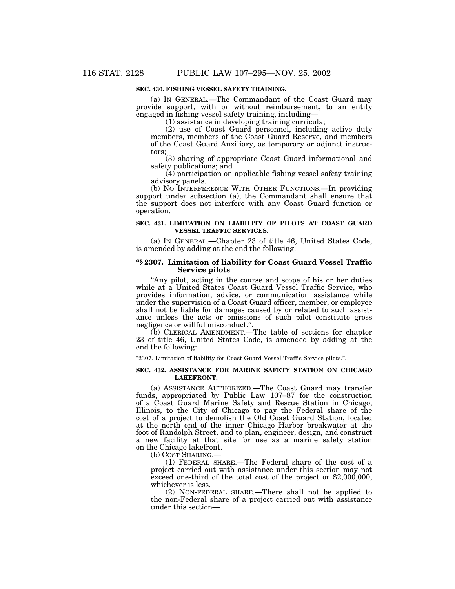## **SEC. 430. FISHING VESSEL SAFETY TRAINING.**

(a) IN GENERAL.—The Commandant of the Coast Guard may provide support, with or without reimbursement, to an entity engaged in fishing vessel safety training, including—

(1) assistance in developing training curricula;

(2) use of Coast Guard personnel, including active duty members, members of the Coast Guard Reserve, and members of the Coast Guard Auxiliary, as temporary or adjunct instructors;

(3) sharing of appropriate Coast Guard informational and safety publications; and

(4) participation on applicable fishing vessel safety training advisory panels.

(b) NO INTERFERENCE WITH OTHER FUNCTIONS.—In providing support under subsection (a), the Commandant shall ensure that the support does not interfere with any Coast Guard function or operation.

#### **SEC. 431. LIMITATION ON LIABILITY OF PILOTS AT COAST GUARD VESSEL TRAFFIC SERVICES.**

(a) IN GENERAL.—Chapter 23 of title 46, United States Code, is amended by adding at the end the following:

#### **''§ 2307. Limitation of liability for Coast Guard Vessel Traffic Service pilots**

''Any pilot, acting in the course and scope of his or her duties while at a United States Coast Guard Vessel Traffic Service, who provides information, advice, or communication assistance while under the supervision of a Coast Guard officer, member, or employee shall not be liable for damages caused by or related to such assistance unless the acts or omissions of such pilot constitute gross negligence or willful misconduct.''.

(b) CLERICAL AMENDMENT.—The table of sections for chapter 23 of title 46, United States Code, is amended by adding at the end the following:

''2307. Limitation of liability for Coast Guard Vessel Traffic Service pilots.''.

#### **SEC. 432. ASSISTANCE FOR MARINE SAFETY STATION ON CHICAGO LAKEFRONT.**

(a) ASSISTANCE AUTHORIZED.—The Coast Guard may transfer funds, appropriated by Public Law 107–87 for the construction of a Coast Guard Marine Safety and Rescue Station in Chicago, Illinois, to the City of Chicago to pay the Federal share of the cost of a project to demolish the Old Coast Guard Station, located at the north end of the inner Chicago Harbor breakwater at the foot of Randolph Street, and to plan, engineer, design, and construct a new facility at that site for use as a marine safety station on the Chicago lakefront.

(b) COST SHARING.—

(1) FEDERAL SHARE.—The Federal share of the cost of a project carried out with assistance under this section may not exceed one-third of the total cost of the project or \$2,000,000, whichever is less.

(2) NON-FEDERAL SHARE.—There shall not be applied to the non-Federal share of a project carried out with assistance under this section—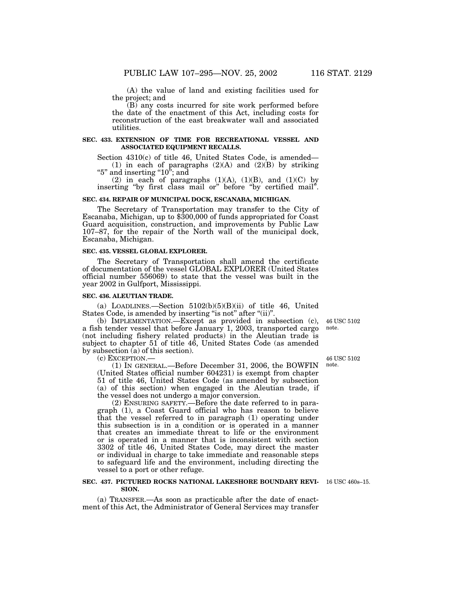(A) the value of land and existing facilities used for the project; and

(B) any costs incurred for site work performed before the date of the enactment of this Act, including costs for reconstruction of the east breakwater wall and associated utilities.

#### **SEC. 433. EXTENSION OF TIME FOR RECREATIONAL VESSEL AND ASSOCIATED EQUIPMENT RECALLS.**

Section 4310(c) of title 46, United States Code, is amended—<br>
(1) in each of paragraphs (2)(A) and (2)(B) by striking "5" and inserting "10"; and

(2) in each of paragraphs  $(1)(A)$ ,  $(1)(B)$ , and  $(1)(C)$  by inserting "by first class mail or" before "by certified mail".

#### **SEC. 434. REPAIR OF MUNICIPAL DOCK, ESCANABA, MICHIGAN.**

The Secretary of Transportation may transfer to the City of Escanaba, Michigan, up to \$300,000 of funds appropriated for Coast Guard acquisition, construction, and improvements by Public Law 107–87, for the repair of the North wall of the municipal dock, Escanaba, Michigan.

#### **SEC. 435. VESSEL GLOBAL EXPLORER.**

The Secretary of Transportation shall amend the certificate of documentation of the vessel GLOBAL EXPLORER (United States official number 556069) to state that the vessel was built in the year 2002 in Gulfport, Mississippi.

#### **SEC. 436. ALEUTIAN TRADE.**

(a) LOADLINES.—Section  $5102(b)(5)(B)(ii)$  of title 46, United States Code, is amended by inserting "is not" after "(ii)".

(b) IMPLEMENTATION.—Except as provided in subsection (c), a fish tender vessel that before January 1, 2003, transported cargo (not including fishery related products) in the Aleutian trade is subject to chapter 51 of title 46, United States Code (as amended by subsection (a) of this section).

(c) EXCEPTION.—

(1) IN GENERAL.—Before December 31, 2006, the BOWFIN (United States official number 604231) is exempt from chapter 51 of title 46, United States Code (as amended by subsection (a) of this section) when engaged in the Aleutian trade, if the vessel does not undergo a major conversion.

(2) ENSURING SAFETY.—Before the date referred to in paragraph (1), a Coast Guard official who has reason to believe that the vessel referred to in paragraph (1) operating under this subsection is in a condition or is operated in a manner that creates an immediate threat to life or the environment or is operated in a manner that is inconsistent with section 3302 of title 46, United States Code, may direct the master or individual in charge to take immediate and reasonable steps to safeguard life and the environment, including directing the vessel to a port or other refuge.

#### **SEC. 437. PICTURED ROCKS NATIONAL LAKESHORE BOUNDARY REVI-**16 USC 460s–15. **SION.**

(a) TRANSFER.—As soon as practicable after the date of enactment of this Act, the Administrator of General Services may transfer

46 USC 5102 note.

46 USC 5102 note.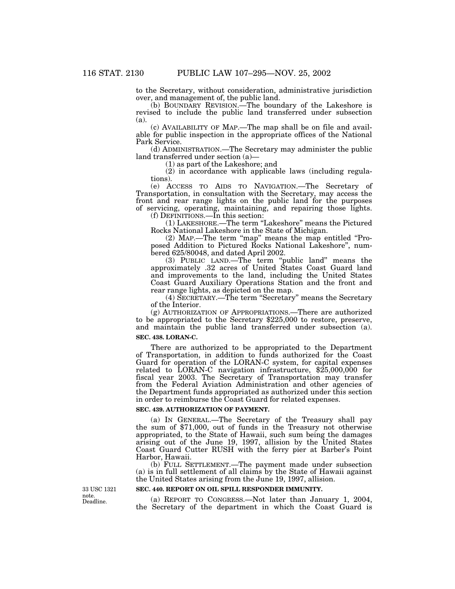to the Secretary, without consideration, administrative jurisdiction over, and management of, the public land.

(b) BOUNDARY REVISION.—The boundary of the Lakeshore is revised to include the public land transferred under subsection (a).

(c) AVAILABILITY OF MAP.—The map shall be on file and available for public inspection in the appropriate offices of the National Park Service.

(d) ADMINISTRATION.—The Secretary may administer the public land transferred under section  $(a)$ —

 $(1)$  as part of the Lakeshore; and

(2) in accordance with applicable laws (including regulations).

(e) ACCESS TO AIDS TO NAVIGATION.—The Secretary of Transportation, in consultation with the Secretary, may access the front and rear range lights on the public land for the purposes of servicing, operating, maintaining, and repairing those lights.

(f) DEFINITIONS.—In this section:

(1) LAKESHORE.—The term ''Lakeshore'' means the Pictured Rocks National Lakeshore in the State of Michigan.

(2) MAP.—The term ''map'' means the map entitled ''Proposed Addition to Pictured Rocks National Lakeshore'', numbered 625/80048, and dated April 2002.

(3) PUBLIC LAND.—The term ''public land'' means the approximately .32 acres of United States Coast Guard land and improvements to the land, including the United States Coast Guard Auxiliary Operations Station and the front and rear range lights, as depicted on the map.

(4) SECRETARY.—The term ''Secretary'' means the Secretary of the Interior.

(g) AUTHORIZATION OF APPROPRIATIONS.—There are authorized to be appropriated to the Secretary \$225,000 to restore, preserve, and maintain the public land transferred under subsection (a).

#### **SEC. 438. LORAN-C.**

There are authorized to be appropriated to the Department of Transportation, in addition to funds authorized for the Coast Guard for operation of the LORAN-C system, for capital expenses related to LORAN-C navigation infrastructure, \$25,000,000 for fiscal year 2003. The Secretary of Transportation may transfer from the Federal Aviation Administration and other agencies of the Department funds appropriated as authorized under this section in order to reimburse the Coast Guard for related expenses.

## **SEC. 439. AUTHORIZATION OF PAYMENT.**

(a) IN GENERAL.—The Secretary of the Treasury shall pay the sum of \$71,000, out of funds in the Treasury not otherwise appropriated, to the State of Hawaii, such sum being the damages arising out of the June 19, 1997, allision by the United States Coast Guard Cutter RUSH with the ferry pier at Barber's Point Harbor, Hawaii.

(b) FULL SETTLEMENT.—The payment made under subsection (a) is in full settlement of all claims by the State of Hawaii against the United States arising from the June 19, 1997, allision.

#### **SEC. 440. REPORT ON OIL SPILL RESPONDER IMMUNITY.**

(a) REPORT TO CONGRESS.—Not later than January 1, 2004, the Secretary of the department in which the Coast Guard is

Deadline. 33 USC 1321 note.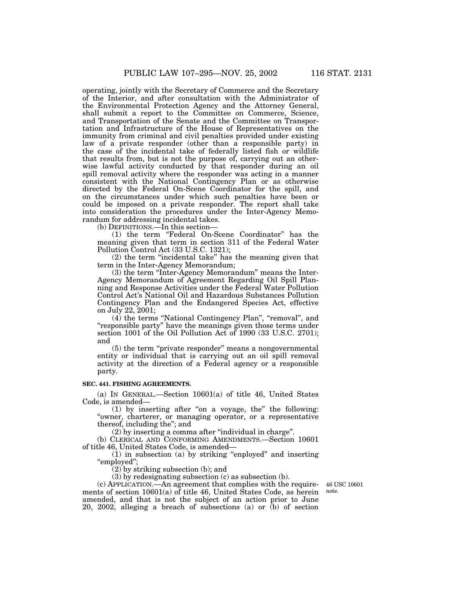operating, jointly with the Secretary of Commerce and the Secretary of the Interior, and after consultation with the Administrator of the Environmental Protection Agency and the Attorney General, shall submit a report to the Committee on Commerce, Science, and Transportation of the Senate and the Committee on Transportation and Infrastructure of the House of Representatives on the immunity from criminal and civil penalties provided under existing law of a private responder (other than a responsible party) in the case of the incidental take of federally listed fish or wildlife that results from, but is not the purpose of, carrying out an otherwise lawful activity conducted by that responder during an oil spill removal activity where the responder was acting in a manner consistent with the National Contingency Plan or as otherwise directed by the Federal On-Scene Coordinator for the spill, and on the circumstances under which such penalties have been or could be imposed on a private responder. The report shall take into consideration the procedures under the Inter-Agency Memorandum for addressing incidental takes.

(b) DEFINITIONS.—In this section—

(1) the term ''Federal On-Scene Coordinator'' has the meaning given that term in section 311 of the Federal Water Pollution Control Act (33 U.S.C. 1321);

(2) the term ''incidental take'' has the meaning given that term in the Inter-Agency Memorandum;

(3) the term ''Inter-Agency Memorandum'' means the Inter-Agency Memorandum of Agreement Regarding Oil Spill Planning and Response Activities under the Federal Water Pollution Control Act's National Oil and Hazardous Substances Pollution Contingency Plan and the Endangered Species Act, effective on July 22, 2001;

(4) the terms ''National Contingency Plan'', ''removal'', and "responsible party" have the meanings given those terms under section 1001 of the Oil Pollution Act of 1990 (33 U.S.C. 2701); and

(5) the term ''private responder'' means a nongovernmental entity or individual that is carrying out an oil spill removal activity at the direction of a Federal agency or a responsible party.

#### **SEC. 441. FISHING AGREEMENTS.**

(a) IN GENERAL.—Section 10601(a) of title 46, United States Code, is amended—

 $(1)$  by inserting after "on a voyage, the" the following: "owner, charterer, or managing operator, or a representative thereof, including the''; and

(2) by inserting a comma after ''individual in charge''.

(b) CLERICAL AND CONFORMING AMENDMENTS.—Section 10601 of title 46, United States Code, is amended—

 $(1)$  in subsection  $(a)$  by striking "enployed" and inserting ''employed'';

(2) by striking subsection (b); and

(3) by redesignating subsection (c) as subsection (b).

(c) APPLICATION.—An agreement that complies with the require-46 USC 10601 ments of section 10601(a) of title 46, United States Code, as herein note. amended, and that is not the subject of an action prior to June 20, 2002, alleging a breach of subsections (a) or (b) of section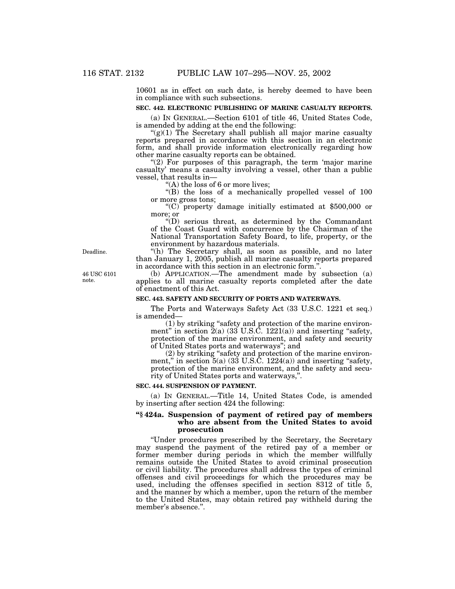10601 as in effect on such date, is hereby deemed to have been in compliance with such subsections.

### **SEC. 442. ELECTRONIC PUBLISHING OF MARINE CASUALTY REPORTS.**

(a) IN GENERAL.—Section 6101 of title 46, United States Code,

" $(g)(1)$  The Secretary shall publish all major marine casualty reports prepared in accordance with this section in an electronic form, and shall provide information electronically regarding how other marine casualty reports can be obtained.

" $(2)$  For purposes of this paragraph, the term 'major marine casualty' means a casualty involving a vessel, other than a public vessel, that results in—

 $(A)$  the loss of 6 or more lives;

''(B) the loss of a mechanically propelled vessel of 100

"(C) property damage initially estimated at  $$500,000$  or more; or

''(D) serious threat, as determined by the Commandant of the Coast Guard with concurrence by the Chairman of the National Transportation Safety Board, to life, property, or the environment by hazardous materials.

''(h) The Secretary shall, as soon as possible, and no later than January 1, 2005, publish all marine casualty reports prepared in accordance with this section in an electronic form.''.

(b) APPLICATION.—The amendment made by subsection (a) applies to all marine casualty reports completed after the date of enactment of this Act.

## **SEC. 443. SAFETY AND SECURITY OF PORTS AND WATERWAYS.**

The Ports and Waterways Safety Act (33 U.S.C. 1221 et seq.) is amended—

(1) by striking ''safety and protection of the marine environment" in section  $\tilde{Z}(a)$  (33 U.S.C. 1221(a)) and inserting "safety, protection of the marine environment, and safety and security of United States ports and waterways''; and

(2) by striking ''safety and protection of the marine environment," in section  $5(a)$  (33 U.S.C. 1224 $(a)$ ) and inserting "safety, protection of the marine environment, and the safety and security of United States ports and waterways,''.

#### **SEC. 444. SUSPENSION OF PAYMENT.**

(a) IN GENERAL.—Title 14, United States Code, is amended by inserting after section 424 the following:

#### **''§ 424a. Suspension of payment of retired pay of members who are absent from the United States to avoid prosecution**

''Under procedures prescribed by the Secretary, the Secretary may suspend the payment of the retired pay of a member or former member during periods in which the member willfully remains outside the United States to avoid criminal prosecution or civil liability. The procedures shall address the types of criminal offenses and civil proceedings for which the procedures may be used, including the offenses specified in section 8312 of title 5, and the manner by which a member, upon the return of the member to the United States, may obtain retired pay withheld during the member's absence.''.

Deadline.

46 USC 6101 note.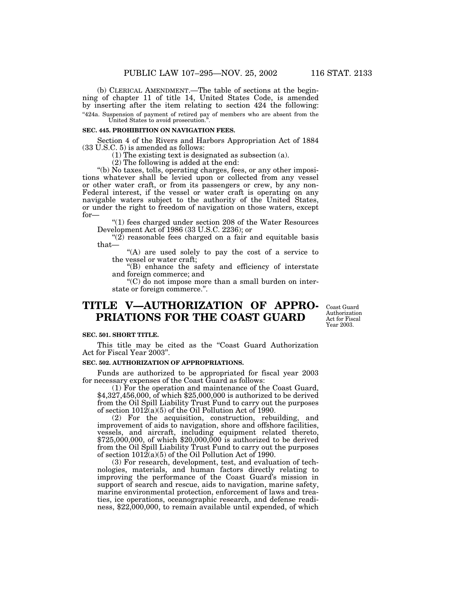(b) CLERICAL AMENDMENT.—The table of sections at the beginning of chapter 11 of title 14, United States Code, is amended by inserting after the item relating to section 424 the following: ''424a. Suspension of payment of retired pay of members who are absent from the

United States to avoid prosecution.''.

#### **SEC. 445. PROHIBITION ON NAVIGATION FEES.**

Section 4 of the Rivers and Harbors Appropriation Act of 1884 (33 U.S.C. 5) is amended as follows:

(1) The existing text is designated as subsection (a).

(2) The following is added at the end:

''(b) No taxes, tolls, operating charges, fees, or any other impositions whatever shall be levied upon or collected from any vessel or other water craft, or from its passengers or crew, by any non-Federal interest, if the vessel or water craft is operating on any navigable waters subject to the authority of the United States, or under the right to freedom of navigation on those waters, except for—

''(1) fees charged under section 208 of the Water Resources Development Act of 1986 (33 U.S.C. 2236); or

 $(2)$  reasonable fees charged on a fair and equitable basis that—

''(A) are used solely to pay the cost of a service to the vessel or water craft;

''(B) enhance the safety and efficiency of interstate and foreign commerce; and

''(C) do not impose more than a small burden on interstate or foreign commerce.''.

# **TITLE V—AUTHORIZATION OF APPRO-PRIATIONS FOR THE COAST GUARD**

Coast Guard Authorization Act for Fiscal Year 2003.

#### **SEC. 501. SHORT TITLE.**

This title may be cited as the ''Coast Guard Authorization Act for Fiscal Year 2003''.

## **SEC. 502. AUTHORIZATION OF APPROPRIATIONS.**

Funds are authorized to be appropriated for fiscal year 2003 for necessary expenses of the Coast Guard as follows:

(1) For the operation and maintenance of the Coast Guard, \$4,327,456,000, of which \$25,000,000 is authorized to be derived from the Oil Spill Liability Trust Fund to carry out the purposes of section  $101\overline{2}(a)(5)$  of the Oil Pollution Act of 1990.

(2) For the acquisition, construction, rebuilding, and improvement of aids to navigation, shore and offshore facilities, vessels, and aircraft, including equipment related thereto, \$725,000,000, of which \$20,000,000 is authorized to be derived from the Oil Spill Liability Trust Fund to carry out the purposes of section 1012(a)(5) of the Oil Pollution Act of 1990.

(3) For research, development, test, and evaluation of technologies, materials, and human factors directly relating to improving the performance of the Coast Guard's mission in support of search and rescue, aids to navigation, marine safety, marine environmental protection, enforcement of laws and treaties, ice operations, oceanographic research, and defense readiness, \$22,000,000, to remain available until expended, of which